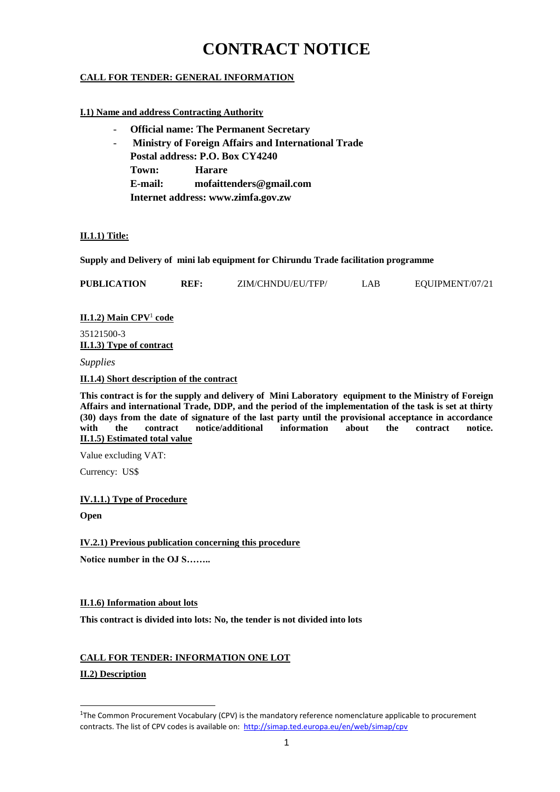# **CONTRACT NOTICE**

# **CALL FOR TENDER: GENERAL INFORMATION**

# **I.1) Name and address Contracting Authority**

- **Official name: The Permanent Secretary**
- **Ministry of Foreign Affairs and International Trade Postal address: P.O. Box CY4240 Town: Harare E-mail: mofaittenders@gmail.com Internet address: www.zimfa.gov.zw**

# **II.1.1) Title:**

**Supply and Delivery of mini lab equipment for Chirundu Trade facilitation programme**

| <b>PUBLICATION</b> | ZIM/CHNDU/EU/TFP/ | _AB_ | EOUIPMENT/07/21 |
|--------------------|-------------------|------|-----------------|
|                    |                   |      |                 |

**II.1.2) Main CPV**<sup>1</sup> **code**

35121500-3 **II.1.3) Type of contract**

*Supplies*

**II.1.4) Short description of the contract**

**This contract is for the supply and delivery of Mini Laboratory equipment to the Ministry of Foreign Affairs and international Trade, DDP, and the period of the implementation of the task is set at thirty (30) days from the date of signature of the last party until the provisional acceptance in accordance with the contract notice/additional information about the contract notice. II.1.5) Estimated total value**

Value excluding VAT:

Currency: US\$

# **IV.1.1.) Type of Procedure**

**Open**

**IV.2.1) Previous publication concerning this procedure**

**Notice number in the OJ S……..**

# **II.1.6) Information about lots**

**This contract is divided into lots: No, the tender is not divided into lots**

# **CALL FOR TENDER: INFORMATION ONE LOT**

**II.2) Description**

1

<sup>&</sup>lt;sup>1</sup>The Common Procurement Vocabulary (CPV) is the mandatory reference nomenclature applicable to procurement contracts. The list of CPV codes is available on:<http://simap.ted.europa.eu/en/web/simap/cpv>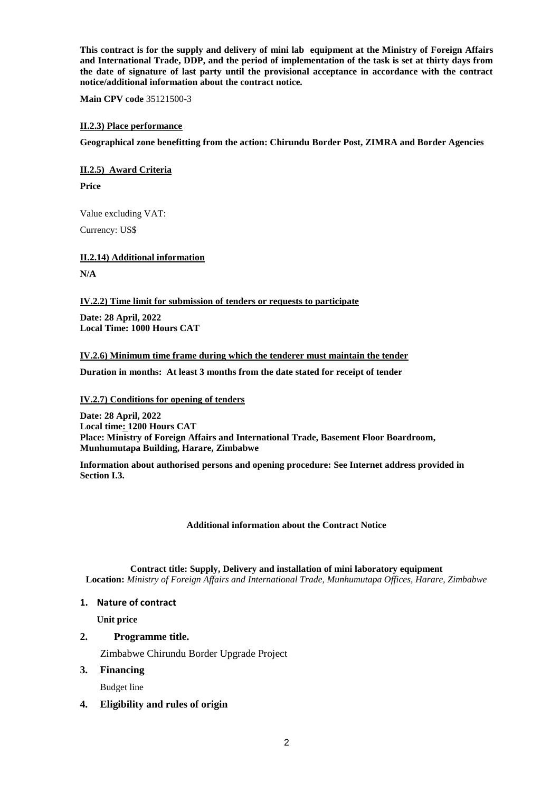**This contract is for the supply and delivery of mini lab equipment at the Ministry of Foreign Affairs and International Trade, DDP, and the period of implementation of the task is set at thirty days from the date of signature of last party until the provisional acceptance in accordance with the contract notice/additional information about the contract notice.**

**Main CPV code** 35121500-3

#### **II.2.3) Place performance**

**Geographical zone benefitting from the action: Chirundu Border Post, ZIMRA and Border Agencies**

**II.2.5) Award Criteria**

**Price** 

Value excluding VAT:

Currency: US\$

**II.2.14) Additional information**

**N/A**

**IV.2.2) Time limit for submission of tenders or requests to participate**

**Date: 28 April, 2022 Local Time: 1000 Hours CAT**

#### **IV.2.6) Minimum time frame during which the tenderer must maintain the tender**

**Duration in months: At least 3 months from the date stated for receipt of tender**

### **IV.2.7) Conditions for opening of tenders**

**Date: 28 April, 2022 Local time: 1200 Hours CAT Place: Ministry of Foreign Affairs and International Trade, Basement Floor Boardroom, Munhumutapa Building, Harare, Zimbabwe**

**Information about authorised persons and opening procedure: See Internet address provided in Section I.3.**

#### **Additional information about the Contract Notice**

**Contract title: Supply, Delivery and installation of mini laboratory equipment Location:** *Ministry of Foreign Affairs and International Trade, Munhumutapa Offices, Harare, Zimbabwe*

# **1. Nature of contract**

**Unit price**

# **2. Programme title.**

Zimbabwe Chirundu Border Upgrade Project

# **3. Financing**

Budget line

# **4. Eligibility and rules of origin**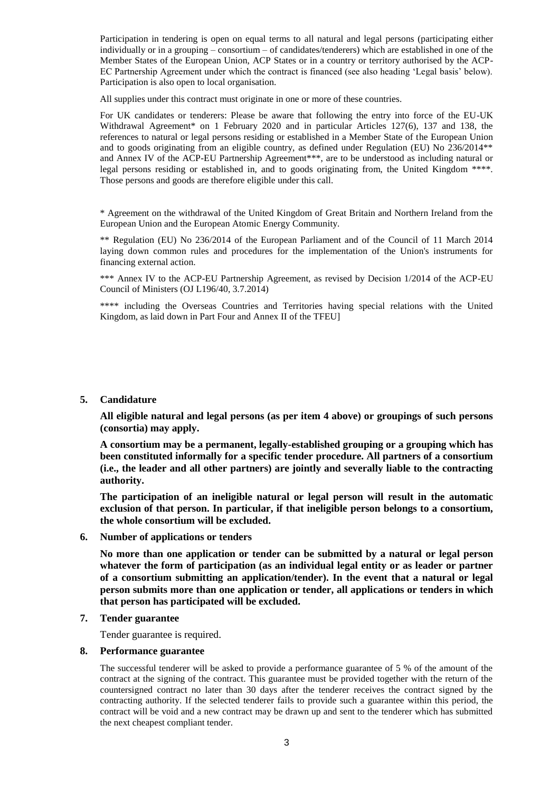Participation in tendering is open on equal terms to all natural and legal persons (participating either individually or in a grouping – consortium – of candidates/tenderers) which are established in one of the Member States of the European Union, ACP States or in a country or territory authorised by the ACP-EC Partnership Agreement under which the contract is financed (see also heading 'Legal basis' below). Participation is also open to local organisation.

All supplies under this contract must originate in one or more of these countries.

For UK candidates or tenderers: Please be aware that following the entry into force of the EU-UK Withdrawal Agreement\* on 1 February 2020 and in particular Articles 127(6), 137 and 138, the references to natural or legal persons residing or established in a Member State of the European Union and to goods originating from an eligible country, as defined under Regulation (EU) No 236/2014\*\* and Annex IV of the ACP-EU Partnership Agreement\*\*\*, are to be understood as including natural or legal persons residing or established in, and to goods originating from, the United Kingdom \*\*\*\*. Those persons and goods are therefore eligible under this call.

\* Agreement on the withdrawal of the United Kingdom of Great Britain and Northern Ireland from the European Union and the European Atomic Energy Community.

\*\* Regulation (EU) No 236/2014 of the European Parliament and of the Council of 11 March 2014 laying down common rules and procedures for the implementation of the Union's instruments for financing external action.

\*\*\* Annex IV to the ACP-EU Partnership Agreement, as revised by Decision 1/2014 of the ACP-EU Council of Ministers (OJ L196/40, 3.7.2014)

\*\*\*\* including the Overseas Countries and Territories having special relations with the United Kingdom, as laid down in Part Four and Annex II of the TFEU]

#### **5. Candidature**

**All eligible natural and legal persons (as per item 4 above) or groupings of such persons (consortia) may apply.**

**A consortium may be a permanent, legally-established grouping or a grouping which has been constituted informally for a specific tender procedure. All partners of a consortium (i.e., the leader and all other partners) are jointly and severally liable to the contracting authority.**

**The participation of an ineligible natural or legal person will result in the automatic exclusion of that person. In particular, if that ineligible person belongs to a consortium, the whole consortium will be excluded.** 

**6. Number of applications or tenders**

**No more than one application or tender can be submitted by a natural or legal person whatever the form of participation (as an individual legal entity or as leader or partner of a consortium submitting an application/tender). In the event that a natural or legal person submits more than one application or tender, all applications or tenders in which that person has participated will be excluded.** 

**7. Tender guarantee**

Tender guarantee is required.

#### **8. Performance guarantee**

The successful tenderer will be asked to provide a performance guarantee of 5 % of the amount of the contract at the signing of the contract. This guarantee must be provided together with the return of the countersigned contract no later than 30 days after the tenderer receives the contract signed by the contracting authority. If the selected tenderer fails to provide such a guarantee within this period, the contract will be void and a new contract may be drawn up and sent to the tenderer which has submitted the next cheapest compliant tender.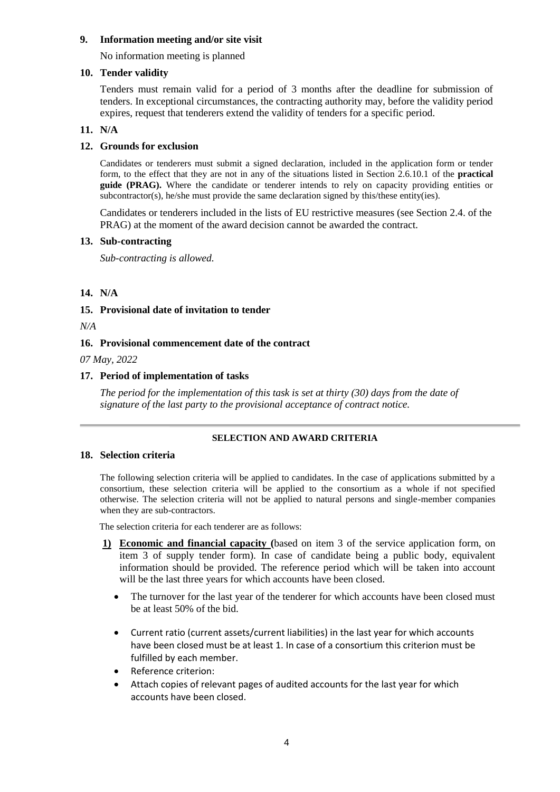# **9. Information meeting and/or site visit**

No information meeting is planned

# **10. Tender validity**

Tenders must remain valid for a period of 3 months after the deadline for submission of tenders. In exceptional circumstances, the contracting authority may, before the validity period expires, request that tenderers extend the validity of tenders for a specific period.

# **11. N/A**

# **12. Grounds for exclusion**

Candidates or tenderers must submit a signed declaration, included in the application form or tender form, to the effect that they are not in any of the situations listed in Section 2.6.10.1 of the **practical guide (PRAG).** Where the candidate or tenderer intends to rely on capacity providing entities or subcontractor(s), he/she must provide the same declaration signed by this/these entity(ies).

Candidates or tenderers included in the lists of EU restrictive measures (see Section 2.4. of the PRAG) at the moment of the award decision cannot be awarded the contract.

# **13. Sub-contracting**

*Sub-contracting is allowed.* 

# **14. N/A**

# **15. Provisional date of invitation to tender**

*N/A*

# **16. Provisional commencement date of the contract**

*07 May, 2022*

# **17. Period of implementation of tasks**

*The period for the implementation of this task is set at thirty (30) days from the date of signature of the last party to the provisional acceptance of contract notice.*

# **SELECTION AND AWARD CRITERIA**

# **18. Selection criteria**

The following selection criteria will be applied to candidates. In the case of applications submitted by a consortium, these selection criteria will be applied to the consortium as a whole if not specified otherwise. The selection criteria will not be applied to natural persons and single-member companies when they are sub-contractors.

The selection criteria for each tenderer are as follows:

- **1) Economic and financial capacity (**based on item 3 of the service application form, on item 3 of supply tender form). In case of candidate being a public body, equivalent information should be provided. The reference period which will be taken into account will be the last three years for which accounts have been closed.
	- The turnover for the last year of the tenderer for which accounts have been closed must be at least 50% of the bid.
	- Current ratio (current assets/current liabilities) in the last year for which accounts have been closed must be at least 1. In case of a consortium this criterion must be fulfilled by each member.
	- Reference criterion:
	- Attach copies of relevant pages of audited accounts for the last year for which accounts have been closed.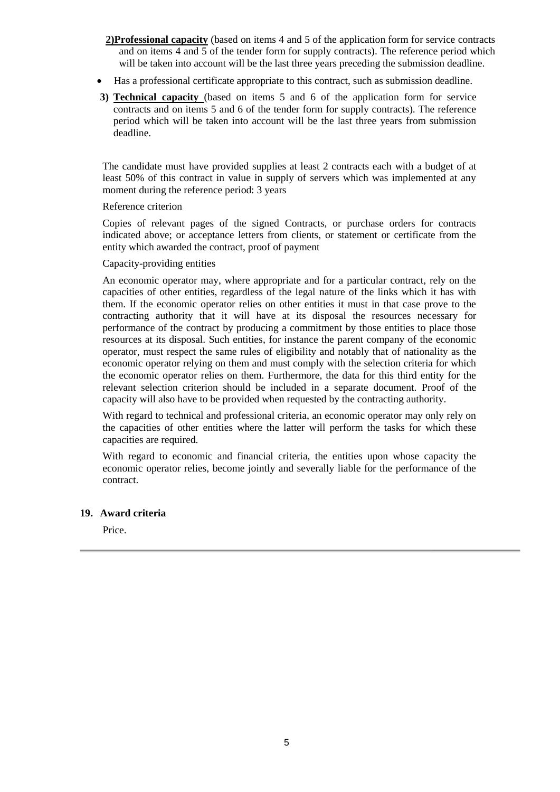- **2)Professional capacity** (based on items 4 and 5 of the application form for service contracts and on items 4 and 5 of the tender form for supply contracts). The reference period which will be taken into account will be the last three years preceding the submission deadline.
- Has a professional certificate appropriate to this contract, such as submission deadline.
- **3) Technical capacity** (based on items 5 and 6 of the application form for service contracts and on items 5 and 6 of the tender form for supply contracts). The reference period which will be taken into account will be the last three years from submission deadline.

The candidate must have provided supplies at least 2 contracts each with a budget of at least 50% of this contract in value in supply of servers which was implemented at any moment during the reference period: 3 years

# Reference criterion

Copies of relevant pages of the signed Contracts, or purchase orders for contracts indicated above; or acceptance letters from clients, or statement or certificate from the entity which awarded the contract, proof of payment

# Capacity-providing entities

An economic operator may, where appropriate and for a particular contract, rely on the capacities of other entities, regardless of the legal nature of the links which it has with them. If the economic operator relies on other entities it must in that case prove to the contracting authority that it will have at its disposal the resources necessary for performance of the contract by producing a commitment by those entities to place those resources at its disposal. Such entities, for instance the parent company of the economic operator, must respect the same rules of eligibility and notably that of nationality as the economic operator relying on them and must comply with the selection criteria for which the economic operator relies on them. Furthermore, the data for this third entity for the relevant selection criterion should be included in a separate document. Proof of the capacity will also have to be provided when requested by the contracting authority.

With regard to technical and professional criteria, an economic operator may only rely on the capacities of other entities where the latter will perform the tasks for which these capacities are required.

With regard to economic and financial criteria, the entities upon whose capacity the economic operator relies, become jointly and severally liable for the performance of the contract.

# **19. Award criteria**

Price.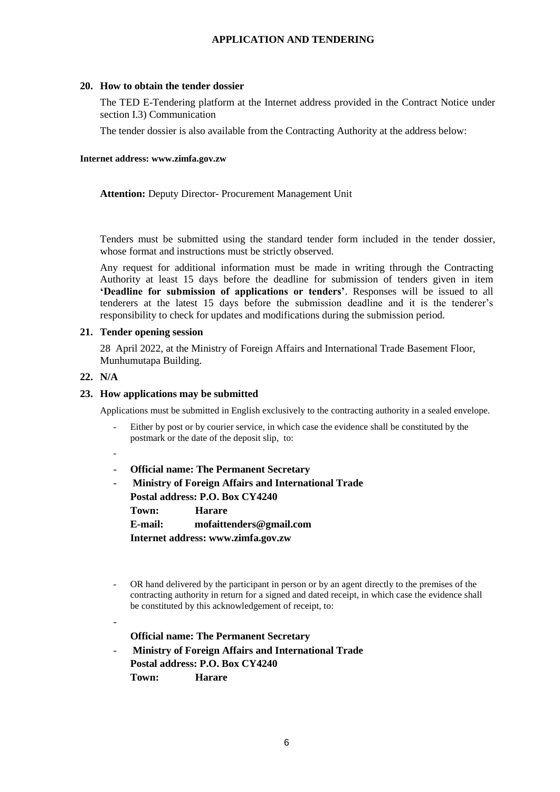# **APPLICATION AND TENDERING**

# **20. How to obtain the tender dossier**

The TED E-Tendering platform at the Internet address provided in the Contract Notice under section I.3) Communication

The tender dossier is also available from the Contracting Authority at the address below:

#### **Internet address: www.zimfa.gov.zw**

**Attention:** Deputy Director- Procurement Management Unit

Tenders must be submitted using the standard tender form included in the tender dossier, whose format and instructions must be strictly observed.

Any request for additional information must be made in writing through the Contracting Authority at least 15 days before the deadline for submission of tenders given in item **'Deadline for submission of applications or tenders'**. Responses will be issued to all tenderers at the latest 15 days before the submission deadline and it is the tenderer's responsibility to check for updates and modifications during the submission period.

# **21. Tender opening session**

28 April 2022, at the Ministry of Foreign Affairs and International Trade Basement Floor, Munhumutapa Building.

# **22. N/A**

# **23. How applications may be submitted**

Applications must be submitted in English exclusively to the contracting authority in a sealed envelope.

- Either by post or by courier service, in which case the evidence shall be constituted by the postmark or the date of the deposit slip, to:
- -

-

- **Official name: The Permanent Secretary**
- **Ministry of Foreign Affairs and International Trade Postal address: P.O. Box CY4240**

**Town: Harare**

**E-mail: mofaittenders@gmail.com**

**Internet address: www.zimfa.gov.zw**

- OR hand delivered by the participant in person or by an agent directly to the premises of the contracting authority in return for a signed and dated receipt, in which case the evidence shall be constituted by this acknowledgement of receipt, to:
	- **Official name: The Permanent Secretary**
- **Ministry of Foreign Affairs and International Trade Postal address: P.O. Box CY4240 Town: Harare**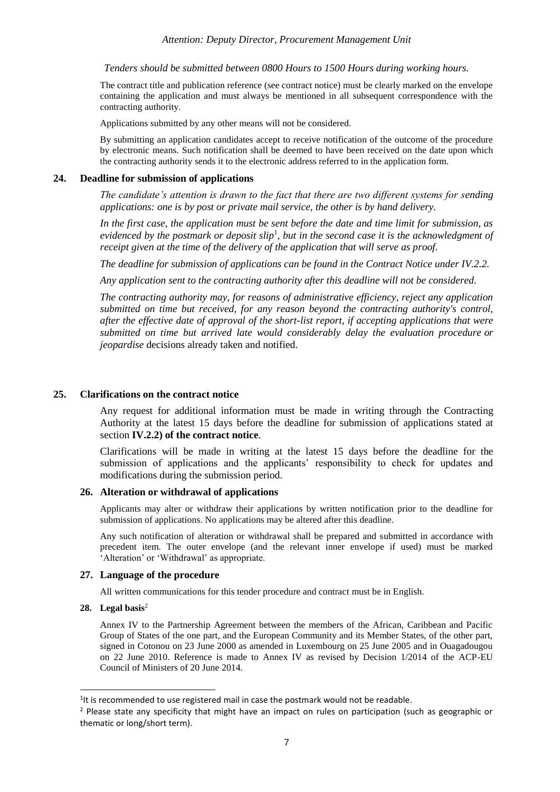*Tenders should be submitted between 0800 Hours to 1500 Hours during working hours.*

The contract title and publication reference (see contract notice) must be clearly marked on the envelope containing the application and must always be mentioned in all subsequent correspondence with the contracting authority.

Applications submitted by any other means will not be considered.

By submitting an application candidates accept to receive notification of the outcome of the procedure by electronic means. Such notification shall be deemed to have been received on the date upon which the contracting authority sends it to the electronic address referred to in the application form.

#### **24. Deadline for submission of applications**

*The candidate's attention is drawn to the fact that there are two different systems for sending applications: one is by post or private mail service, the other is by hand delivery.*

*In the first case, the application must be sent before the date and time limit for submission, as*  evidenced by the postmark or deposit slip<sup>1</sup>, but in the second case it is the acknowledgment of *receipt given at the time of the delivery of the application that will serve as proof.*

*The deadline for submission of applications can be found in the Contract Notice under IV.2.2.*

*Any application sent to the contracting authority after this deadline will not be considered.*

*The contracting authority may, for reasons of administrative efficiency, reject any application submitted on time but received, for any reason beyond the contracting authority's control, after the effective date of approval of the short-list report, if accepting applications that were submitted on time but arrived late would considerably delay the evaluation procedure or jeopardise* decisions already taken and notified.

#### **25. Clarifications on the contract notice**

Any request for additional information must be made in writing through the Contracting Authority at the latest 15 days before the deadline for submission of applications stated at section **IV.2.2) of the contract notice**.

Clarifications will be made in writing at the latest 15 days before the deadline for the submission of applications and the applicants' responsibility to check for updates and modifications during the submission period.

### **26. Alteration or withdrawal of applications**

Applicants may alter or withdraw their applications by written notification prior to the deadline for submission of applications. No applications may be altered after this deadline.

Any such notification of alteration or withdrawal shall be prepared and submitted in accordance with precedent item. The outer envelope (and the relevant inner envelope if used) must be marked 'Alteration' or 'Withdrawal' as appropriate.

#### **27. Language of the procedure**

All written communications for this tender procedure and contract must be in English.

#### **28. Legal basis**<sup>2</sup>

-

Annex IV to the Partnership Agreement between the members of the African, Caribbean and Pacific Group of States of the one part, and the European Community and its Member States, of the other part, signed in Cotonou on 23 June 2000 as amended in Luxembourg on 25 June 2005 and in Ouagadougou on 22 June 2010. Reference is made to Annex IV as revised by Decision 1/2014 of the ACP-EU Council of Ministers of 20 June 2014.

<sup>&</sup>lt;sup>1</sup>It is recommended to use registered mail in case the postmark would not be readable.

 $<sup>2</sup>$  Please state any specificity that might have an impact on rules on participation (such as geographic or</sup> thematic or long/short term).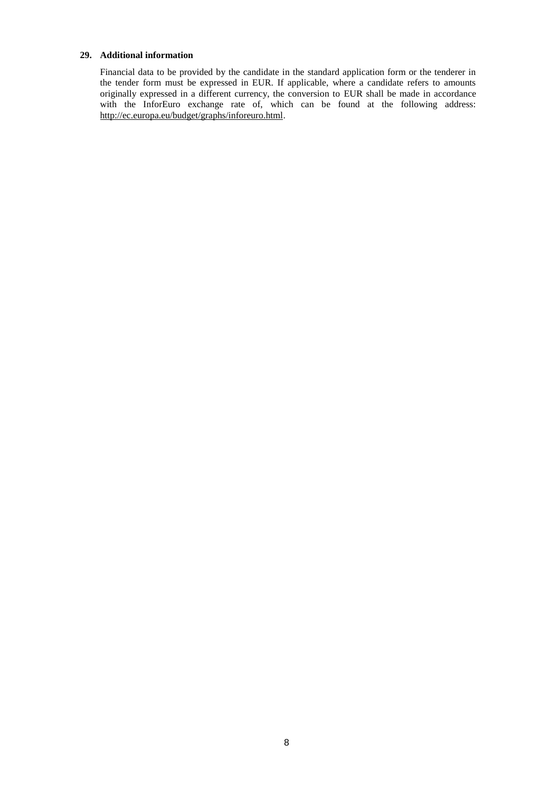#### **29. Additional information**

Financial data to be provided by the candidate in the standard application form or the tenderer in the tender form must be expressed in EUR. If applicable, where a candidate refers to amounts originally expressed in a different currency, the conversion to EUR shall be made in accordance with the InforEuro exchange rate of, which can be found at the following address: [http://ec.europa.eu/budget/graphs/inforeuro.html.](http://ec.europa.eu/budget/graphs/inforeuro.html)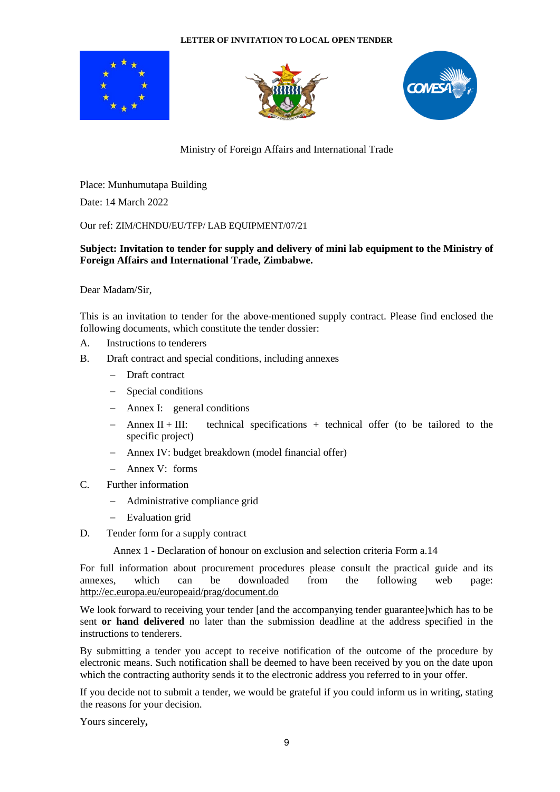# **LETTER OF INVITATION TO LOCAL OPEN TENDER**







Ministry of Foreign Affairs and International Trade

Place: Munhumutapa Building

Date: 14 March 2022

Our ref: ZIM/CHNDU/EU/TFP/ LAB EQUIPMENT/07/21

# **Subject: Invitation to tender for supply and delivery of mini lab equipment to the Ministry of Foreign Affairs and International Trade, Zimbabwe.**

Dear Madam/Sir,

This is an invitation to tender for the above-mentioned supply contract. Please find enclosed the following documents, which constitute the tender dossier:

- A. Instructions to tenderers
- B. Draft contract and special conditions, including annexes
	- − Draft contract
	- Special conditions
	- − Annex I: general conditions
	- − Annex II + III: technical specifications + technical offer (to be tailored to the specific project)
	- − Annex IV: budget breakdown (model financial offer)
	- − Annex V: forms
- C. Further information
	- − Administrative compliance grid
	- Evaluation grid
- D. Tender form for a supply contract

Annex 1 - Declaration of honour on exclusion and selection criteria Form a.14

For full information about procurement procedures please consult the practical guide and its annexes, which can be downloaded from the following web page: <http://ec.europa.eu/europeaid/prag/document.do>

We look forward to receiving your tender [and the accompanying tender guarantee]which has to be sent **or hand delivered** no later than the submission deadline at the address specified in the instructions to tenderers.

By submitting a tender you accept to receive notification of the outcome of the procedure by electronic means. Such notification shall be deemed to have been received by you on the date upon which the contracting authority sends it to the electronic address you referred to in your offer.

If you decide not to submit a tender, we would be grateful if you could inform us in writing, stating the reasons for your decision.

Yours sincerely**,**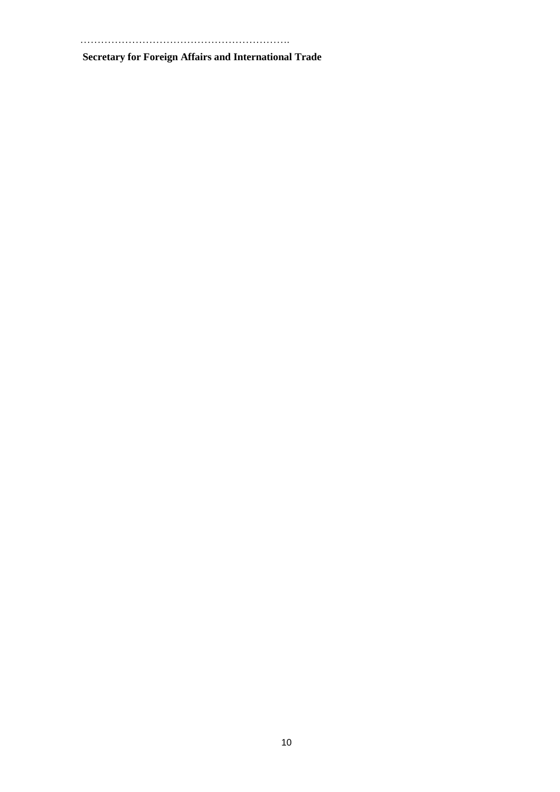…………………………………………………….

**Secretary for Foreign Affairs and International Trade**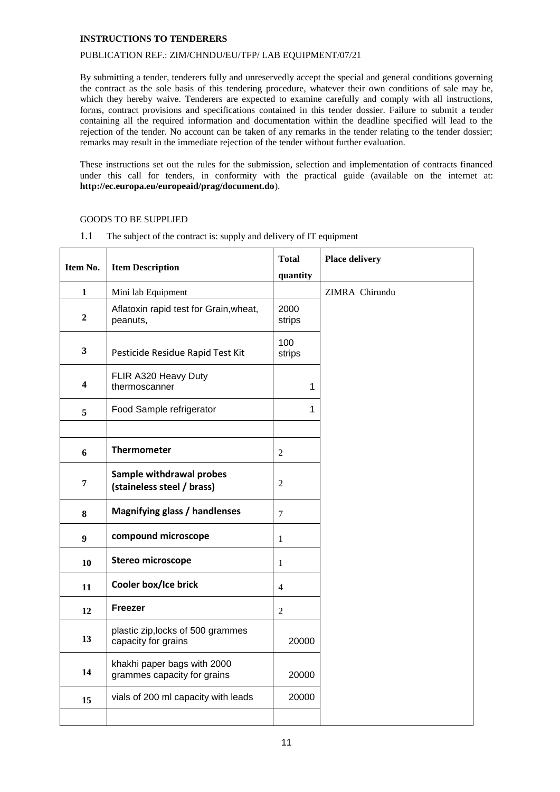#### **INSTRUCTIONS TO TENDERERS**

#### PUBLICATION REF.: ZIM/CHNDU/EU/TFP/ LAB EQUIPMENT/07/21

By submitting a tender, tenderers fully and unreservedly accept the special and general conditions governing the contract as the sole basis of this tendering procedure, whatever their own conditions of sale may be, which they hereby waive. Tenderers are expected to examine carefully and comply with all instructions, forms, contract provisions and specifications contained in this tender dossier. Failure to submit a tender containing all the required information and documentation within the deadline specified will lead to the rejection of the tender. No account can be taken of any remarks in the tender relating to the tender dossier; remarks may result in the immediate rejection of the tender without further evaluation.

These instructions set out the rules for the submission, selection and implementation of contracts financed under this call for tenders, in conformity with the practical guide (available on the internet at: **<http://ec.europa.eu/europeaid/prag/document.do>**).

# GOODS TO BE SUPPLIED

| Item No.         | <b>Item Description</b>                                    | <b>Total</b><br>quantity | <b>Place delivery</b> |
|------------------|------------------------------------------------------------|--------------------------|-----------------------|
| 1                | Mini lab Equipment                                         |                          | ZIMRA Chirundu        |
| $\overline{2}$   | Aflatoxin rapid test for Grain, wheat,<br>peanuts,         | 2000<br>strips           |                       |
| $\mathbf{3}$     | Pesticide Residue Rapid Test Kit                           | 100<br>strips            |                       |
| 4                | FLIR A320 Heavy Duty<br>thermoscanner                      | 1                        |                       |
| 5                | Food Sample refrigerator                                   | 1                        |                       |
|                  |                                                            |                          |                       |
| 6                | <b>Thermometer</b>                                         | $\sqrt{2}$               |                       |
| 7                | Sample withdrawal probes<br>(staineless steel / brass)     | $\sqrt{2}$               |                       |
| 8                | <b>Magnifying glass / handlenses</b>                       | $\overline{7}$           |                       |
| $\boldsymbol{9}$ | compound microscope                                        | $\mathbf{1}$             |                       |
| 10               | <b>Stereo microscope</b>                                   | $\mathbf{1}$             |                       |
| 11               | Cooler box/Ice brick                                       | $\overline{4}$           |                       |
| 12               | Freezer                                                    | $\mathfrak{2}$           |                       |
| 13               | plastic zip, locks of 500 grammes<br>capacity for grains   | 20000                    |                       |
| 14               | khakhi paper bags with 2000<br>grammes capacity for grains | 20000                    |                       |
| 15               | vials of 200 ml capacity with leads                        | 20000                    |                       |
|                  |                                                            |                          |                       |

1.1 The subject of the contract is: supply and delivery of IT equipment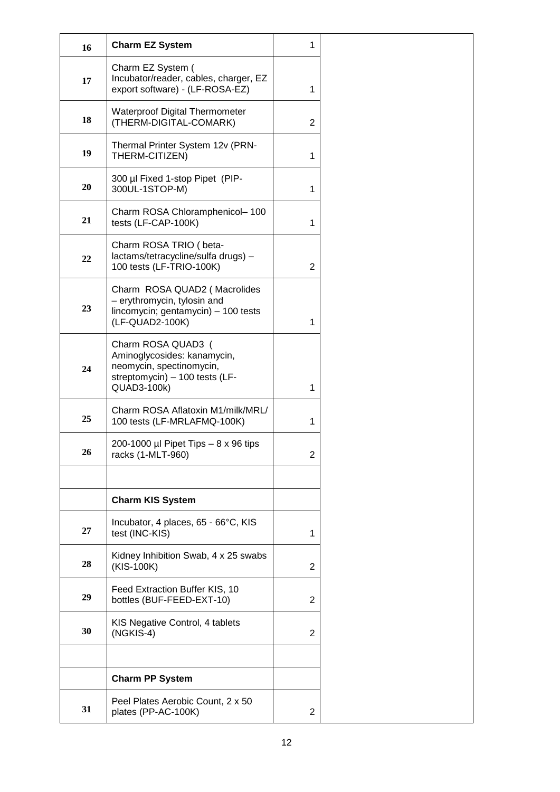| 16 | <b>Charm EZ System</b>                                                                                                         | 1              |
|----|--------------------------------------------------------------------------------------------------------------------------------|----------------|
| 17 | Charm EZ System (<br>Incubator/reader, cables, charger, EZ<br>export software) - (LF-ROSA-EZ)                                  | 1              |
| 18 | <b>Waterproof Digital Thermometer</b><br>(THERM-DIGITAL-COMARK)                                                                | $\overline{2}$ |
| 19 | Thermal Printer System 12v (PRN-<br>THERM-CITIZEN)                                                                             | 1              |
| 20 | 300 µl Fixed 1-stop Pipet (PIP-<br>300UL-1STOP-M)                                                                              | 1              |
| 21 | Charm ROSA Chloramphenicol-100<br>tests (LF-CAP-100K)                                                                          | 1              |
| 22 | Charm ROSA TRIO (beta-<br>lactams/tetracycline/sulfa drugs) -<br>100 tests (LF-TRIO-100K)                                      | $\overline{2}$ |
| 23 | Charm ROSA QUAD2 (Macrolides<br>- erythromycin, tylosin and<br>lincomycin; gentamycin) - 100 tests<br>(LF-QUAD2-100K)          | 1              |
| 24 | Charm ROSA QUAD3 (<br>Aminoglycosides: kanamycin,<br>neomycin, spectinomycin,<br>streptomycin) - 100 tests (LF-<br>QUAD3-100k) | 1              |
| 25 | Charm ROSA Aflatoxin M1/milk/MRL/<br>100 tests (LF-MRLAFMQ-100K)                                                               | 1              |
| 26 | 200-1000 µl Pipet Tips $-8 \times 96$ tips<br>racks (1-MLT-960)                                                                | $\overline{2}$ |
|    |                                                                                                                                |                |
|    | <b>Charm KIS System</b>                                                                                                        |                |
| 27 | Incubator, 4 places, 65 - 66°C, KIS<br>test (INC-KIS)                                                                          | 1              |
| 28 | Kidney Inhibition Swab, 4 x 25 swabs<br>(KIS-100K)                                                                             | $\overline{2}$ |
| 29 | Feed Extraction Buffer KIS, 10<br>bottles (BUF-FEED-EXT-10)                                                                    | $\overline{2}$ |
| 30 | KIS Negative Control, 4 tablets<br>(NGKIS-4)                                                                                   | $\overline{2}$ |
|    |                                                                                                                                |                |
|    | <b>Charm PP System</b>                                                                                                         |                |
| 31 | Peel Plates Aerobic Count, 2 x 50<br>plates (PP-AC-100K)                                                                       | 2              |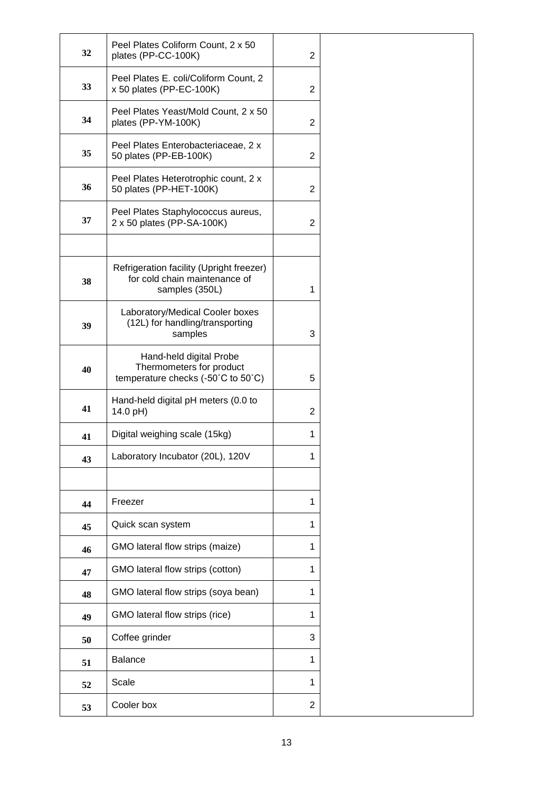| 32 | Peel Plates Coliform Count, 2 x 50<br>plates (PP-CC-100K)                                   | $\overline{2}$ |
|----|---------------------------------------------------------------------------------------------|----------------|
| 33 | Peel Plates E. coli/Coliform Count, 2<br>x 50 plates (PP-EC-100K)                           | $\overline{2}$ |
| 34 | Peel Plates Yeast/Mold Count, 2 x 50<br>plates (PP-YM-100K)                                 | $\overline{2}$ |
| 35 | Peel Plates Enterobacteriaceae, 2 x<br>50 plates (PP-EB-100K)                               | $\overline{2}$ |
| 36 | Peel Plates Heterotrophic count, 2 x<br>50 plates (PP-HET-100K)                             | $\overline{2}$ |
| 37 | Peel Plates Staphylococcus aureus,<br>2 x 50 plates (PP-SA-100K)                            | $\overline{2}$ |
|    |                                                                                             |                |
| 38 | Refrigeration facility (Upright freezer)<br>for cold chain maintenance of<br>samples (350L) | 1              |
| 39 | Laboratory/Medical Cooler boxes<br>(12L) for handling/transporting<br>samples               | 3              |
| 40 | Hand-held digital Probe<br>Thermometers for product<br>temperature checks (-50°C to 50°C)   | 5              |
| 41 | Hand-held digital pH meters (0.0 to<br>14.0 pH)                                             | $\overline{2}$ |
| 41 | Digital weighing scale (15kg)                                                               | 1              |
| 43 | Laboratory Incubator (20L), 120V                                                            | 1              |
|    |                                                                                             |                |
| 44 | Freezer                                                                                     | 1              |
| 45 | Quick scan system                                                                           | 1              |
| 46 | GMO lateral flow strips (maize)                                                             | 1              |
| 47 | GMO lateral flow strips (cotton)                                                            | 1              |
| 48 | GMO lateral flow strips (soya bean)                                                         | 1              |
| 49 | GMO lateral flow strips (rice)                                                              | 1              |
| 50 | Coffee grinder                                                                              | 3              |
| 51 | Balance                                                                                     | 1              |
| 52 | Scale                                                                                       | 1              |
| 53 | Cooler box                                                                                  | $\overline{2}$ |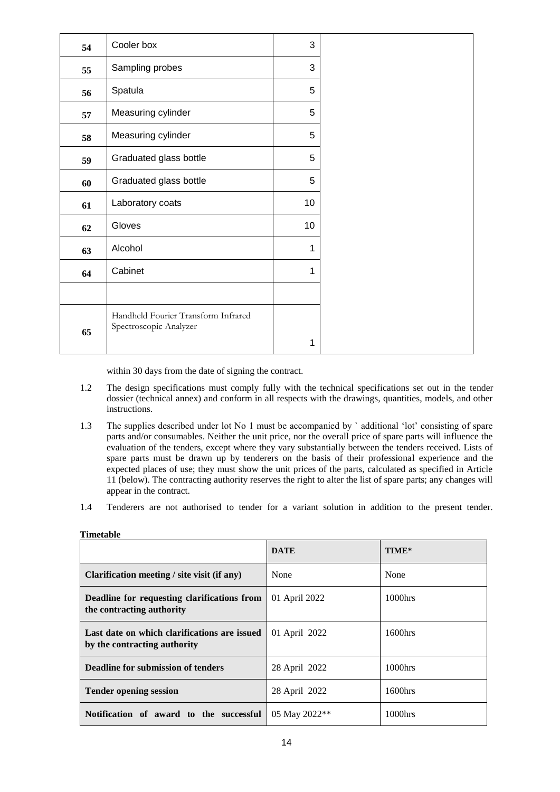| 54 | Cooler box                                                    | 3  |
|----|---------------------------------------------------------------|----|
| 55 | Sampling probes                                               | 3  |
| 56 | Spatula                                                       | 5  |
| 57 | Measuring cylinder                                            | 5  |
| 58 | Measuring cylinder                                            | 5  |
| 59 | Graduated glass bottle                                        | 5  |
| 60 | Graduated glass bottle                                        | 5  |
| 61 | Laboratory coats                                              | 10 |
| 62 | Gloves                                                        | 10 |
| 63 | Alcohol                                                       | 1  |
| 64 | Cabinet                                                       | 1  |
|    |                                                               |    |
|    | Handheld Fourier Transform Infrared<br>Spectroscopic Analyzer |    |
| 65 |                                                               | 1  |

within 30 days from the date of signing the contract.

- 1.2 The design specifications must comply fully with the technical specifications set out in the tender dossier (technical annex) and conform in all respects with the drawings, quantities, models, and other instructions.
- 1.3 The supplies described under lot No 1 must be accompanied by ` additional 'lot' consisting of spare parts and/or consumables. Neither the unit price, nor the overall price of spare parts will influence the evaluation of the tenders, except where they vary substantially between the tenders received. Lists of spare parts must be drawn up by tenderers on the basis of their professional experience and the expected places of use; they must show the unit prices of the parts, calculated as specified in Article 11 (below). The contracting authority reserves the right to alter the list of spare parts; any changes will appear in the contract.
- 1.4 Tenderers are not authorised to tender for a variant solution in addition to the present tender.

|                                                                              | <b>DATE</b>   | TIME*      |
|------------------------------------------------------------------------------|---------------|------------|
| Clarification meeting / site visit (if any)                                  | None          | None       |
| Deadline for requesting clarifications from<br>the contracting authority     | 01 April 2022 | $1000$ hrs |
| Last date on which clarifications are issued<br>by the contracting authority | 01 April 2022 | 1600hrs    |
| <b>Deadline for submission of tenders</b>                                    | 28 April 2022 | 1000hrs    |
| <b>Tender opening session</b>                                                | 28 April 2022 | 1600hrs    |
| Notification of award to the successful                                      | 05 May 2022** | $1000$ hrs |

**Timetable**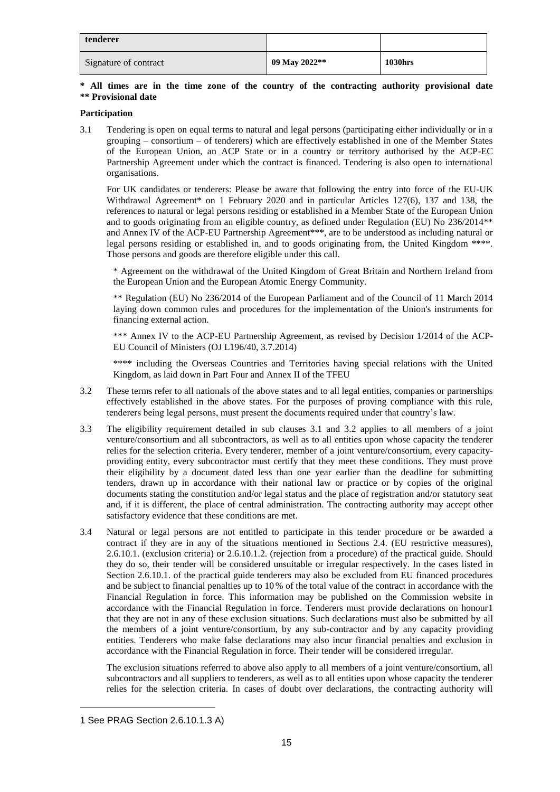| tenderer              |               |                |
|-----------------------|---------------|----------------|
| Signature of contract | 09 May 2022** | <b>1030hrs</b> |

### **\* All times are in the time zone of the country of the contracting authority provisional date \*\* Provisional date**

### **Participation**

3.1 Tendering is open on equal terms to natural and legal persons (participating either individually or in a grouping – consortium – of tenderers) which are effectively established in one of the Member States of the European Union, an ACP State or in a country or territory authorised by the ACP-EC Partnership Agreement under which the contract is financed. Tendering is also open to international organisations.

For UK candidates or tenderers: Please be aware that following the entry into force of the EU-UK Withdrawal Agreement\* on 1 February 2020 and in particular Articles 127(6), 137 and 138, the references to natural or legal persons residing or established in a Member State of the European Union and to goods originating from an eligible country, as defined under Regulation (EU) No 236/2014\*\* and Annex IV of the ACP-EU Partnership Agreement\*\*\*, are to be understood as including natural or legal persons residing or established in, and to goods originating from, the United Kingdom \*\*\*\*. Those persons and goods are therefore eligible under this call.

\* Agreement on the withdrawal of the United Kingdom of Great Britain and Northern Ireland from the European Union and the European Atomic Energy Community.

\*\* Regulation (EU) No 236/2014 of the European Parliament and of the Council of 11 March 2014 laying down common rules and procedures for the implementation of the Union's instruments for financing external action.

\*\*\* Annex IV to the ACP-EU Partnership Agreement, as revised by Decision 1/2014 of the ACP-EU Council of Ministers (OJ L196/40, 3.7.2014)

\*\*\*\* including the Overseas Countries and Territories having special relations with the United Kingdom, as laid down in Part Four and Annex II of the TFEU

- 3.2 These terms refer to all nationals of the above states and to all legal entities, companies or partnerships effectively established in the above states. For the purposes of proving compliance with this rule, tenderers being legal persons, must present the documents required under that country's law.
- 3.3 The eligibility requirement detailed in sub clauses 3.1 and 3.2 applies to all members of a joint venture/consortium and all subcontractors, as well as to all entities upon whose capacity the tenderer relies for the selection criteria. Every tenderer, member of a joint venture/consortium, every capacityproviding entity, every subcontractor must certify that they meet these conditions. They must prove their eligibility by a document dated less than one year earlier than the deadline for submitting tenders, drawn up in accordance with their national law or practice or by copies of the original documents stating the constitution and/or legal status and the place of registration and/or statutory seat and, if it is different, the place of central administration. The contracting authority may accept other satisfactory evidence that these conditions are met.
- 3.4 Natural or legal persons are not entitled to participate in this tender procedure or be awarded a contract if they are in any of the situations mentioned in Sections 2.4. (EU restrictive measures), 2.6.10.1. (exclusion criteria) or 2.6.10.1.2. (rejection from a procedure) of the practical guide. Should they do so, their tender will be considered unsuitable or irregular respectively. In the cases listed in Section 2.6.10.1. of the practical guide tenderers may also be excluded from EU financed procedures and be subject to financial penalties up to 10 % of the total value of the contract in accordance with the Financial Regulation in force. This information may be published on the Commission website in accordance with the Financial Regulation in force. Tenderers must provide declarations on honour1 that they are not in any of these exclusion situations. Such declarations must also be submitted by all the members of a joint venture/consortium, by any sub-contractor and by any capacity providing entities. Tenderers who make false declarations may also incur financial penalties and exclusion in accordance with the Financial Regulation in force. Their tender will be considered irregular.

The exclusion situations referred to above also apply to all members of a joint venture/consortium, all subcontractors and all suppliers to tenderers, as well as to all entities upon whose capacity the tenderer relies for the selection criteria. In cases of doubt over declarations, the contracting authority will

-

<sup>1</sup> See PRAG Section 2.6.10.1.3 A)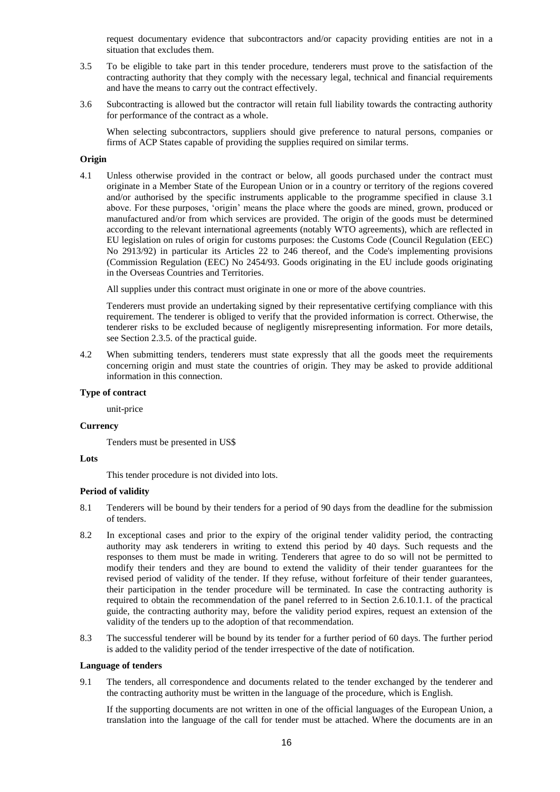request documentary evidence that subcontractors and/or capacity providing entities are not in a situation that excludes them.

- 3.5 To be eligible to take part in this tender procedure, tenderers must prove to the satisfaction of the contracting authority that they comply with the necessary legal, technical and financial requirements and have the means to carry out the contract effectively.
- 3.6 Subcontracting is allowed but the contractor will retain full liability towards the contracting authority for performance of the contract as a whole.

When selecting subcontractors, suppliers should give preference to natural persons, companies or firms of ACP States capable of providing the supplies required on similar terms.

#### **Origin**

4.1 Unless otherwise provided in the contract or below, all goods purchased under the contract must originate in a Member State of the European Union or in a country or territory of the regions covered and/or authorised by the specific instruments applicable to the programme specified in clause 3.1 above. For these purposes, 'origin' means the place where the goods are mined, grown, produced or manufactured and/or from which services are provided. The origin of the goods must be determined according to the relevant international agreements (notably WTO agreements), which are reflected in EU legislation on rules of origin for customs purposes: the Customs Code (Council Regulation (EEC) No 2913/92) in particular its Articles 22 to 246 thereof, and the Code's implementing provisions (Commission Regulation (EEC) No 2454/93. Goods originating in the EU include goods originating in the Overseas Countries and Territories.

All supplies under this contract must originate in one or more of the above countries.

Tenderers must provide an undertaking signed by their representative certifying compliance with this requirement. The tenderer is obliged to verify that the provided information is correct. Otherwise, the tenderer risks to be excluded because of negligently misrepresenting information. For more details, see Section 2.3.5. of the practical guide.

4.2 When submitting tenders, tenderers must state expressly that all the goods meet the requirements concerning origin and must state the countries of origin. They may be asked to provide additional information in this connection.

#### **Type of contract**

unit-price

#### **Currency**

Tenders must be presented in US\$

#### **Lots**

This tender procedure is not divided into lots.

### **Period of validity**

- 8.1 Tenderers will be bound by their tenders for a period of 90 days from the deadline for the submission of tenders.
- 8.2 In exceptional cases and prior to the expiry of the original tender validity period, the contracting authority may ask tenderers in writing to extend this period by 40 days. Such requests and the responses to them must be made in writing. Tenderers that agree to do so will not be permitted to modify their tenders and they are bound to extend the validity of their tender guarantees for the revised period of validity of the tender. If they refuse, without forfeiture of their tender guarantees, their participation in the tender procedure will be terminated. In case the contracting authority is required to obtain the recommendation of the panel referred to in Section 2.6.10.1.1. of the practical guide, the contracting authority may, before the validity period expires, request an extension of the validity of the tenders up to the adoption of that recommendation.
- 8.3 The successful tenderer will be bound by its tender for a further period of 60 days. The further period is added to the validity period of the tender irrespective of the date of notification.

#### **Language of tenders**

9.1 The tenders, all correspondence and documents related to the tender exchanged by the tenderer and the contracting authority must be written in the language of the procedure, which is English.

If the supporting documents are not written in one of the official languages of the European Union, a translation into the language of the call for tender must be attached. Where the documents are in an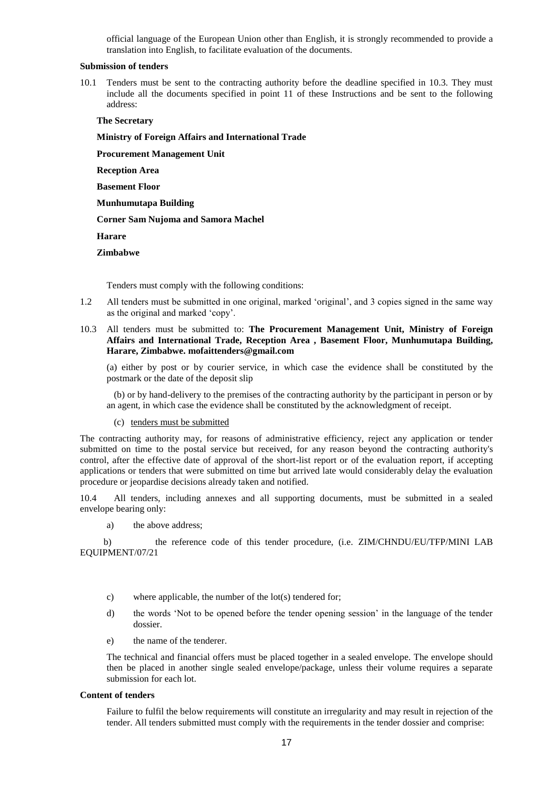official language of the European Union other than English, it is strongly recommended to provide a translation into English, to facilitate evaluation of the documents.

#### **Submission of tenders**

10.1 Tenders must be sent to the contracting authority before the deadline specified in 10.3. They must include all the documents specified in point 11 of these Instructions and be sent to the following address:

#### **The Secretary**

**Ministry of Foreign Affairs and International Trade**

**Procurement Management Unit**

**Reception Area** 

**Basement Floor**

**Munhumutapa Building** 

#### **Corner Sam Nujoma and Samora Machel**

**Harare**

#### **Zimbabwe**

Tenders must comply with the following conditions:

- 1.2 All tenders must be submitted in one original, marked 'original', and 3 copies signed in the same way as the original and marked 'copy'.
- 10.3 All tenders must be submitted to: **The Procurement Management Unit, Ministry of Foreign Affairs and International Trade, Reception Area , Basement Floor, Munhumutapa Building, Harare, Zimbabwe. mofaittenders@gmail.com**

(a) either by post or by courier service, in which case the evidence shall be constituted by the postmark or the date of the deposit slip

(b) or by hand-delivery to the premises of the contracting authority by the participant in person or by an agent, in which case the evidence shall be constituted by the acknowledgment of receipt.

(c) tenders must be submitted

The contracting authority may, for reasons of administrative efficiency, reject any application or tender submitted on time to the postal service but received, for any reason beyond the contracting authority's control, after the effective date of approval of the short-list report or of the evaluation report, if accepting applications or tenders that were submitted on time but arrived late would considerably delay the evaluation procedure or jeopardise decisions already taken and notified.

10.4 All tenders, including annexes and all supporting documents, must be submitted in a sealed envelope bearing only:

a) the above address;

 b) the reference code of this tender procedure, (i.e. ZIM/CHNDU/EU/TFP/MINI LAB EQUIPMENT/07/21

- c) where applicable, the number of the lot(s) tendered for;
- d) the words 'Not to be opened before the tender opening session' in the language of the tender dossier.
- e) the name of the tenderer.

The technical and financial offers must be placed together in a sealed envelope. The envelope should then be placed in another single sealed envelope/package, unless their volume requires a separate submission for each lot.

#### **Content of tenders**

Failure to fulfil the below requirements will constitute an irregularity and may result in rejection of the tender. All tenders submitted must comply with the requirements in the tender dossier and comprise: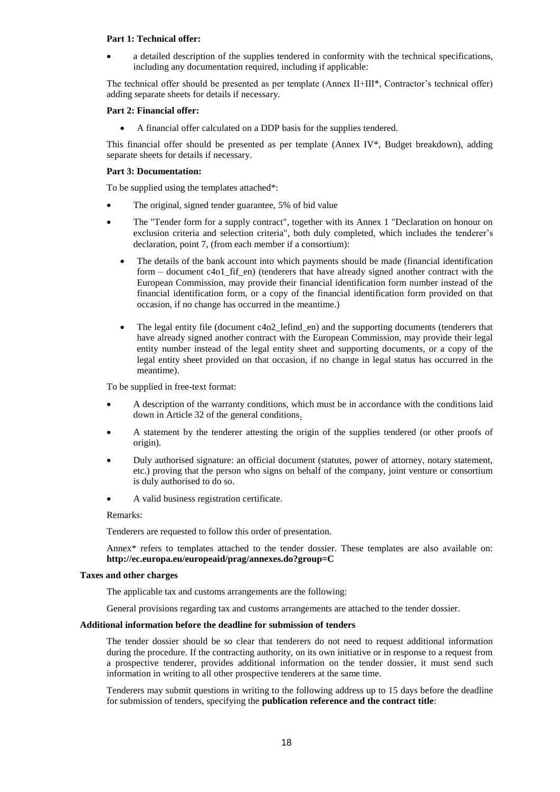#### **Part 1: Technical offer:**

• a detailed description of the supplies tendered in conformity with the technical specifications, including any documentation required, including if applicable:

The technical offer should be presented as per template (Annex II+III\*, Contractor's technical offer) adding separate sheets for details if necessary.

#### **Part 2: Financial offer:**

• A financial offer calculated on a DDP basis for the supplies tendered.

This financial offer should be presented as per template (Annex IV $^*$ , Budget breakdown), adding separate sheets for details if necessary.

#### **Part 3: Documentation:**

To be supplied using the templates attached\*:

- The original, signed tender guarantee, 5% of bid value
- The "Tender form for a supply contract", together with its Annex 1 "Declaration on honour on exclusion criteria and selection criteria", both duly completed, which includes the tenderer's declaration, point 7, (from each member if a consortium):
	- The details of the bank account into which payments should be made (financial identification form – document c4o1 fif en) (tenderers that have already signed another contract with the European Commission, may provide their financial identification form number instead of the financial identification form, or a copy of the financial identification form provided on that occasion, if no change has occurred in the meantime.)
	- The legal entity file (document c4o2 lefind en) and the supporting documents (tenderers that have already signed another contract with the European Commission, may provide their legal entity number instead of the legal entity sheet and supporting documents, or a copy of the legal entity sheet provided on that occasion, if no change in legal status has occurred in the meantime).

To be supplied in free-text format:

- A description of the warranty conditions, which must be in accordance with the conditions laid down in Article 32 of the general conditions.
- A statement by the tenderer attesting the origin of the supplies tendered (or other proofs of origin).
- Duly authorised signature: an official document (statutes, power of attorney, notary statement, etc.) proving that the person who signs on behalf of the company, joint venture or consortium is duly authorised to do so.
- A valid business registration certificate.

#### Remarks:

Tenderers are requested to follow this order of presentation.

Annex\* refers to templates attached to the tender dossier. These templates are also available on: **<http://ec.europa.eu/europeaid/prag/annexes.do?group=C>**

#### **Taxes and other charges**

The applicable tax and customs arrangements are the following:

General provisions regarding tax and customs arrangements are attached to the tender dossier.

#### **Additional information before the deadline for submission of tenders**

The tender dossier should be so clear that tenderers do not need to request additional information during the procedure. If the contracting authority, on its own initiative or in response to a request from a prospective tenderer, provides additional information on the tender dossier, it must send such information in writing to all other prospective tenderers at the same time.

Tenderers may submit questions in writing to the following address up to 15 days before the deadline for submission of tenders, specifying the **publication reference and the contract title**: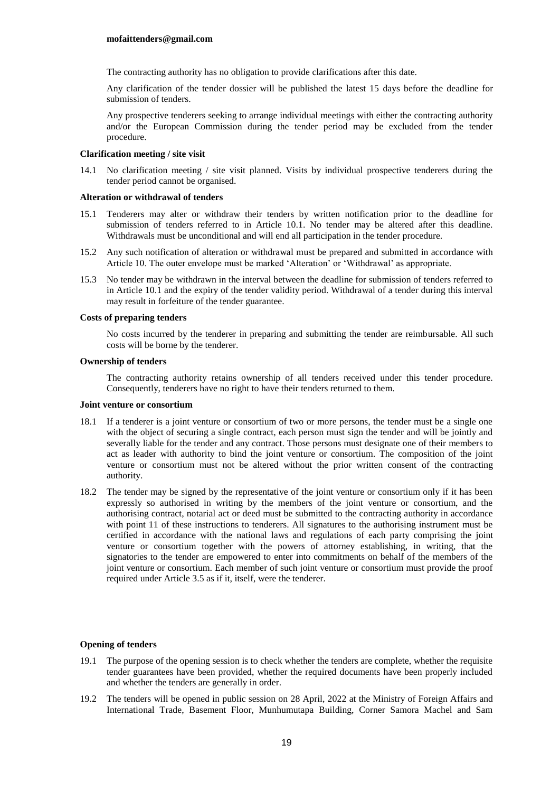#### **mofaittenders@gmail.com**

The contracting authority has no obligation to provide clarifications after this date.

Any clarification of the tender dossier will be published the latest 15 days before the deadline for submission of tenders.

Any prospective tenderers seeking to arrange individual meetings with either the contracting authority and/or the European Commission during the tender period may be excluded from the tender procedure.

#### **Clarification meeting / site visit**

14.1 No clarification meeting / site visit planned. Visits by individual prospective tenderers during the tender period cannot be organised.

#### **Alteration or withdrawal of tenders**

- 15.1 Tenderers may alter or withdraw their tenders by written notification prior to the deadline for submission of tenders referred to in Article 10.1. No tender may be altered after this deadline. Withdrawals must be unconditional and will end all participation in the tender procedure.
- 15.2 Any such notification of alteration or withdrawal must be prepared and submitted in accordance with Article 10. The outer envelope must be marked 'Alteration' or 'Withdrawal' as appropriate.
- 15.3 No tender may be withdrawn in the interval between the deadline for submission of tenders referred to in Article 10.1 and the expiry of the tender validity period. Withdrawal of a tender during this interval may result in forfeiture of the tender guarantee.

#### **Costs of preparing tenders**

No costs incurred by the tenderer in preparing and submitting the tender are reimbursable. All such costs will be borne by the tenderer.

#### **Ownership of tenders**

The contracting authority retains ownership of all tenders received under this tender procedure. Consequently, tenderers have no right to have their tenders returned to them.

#### **Joint venture or consortium**

- 18.1 If a tenderer is a joint venture or consortium of two or more persons, the tender must be a single one with the object of securing a single contract, each person must sign the tender and will be jointly and severally liable for the tender and any contract. Those persons must designate one of their members to act as leader with authority to bind the joint venture or consortium. The composition of the joint venture or consortium must not be altered without the prior written consent of the contracting authority.
- 18.2 The tender may be signed by the representative of the joint venture or consortium only if it has been expressly so authorised in writing by the members of the joint venture or consortium, and the authorising contract, notarial act or deed must be submitted to the contracting authority in accordance with point 11 of these instructions to tenderers. All signatures to the authorising instrument must be certified in accordance with the national laws and regulations of each party comprising the joint venture or consortium together with the powers of attorney establishing, in writing, that the signatories to the tender are empowered to enter into commitments on behalf of the members of the joint venture or consortium. Each member of such joint venture or consortium must provide the proof required under Article 3.5 as if it, itself, were the tenderer.

# **Opening of tenders**

- 19.1 The purpose of the opening session is to check whether the tenders are complete, whether the requisite tender guarantees have been provided, whether the required documents have been properly included and whether the tenders are generally in order.
- 19.2 The tenders will be opened in public session on 28 April, 2022 at the Ministry of Foreign Affairs and International Trade, Basement Floor, Munhumutapa Building, Corner Samora Machel and Sam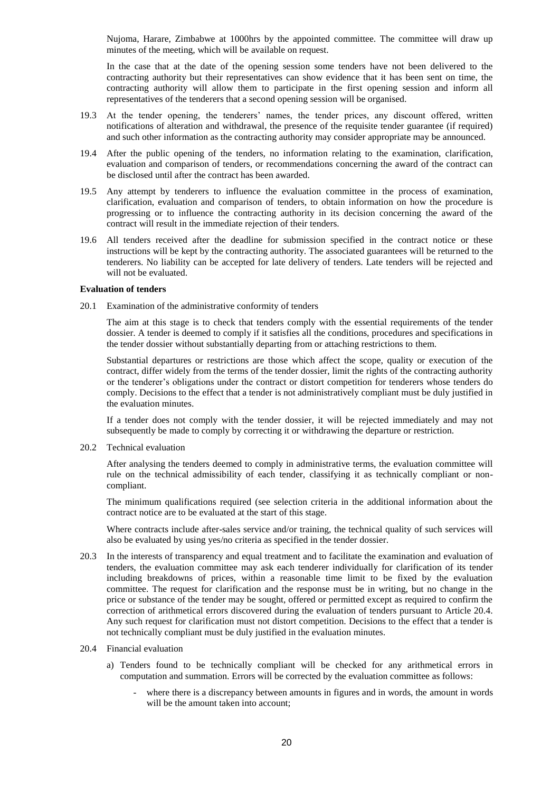Nujoma, Harare, Zimbabwe at 1000hrs by the appointed committee. The committee will draw up minutes of the meeting, which will be available on request.

In the case that at the date of the opening session some tenders have not been delivered to the contracting authority but their representatives can show evidence that it has been sent on time, the contracting authority will allow them to participate in the first opening session and inform all representatives of the tenderers that a second opening session will be organised.

- 19.3 At the tender opening, the tenderers' names, the tender prices, any discount offered, written notifications of alteration and withdrawal, the presence of the requisite tender guarantee (if required) and such other information as the contracting authority may consider appropriate may be announced.
- 19.4 After the public opening of the tenders, no information relating to the examination, clarification, evaluation and comparison of tenders, or recommendations concerning the award of the contract can be disclosed until after the contract has been awarded.
- 19.5 Any attempt by tenderers to influence the evaluation committee in the process of examination, clarification, evaluation and comparison of tenders, to obtain information on how the procedure is progressing or to influence the contracting authority in its decision concerning the award of the contract will result in the immediate rejection of their tenders.
- 19.6 All tenders received after the deadline for submission specified in the contract notice or these instructions will be kept by the contracting authority. The associated guarantees will be returned to the tenderers. No liability can be accepted for late delivery of tenders. Late tenders will be rejected and will not be evaluated.

#### **Evaluation of tenders**

20.1 Examination of the administrative conformity of tenders

The aim at this stage is to check that tenders comply with the essential requirements of the tender dossier. A tender is deemed to comply if it satisfies all the conditions, procedures and specifications in the tender dossier without substantially departing from or attaching restrictions to them.

Substantial departures or restrictions are those which affect the scope, quality or execution of the contract, differ widely from the terms of the tender dossier, limit the rights of the contracting authority or the tenderer's obligations under the contract or distort competition for tenderers whose tenders do comply. Decisions to the effect that a tender is not administratively compliant must be duly justified in the evaluation minutes.

If a tender does not comply with the tender dossier, it will be rejected immediately and may not subsequently be made to comply by correcting it or withdrawing the departure or restriction.

20.2 Technical evaluation

After analysing the tenders deemed to comply in administrative terms, the evaluation committee will rule on the technical admissibility of each tender, classifying it as technically compliant or noncompliant.

The minimum qualifications required (see selection criteria in the additional information about the contract notice are to be evaluated at the start of this stage.

Where contracts include after-sales service and/or training, the technical quality of such services will also be evaluated by using yes/no criteria as specified in the tender dossier.

20.3 In the interests of transparency and equal treatment and to facilitate the examination and evaluation of tenders, the evaluation committee may ask each tenderer individually for clarification of its tender including breakdowns of prices, within a reasonable time limit to be fixed by the evaluation committee. The request for clarification and the response must be in writing, but no change in the price or substance of the tender may be sought, offered or permitted except as required to confirm the correction of arithmetical errors discovered during the evaluation of tenders pursuant to Article 20.4. Any such request for clarification must not distort competition. Decisions to the effect that a tender is not technically compliant must be duly justified in the evaluation minutes.

#### 20.4 Financial evaluation

- a) Tenders found to be technically compliant will be checked for any arithmetical errors in computation and summation. Errors will be corrected by the evaluation committee as follows:
	- where there is a discrepancy between amounts in figures and in words, the amount in words will be the amount taken into account: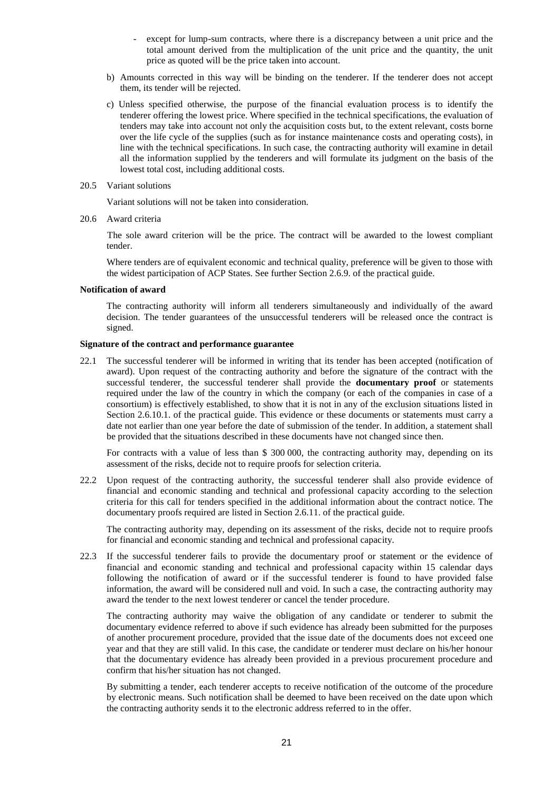- except for lump-sum contracts, where there is a discrepancy between a unit price and the total amount derived from the multiplication of the unit price and the quantity, the unit price as quoted will be the price taken into account.
- b) Amounts corrected in this way will be binding on the tenderer. If the tenderer does not accept them, its tender will be rejected.
- c) Unless specified otherwise, the purpose of the financial evaluation process is to identify the tenderer offering the lowest price. Where specified in the technical specifications, the evaluation of tenders may take into account not only the acquisition costs but, to the extent relevant, costs borne over the life cycle of the supplies (such as for instance maintenance costs and operating costs), in line with the technical specifications. In such case, the contracting authority will examine in detail all the information supplied by the tenderers and will formulate its judgment on the basis of the lowest total cost, including additional costs.
- 20.5 Variant solutions

Variant solutions will not be taken into consideration.

20.6 Award criteria

The sole award criterion will be the price. The contract will be awarded to the lowest compliant tender.

Where tenders are of equivalent economic and technical quality, preference will be given to those with the widest participation of ACP States. See further Section 2.6.9. of the practical guide.

#### **Notification of award**

The contracting authority will inform all tenderers simultaneously and individually of the award decision. The tender guarantees of the unsuccessful tenderers will be released once the contract is signed.

#### **Signature of the contract and performance guarantee**

22.1 The successful tenderer will be informed in writing that its tender has been accepted (notification of award). Upon request of the contracting authority and before the signature of the contract with the successful tenderer, the successful tenderer shall provide the **documentary proof** or statements required under the law of the country in which the company (or each of the companies in case of a consortium) is effectively established, to show that it is not in any of the exclusion situations listed in Section 2.6.10.1. of the practical guide. This evidence or these documents or statements must carry a date not earlier than one year before the date of submission of the tender. In addition, a statement shall be provided that the situations described in these documents have not changed since then.

For contracts with a value of less than \$ 300 000, the contracting authority may, depending on its assessment of the risks, decide not to require proofs for selection criteria.

22.2 Upon request of the contracting authority, the successful tenderer shall also provide evidence of financial and economic standing and technical and professional capacity according to the selection criteria for this call for tenders specified in the additional information about the contract notice. The documentary proofs required are listed in Section 2.6.11. of the practical guide.

The contracting authority may, depending on its assessment of the risks, decide not to require proofs for financial and economic standing and technical and professional capacity.

22.3 If the successful tenderer fails to provide the documentary proof or statement or the evidence of financial and economic standing and technical and professional capacity within 15 calendar days following the notification of award or if the successful tenderer is found to have provided false information, the award will be considered null and void. In such a case, the contracting authority may award the tender to the next lowest tenderer or cancel the tender procedure.

The contracting authority may waive the obligation of any candidate or tenderer to submit the documentary evidence referred to above if such evidence has already been submitted for the purposes of another procurement procedure, provided that the issue date of the documents does not exceed one year and that they are still valid. In this case, the candidate or tenderer must declare on his/her honour that the documentary evidence has already been provided in a previous procurement procedure and confirm that his/her situation has not changed.

By submitting a tender, each tenderer accepts to receive notification of the outcome of the procedure by electronic means. Such notification shall be deemed to have been received on the date upon which the contracting authority sends it to the electronic address referred to in the offer.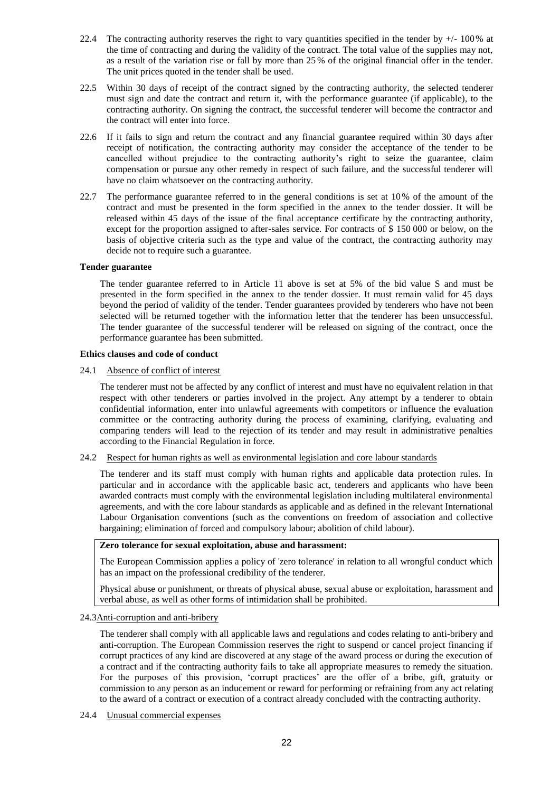- 22.4 The contracting authority reserves the right to vary quantities specified in the tender by  $+/-100\%$  at the time of contracting and during the validity of the contract. The total value of the supplies may not, as a result of the variation rise or fall by more than 25 % of the original financial offer in the tender. The unit prices quoted in the tender shall be used.
- 22.5 Within 30 days of receipt of the contract signed by the contracting authority, the selected tenderer must sign and date the contract and return it, with the performance guarantee (if applicable), to the contracting authority. On signing the contract, the successful tenderer will become the contractor and the contract will enter into force.
- 22.6 If it fails to sign and return the contract and any financial guarantee required within 30 days after receipt of notification, the contracting authority may consider the acceptance of the tender to be cancelled without prejudice to the contracting authority's right to seize the guarantee, claim compensation or pursue any other remedy in respect of such failure, and the successful tenderer will have no claim whatsoever on the contracting authority.
- 22.7 The performance guarantee referred to in the general conditions is set at 10% of the amount of the contract and must be presented in the form specified in the annex to the tender dossier. It will be released within 45 days of the issue of the final acceptance certificate by the contracting authority, except for the proportion assigned to after-sales service. For contracts of \$ 150 000 or below, on the basis of objective criteria such as the type and value of the contract, the contracting authority may decide not to require such a guarantee.

#### **Tender guarantee**

The tender guarantee referred to in Article 11 above is set at 5% of the bid value S and must be presented in the form specified in the annex to the tender dossier. It must remain valid for 45 days beyond the period of validity of the tender. Tender guarantees provided by tenderers who have not been selected will be returned together with the information letter that the tenderer has been unsuccessful. The tender guarantee of the successful tenderer will be released on signing of the contract, once the performance guarantee has been submitted.

#### **Ethics clauses and code of conduct**

#### 24.1 Absence of conflict of interest

The tenderer must not be affected by any conflict of interest and must have no equivalent relation in that respect with other tenderers or parties involved in the project. Any attempt by a tenderer to obtain confidential information, enter into unlawful agreements with competitors or influence the evaluation committee or the contracting authority during the process of examining, clarifying, evaluating and comparing tenders will lead to the rejection of its tender and may result in administrative penalties according to the Financial Regulation in force.

# 24.2 Respect for human rights as well as environmental legislation and core labour standards

The tenderer and its staff must comply with human rights and applicable data protection rules. In particular and in accordance with the applicable basic act, tenderers and applicants who have been awarded contracts must comply with the environmental legislation including multilateral environmental agreements, and with the core labour standards as applicable and as defined in the relevant International Labour Organisation conventions (such as the conventions on freedom of association and collective bargaining; elimination of forced and compulsory labour; abolition of child labour).

#### **Zero tolerance for sexual exploitation, abuse and harassment:**

The European Commission applies a policy of 'zero tolerance' in relation to all wrongful conduct which has an impact on the professional credibility of the tenderer.

Physical abuse or punishment, or threats of physical abuse, sexual abuse or exploitation, harassment and verbal abuse, as well as other forms of intimidation shall be prohibited.

#### 24.3Anti-corruption and anti-bribery

The tenderer shall comply with all applicable laws and regulations and codes relating to anti-bribery and anti-corruption. The European Commission reserves the right to suspend or cancel project financing if corrupt practices of any kind are discovered at any stage of the award process or during the execution of a contract and if the contracting authority fails to take all appropriate measures to remedy the situation. For the purposes of this provision, 'corrupt practices' are the offer of a bribe, gift, gratuity or commission to any person as an inducement or reward for performing or refraining from any act relating to the award of a contract or execution of a contract already concluded with the contracting authority.

24.4 Unusual commercial expenses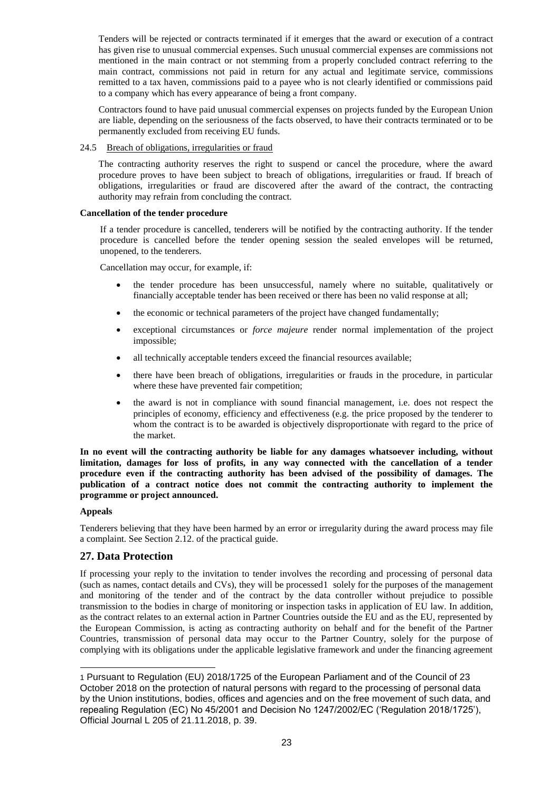Tenders will be rejected or contracts terminated if it emerges that the award or execution of a contract has given rise to unusual commercial expenses. Such unusual commercial expenses are commissions not mentioned in the main contract or not stemming from a properly concluded contract referring to the main contract, commissions not paid in return for any actual and legitimate service, commissions remitted to a tax haven, commissions paid to a payee who is not clearly identified or commissions paid to a company which has every appearance of being a front company.

Contractors found to have paid unusual commercial expenses on projects funded by the European Union are liable, depending on the seriousness of the facts observed, to have their contracts terminated or to be permanently excluded from receiving EU funds.

24.5 Breach of obligations, irregularities or fraud

The contracting authority reserves the right to suspend or cancel the procedure, where the award procedure proves to have been subject to breach of obligations, irregularities or fraud. If breach of obligations, irregularities or fraud are discovered after the award of the contract, the contracting authority may refrain from concluding the contract.

#### **Cancellation of the tender procedure**

If a tender procedure is cancelled, tenderers will be notified by the contracting authority. If the tender procedure is cancelled before the tender opening session the sealed envelopes will be returned, unopened, to the tenderers.

Cancellation may occur, for example, if:

- the tender procedure has been unsuccessful, namely where no suitable, qualitatively or financially acceptable tender has been received or there has been no valid response at all;
- the economic or technical parameters of the project have changed fundamentally;
- exceptional circumstances or *force majeure* render normal implementation of the project impossible;
- all technically acceptable tenders exceed the financial resources available;
- there have been breach of obligations, irregularities or frauds in the procedure, in particular where these have prevented fair competition:
- the award is not in compliance with sound financial management, i.e. does not respect the principles of economy, efficiency and effectiveness (e.g. the price proposed by the tenderer to whom the contract is to be awarded is objectively disproportionate with regard to the price of the market.

**In no event will the contracting authority be liable for any damages whatsoever including, without limitation, damages for loss of profits, in any way connected with the cancellation of a tender procedure even if the contracting authority has been advised of the possibility of damages. The publication of a contract notice does not commit the contracting authority to implement the programme or project announced.**

#### **Appeals**

1

Tenderers believing that they have been harmed by an error or irregularity during the award process may file a complaint. See Section 2.12. of the practical guide.

# **27. Data Protection**

If processing your reply to the invitation to tender involves the recording and processing of personal data (such as names, contact details and CVs), they will be processed1 solely for the purposes of the management and monitoring of the tender and of the contract by the data controller without prejudice to possible transmission to the bodies in charge of monitoring or inspection tasks in application of EU law. In addition, as the contract relates to an external action in Partner Countries outside the EU and as the EU, represented by the European Commission, is acting as contracting authority on behalf and for the benefit of the Partner Countries, transmission of personal data may occur to the Partner Country, solely for the purpose of complying with its obligations under the applicable legislative framework and under the financing agreement

<sup>1</sup> Pursuant to Regulation (EU) 2018/1725 of the European Parliament and of the Council of 23 October 2018 on the protection of natural persons with regard to the processing of personal data by the Union institutions, bodies, offices and agencies and on the free movement of such data, and repealing Regulation (EC) No 45/2001 and Decision No 1247/2002/EC ('Regulation 2018/1725'), Official Journal L 205 of 21.11.2018, p. 39.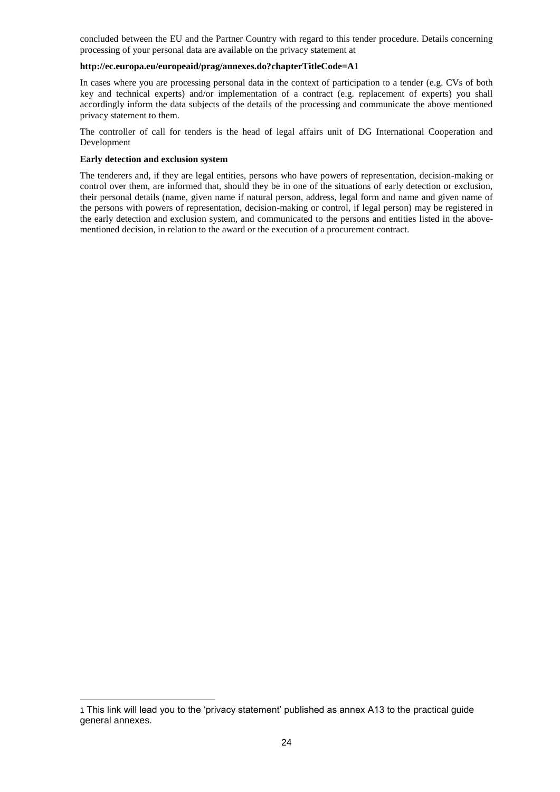concluded between the EU and the Partner Country with regard to this tender procedure. Details concerning processing of your personal data are available on the privacy statement at

#### **<http://ec.europa.eu/europeaid/prag/annexes.do?chapterTitleCode=A>**1

In cases where you are processing personal data in the context of participation to a tender (e.g. CVs of both key and technical experts) and/or implementation of a contract (e.g. replacement of experts) you shall accordingly inform the data subjects of the details of the processing and communicate the above mentioned privacy statement to them.

The controller of call for tenders is the head of legal affairs unit of DG International Cooperation and Development

#### **Early detection and exclusion system**

1

The tenderers and, if they are legal entities, persons who have powers of representation, decision-making or control over them, are informed that, should they be in one of the situations of early detection or exclusion, their personal details (name, given name if natural person, address, legal form and name and given name of the persons with powers of representation, decision-making or control, if legal person) may be registered in the early detection and exclusion system, and communicated to the persons and entities listed in the abovementioned decision, in relation to the award or the execution of a procurement contract.

<sup>1</sup> This link will lead you to the 'privacy statement' published as annex A13 to the practical guide general annexes.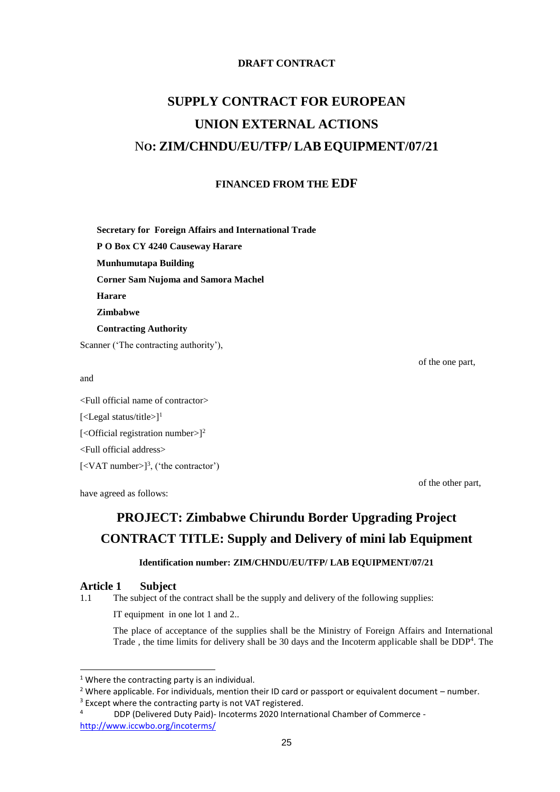# **DRAFT CONTRACT**

# **SUPPLY CONTRACT FOR EUROPEAN UNION EXTERNAL ACTIONS** N**O: ZIM/CHNDU/EU/TFP/ LAB EQUIPMENT/07/21**

# **FINANCED FROM THE EDF**

**Secretary for Foreign Affairs and International Trade**

**P O Box CY 4240 Causeway Harare**

**Munhumutapa Building** 

**Corner Sam Nujoma and Samora Machel** 

**Harare**

**Zimbabwe**

**Contracting Authority**

Scanner ('The contracting authority'),

and

-

<Full official name of contractor> [<Legal status/title> $]$ <sup>1</sup> [< $O$ fficial registration number>]<sup>2</sup> <Full official address>  $[\langle \text{VAT number}\rangle]^3$ , ('the contractor')

have agreed as follows:

of the one part,

of the other part,

# **PROJECT: Zimbabwe Chirundu Border Upgrading Project CONTRACT TITLE: Supply and Delivery of mini lab Equipment**

# **Identification number: ZIM/CHNDU/EU/TFP/ LAB EQUIPMENT/07/21**

# **Article 1 Subject**

1.1 The subject of the contract shall be the supply and delivery of the following supplies:

IT equipment in one lot 1 and 2..

The place of acceptance of the supplies shall be the Ministry of Foreign Affairs and International Trade, the time limits for delivery shall be 30 days and the Incoterm applicable shall be  $DDP<sup>4</sup>$ . The

<sup>&</sup>lt;sup>1</sup> Where the contracting party is an individual.

 $2$  Where applicable. For individuals, mention their ID card or passport or equivalent document – number.

<sup>&</sup>lt;sup>3</sup> Except where the contracting party is not VAT registered.

<sup>4</sup> DDP (Delivered Duty Paid)- Incoterms 2020 International Chamber of Commerce <http://www.iccwbo.org/incoterms/>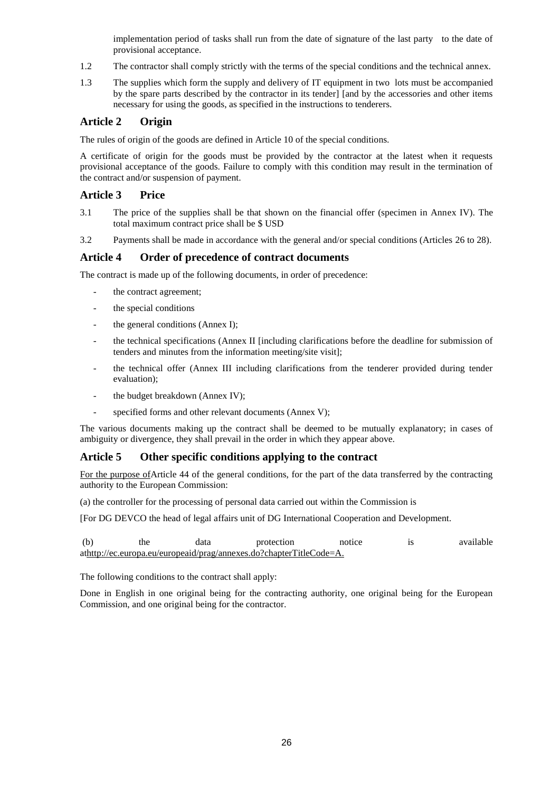implementation period of tasks shall run from the date of signature of the last party to the date of provisional acceptance.

- 1.2 The contractor shall comply strictly with the terms of the special conditions and the technical annex.
- 1.3 The supplies which form the supply and delivery of IT equipment in two lots must be accompanied by the spare parts described by the contractor in its tender] [and by the accessories and other items necessary for using the goods, as specified in the instructions to tenderers.

# **Article 2 Origin**

The rules of origin of the goods are defined in Article 10 of the special conditions.

A certificate of origin for the goods must be provided by the contractor at the latest when it requests provisional acceptance of the goods. Failure to comply with this condition may result in the termination of the contract and/or suspension of payment.

# **Article 3 Price**

- 3.1 The price of the supplies shall be that shown on the financial offer (specimen in Annex IV). The total maximum contract price shall be \$ USD
- 3.2 Payments shall be made in accordance with the general and/or special conditions (Articles 26 to 28).

# **Article 4 Order of precedence of contract documents**

The contract is made up of the following documents, in order of precedence:

- the contract agreement;
- the special conditions
- the general conditions (Annex I);
- the technical specifications (Annex II [including clarifications before the deadline for submission of tenders and minutes from the information meeting/site visit];
- the technical offer (Annex III including clarifications from the tenderer provided during tender evaluation);
- the budget breakdown (Annex IV);
- specified forms and other relevant documents (Annex V);

The various documents making up the contract shall be deemed to be mutually explanatory; in cases of ambiguity or divergence, they shall prevail in the order in which they appear above.

# **Article 5 Other specific conditions applying to the contract**

For the purpose ofArticle 44 of the general conditions, for the part of the data transferred by the contracting authority to the European Commission:

(a) the controller for the processing of personal data carried out within the Commission is

[For DG DEVCO the head of legal affairs unit of DG International Cooperation and Development.

| (b) | the | data | protection                                                          | notice | available |
|-----|-----|------|---------------------------------------------------------------------|--------|-----------|
|     |     |      | athttp://ec.europa.eu/europeaid/prag/annexes.do?chapterTitleCode=A. |        |           |

The following conditions to the contract shall apply:

Done in English in one original being for the contracting authority, one original being for the European Commission, and one original being for the contractor.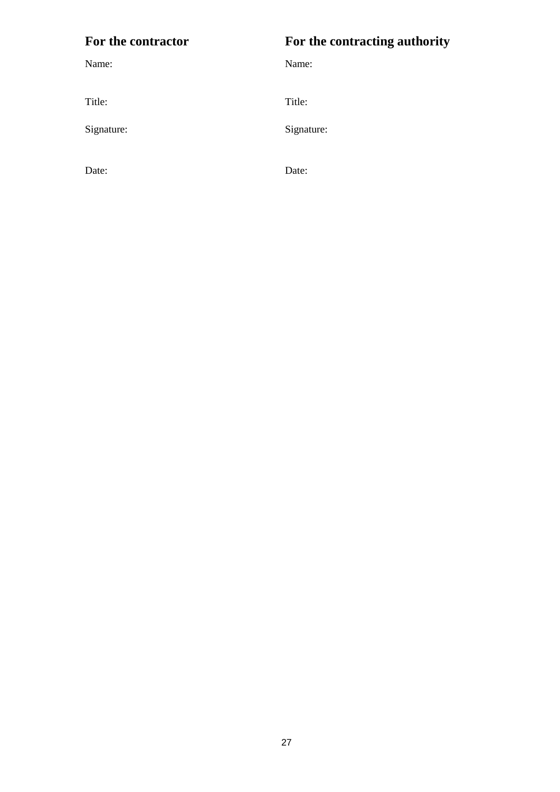# **For the contractor For the contracting authority**

Name: Name:

Signature: Signature: Signature:

Title: Title:

Date: Date: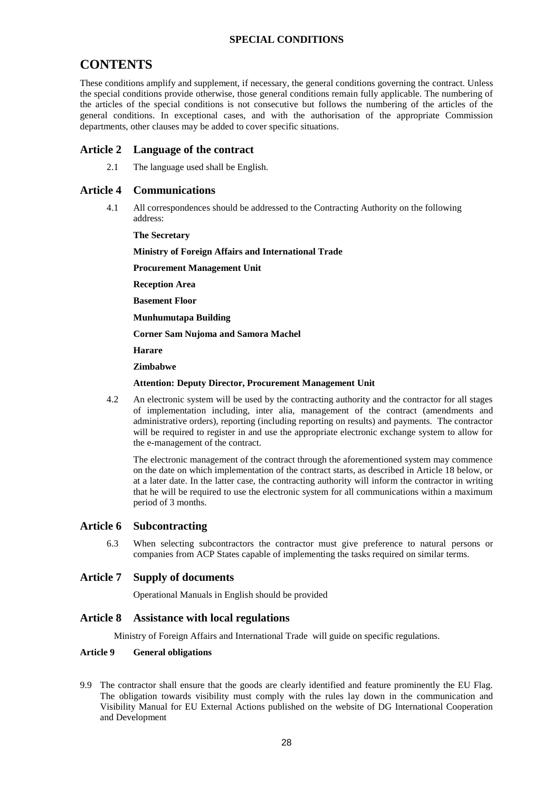# **SPECIAL CONDITIONS**

# **CONTENTS**

These conditions amplify and supplement, if necessary, the general conditions governing the contract. Unless the special conditions provide otherwise, those general conditions remain fully applicable. The numbering of the articles of the special conditions is not consecutive but follows the numbering of the articles of the general conditions. In exceptional cases, and with the authorisation of the appropriate Commission departments, other clauses may be added to cover specific situations.

# **Article 2 Language of the contract**

2.1 The language used shall be English.

# **Article 4 Communications**

4.1 All correspondences should be addressed to the Contracting Authority on the following address:

**The Secretary** 

**Ministry of Foreign Affairs and International Trade**

**Procurement Management Unit**

**Reception Area** 

**Basement Floor**

**Munhumutapa Building** 

**Corner Sam Nujoma and Samora Machel** 

**Harare**

**Zimbabwe**

#### **Attention: Deputy Director, Procurement Management Unit**

4.2 An electronic system will be used by the contracting authority and the contractor for all stages of implementation including, inter alia, management of the contract (amendments and administrative orders), reporting (including reporting on results) and payments. The contractor will be required to register in and use the appropriate electronic exchange system to allow for the e-management of the contract.

The electronic management of the contract through the aforementioned system may commence on the date on which implementation of the contract starts, as described in Article 18 below, or at a later date. In the latter case, the contracting authority will inform the contractor in writing that he will be required to use the electronic system for all communications within a maximum period of 3 months.

# **Article 6 Subcontracting**

6.3 When selecting subcontractors the contractor must give preference to natural persons or companies from ACP States capable of implementing the tasks required on similar terms.

#### **Article 7 Supply of documents**

Operational Manuals in English should be provided

#### **Article 8 Assistance with local regulations**

Ministry of Foreign Affairs and International Trade will guide on specific regulations.

### **Article 9 General obligations**

9.9 The contractor shall ensure that the goods are clearly identified and feature prominently the EU Flag. The obligation towards visibility must comply with the rules lay down in the communication and Visibility Manual for EU External Actions published on the website of DG International Cooperation and Development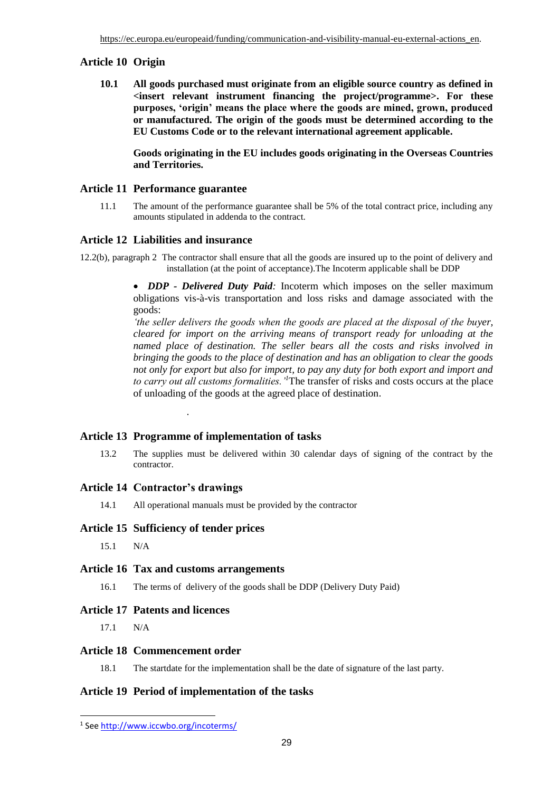# **Article 10 Origin**

**10.1 All goods purchased must originate from an eligible source country as defined in <insert relevant instrument financing the project/programme>. For these purposes, 'origin' means the place where the goods are mined, grown, produced or manufactured. The origin of the goods must be determined according to the EU Customs Code or to the relevant international agreement applicable.**

**Goods originating in the EU includes goods originating in the Overseas Countries and Territories.**

# **Article 11 Performance guarantee**

11.1 The amount of the performance guarantee shall be 5% of the total contract price, including any amounts stipulated in addenda to the contract.

# **Article 12 Liabilities and insurance**

12.2(b), paragraph 2 The contractor shall ensure that all the goods are insured up to the point of delivery and installation (at the point of acceptance).The Incoterm applicable shall be DDP

> • *DDP - Delivered Duty Paid:* Incoterm which imposes on the seller maximum obligations vis-à-vis transportation and loss risks and damage associated with the goods:

> *the seller delivers the goods when the goods are placed at the disposal of the buyer, cleared for import on the arriving means of transport ready for unloading at the named place of destination. The seller bears all the costs and risks involved in bringing the goods to the place of destination and has an obligation to clear the goods not only for export but also for import, to pay any duty for both export and import and to carry out all customs formalities.'<sup>1</sup>*The transfer of risks and costs occurs at the place of unloading of the goods at the agreed place of destination.

# **Article 13 Programme of implementation of tasks**

.

13.2 The supplies must be delivered within 30 calendar days of signing of the contract by the contractor.

# **Article 14 Contractor's drawings**

14.1 All operational manuals must be provided by the contractor

# **Article 15 Sufficiency of tender prices**

15.1 N/A

#### **Article 16 Tax and customs arrangements**

16.1 The terms of delivery of the goods shall be DDP (Delivery Duty Paid)

#### **Article 17 Patents and licences**

17.1 N/A

-

#### **Article 18 Commencement order**

18.1 The startdate for the implementation shall be the date of signature of the last party.

#### **Article 19 Period of implementation of the tasks**

<sup>&</sup>lt;sup>1</sup> Se[e http://www.iccwbo.org/incoterms/](http://www.iccwbo.org/incoterms/)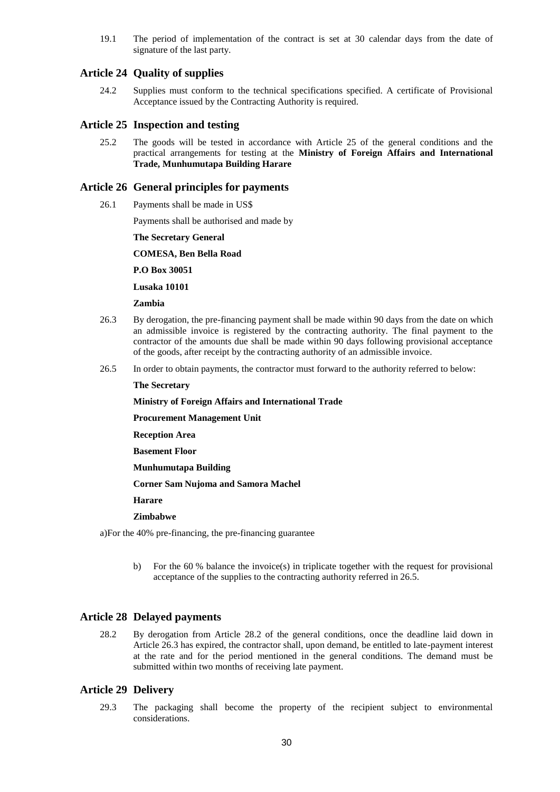19.1 The period of implementation of the contract is set at 30 calendar days from the date of signature of the last party.

# **Article 24 Quality of supplies**

24.2 Supplies must conform to the technical specifications specified. A certificate of Provisional Acceptance issued by the Contracting Authority is required.

# **Article 25 Inspection and testing**

25.2 The goods will be tested in accordance with Article 25 of the general conditions and the practical arrangements for testing at the **Ministry of Foreign Affairs and International Trade, Munhumutapa Building Harare**

#### **Article 26 General principles for payments**

26.1 Payments shall be made in US\$

Payments shall be authorised and made by

**The Secretary General** 

**COMESA, Ben Bella Road**

**P.O Box 30051**

**Lusaka 10101**

#### **Zambia**

- 26.3 By derogation, the pre-financing payment shall be made within 90 days from the date on which an admissible invoice is registered by the contracting authority. The final payment to the contractor of the amounts due shall be made within 90 days following provisional acceptance of the goods, after receipt by the contracting authority of an admissible invoice.
- 26.5 In order to obtain payments, the contractor must forward to the authority referred to below:

#### **The Secretary**

**Ministry of Foreign Affairs and International Trade**

**Procurement Management Unit**

**Reception Area** 

**Basement Floor**

**Munhumutapa Building** 

**Corner Sam Nujoma and Samora Machel** 

**Harare**

#### **Zimbabwe**

a)For the 40% pre-financing, the pre-financing guarantee

b) For the 60 % balance the invoice(s) in triplicate together with the request for provisional acceptance of the supplies to the contracting authority referred in 26.5.

#### **Article 28 Delayed payments**

28.2 By derogation from Article 28.2 of the general conditions, once the deadline laid down in Article 26.3 has expired, the contractor shall, upon demand, be entitled to late-payment interest at the rate and for the period mentioned in the general conditions. The demand must be submitted within two months of receiving late payment.

#### **Article 29 Delivery**

29.3 The packaging shall become the property of the recipient subject to environmental considerations.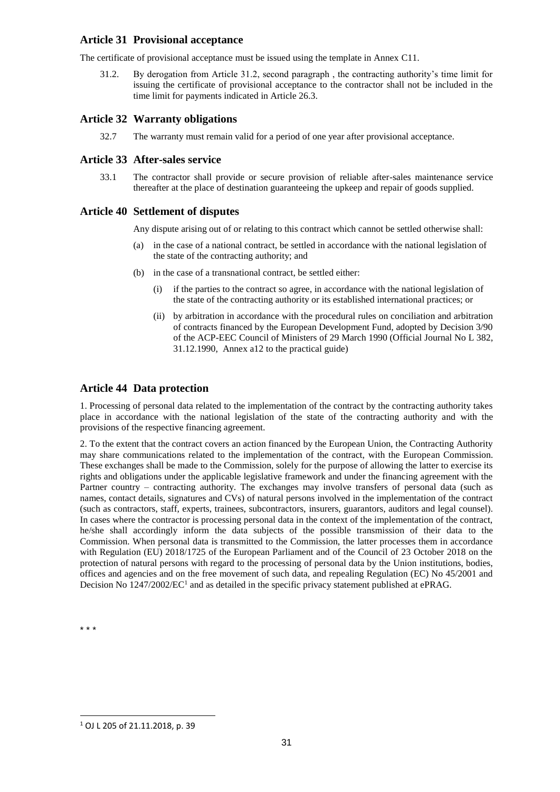# **Article 31 Provisional acceptance**

The certificate of provisional acceptance must be issued using the template in Annex C11.

31.2. By derogation from Article 31.2, second paragraph , the contracting authority's time limit for issuing the certificate of provisional acceptance to the contractor shall not be included in the time limit for payments indicated in Article 26.3.

# **Article 32 Warranty obligations**

32.7 The warranty must remain valid for a period of one year after provisional acceptance.

# **Article 33 After-sales service**

33.1 The contractor shall provide or secure provision of reliable after-sales maintenance service thereafter at the place of destination guaranteeing the upkeep and repair of goods supplied.

# **Article 40 Settlement of disputes**

Any dispute arising out of or relating to this contract which cannot be settled otherwise shall:

- (a) in the case of a national contract, be settled in accordance with the national legislation of the state of the contracting authority; and
- (b) in the case of a transnational contract, be settled either:
	- (i) if the parties to the contract so agree, in accordance with the national legislation of the state of the contracting authority or its established international practices; or
	- (ii) by arbitration in accordance with the procedural rules on conciliation and arbitration of contracts financed by the European Development Fund, adopted by Decision 3/90 of the ACP-EEC Council of Ministers of 29 March 1990 (Official Journal No L 382, 31.12.1990, Annex a12 to the practical guide)

# **Article 44 Data protection**

1. Processing of personal data related to the implementation of the contract by the contracting authority takes place in accordance with the national legislation of the state of the contracting authority and with the provisions of the respective financing agreement.

2. To the extent that the contract covers an action financed by the European Union, the Contracting Authority may share communications related to the implementation of the contract, with the European Commission. These exchanges shall be made to the Commission, solely for the purpose of allowing the latter to exercise its rights and obligations under the applicable legislative framework and under the financing agreement with the Partner country – contracting authority. The exchanges may involve transfers of personal data (such as names, contact details, signatures and CVs) of natural persons involved in the implementation of the contract (such as contractors, staff, experts, trainees, subcontractors, insurers, guarantors, auditors and legal counsel). In cases where the contractor is processing personal data in the context of the implementation of the contract, he/she shall accordingly inform the data subjects of the possible transmission of their data to the Commission. When personal data is transmitted to the Commission, the latter processes them in accordance with Regulation (EU) 2018/1725 of the European Parliament and of the Council of 23 October 2018 on the protection of natural persons with regard to the processing of personal data by the Union institutions, bodies, offices and agencies and on the free movement of such data, and repealing Regulation (EC) No 45/2001 and Decision No 1247/2002/EC<sup>1</sup> and as detailed in the specific privacy statement published at ePRAG.

\* \* \*

-

<sup>1</sup> OJ L 205 of 21.11.2018, p. 39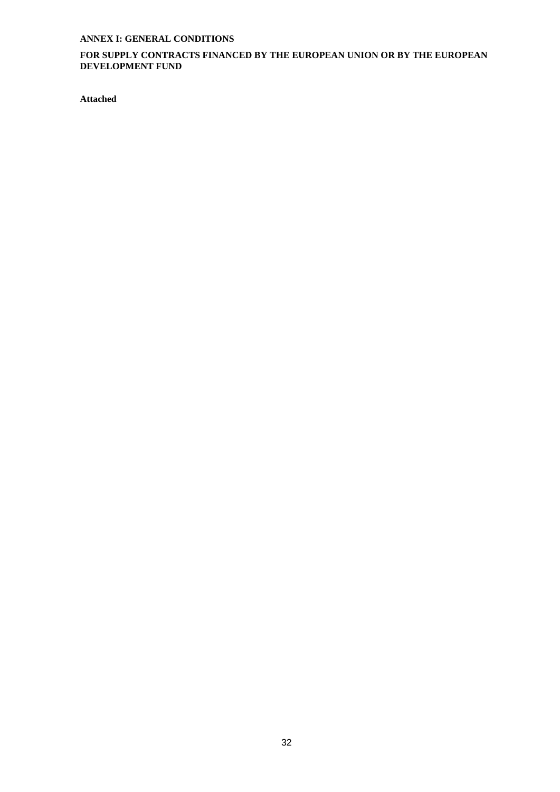# **ANNEX I: GENERAL CONDITIONS**

# **FOR SUPPLY CONTRACTS FINANCED BY THE EUROPEAN UNION OR BY THE EUROPEAN DEVELOPMENT FUND**

**Attached**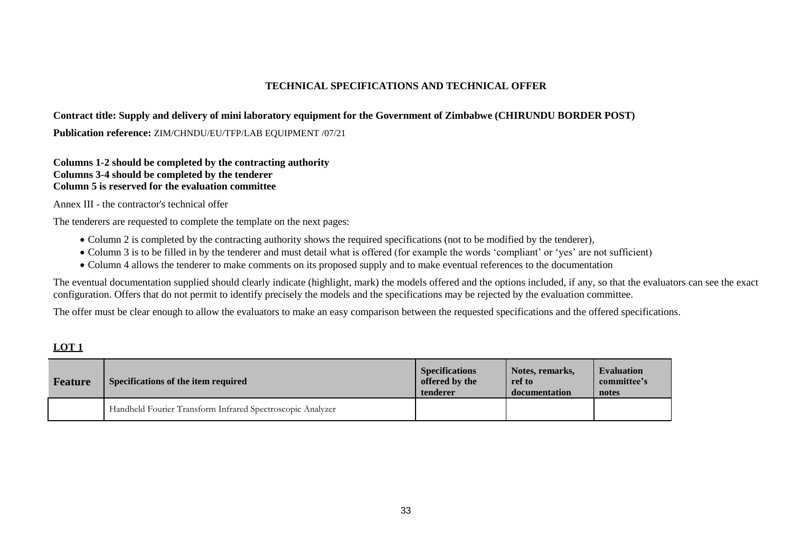# **TECHNICAL SPECIFICATIONS AND TECHNICAL OFFER**

# **Contract title: Supply and delivery of mini laboratory equipment for the Government of Zimbabwe (CHIRUNDU BORDER POST)**

Publication reference: ZIM/CHNDU/EU/TFP/LAB EQUIPMENT /07/21

# **Columns 1-2 should be completed by the contracting authority Columns 3-4 should be completed by the tenderer Column 5 is reserved for the evaluation committee**

Annex III - the contractor's technical offer

The tenderers are requested to complete the template on the next pages:

- Column 2 is completed by the contracting authority shows the required specifications (not to be modified by the tenderer),
- Column 3 is to be filled in by the tenderer and must detail what is offered (for example the words 'compliant' or 'yes' are not sufficient)
- Column 4 allows the tenderer to make comments on its proposed supply and to make eventual references to the documentation

The eventual documentation supplied should clearly indicate (highlight, mark) the models offered and the options included, if any, so that the evaluators can see the exact configuration. Offers that do not permit to identify precisely the models and the specifications may be rejected by the evaluation committee.

The offer must be clear enough to allow the evaluators to make an easy comparison between the requested specifications and the offered specifications.

# **LOT 1**

| Feature | Specifications of the item required                        | <b>Specifications</b><br>offered by the<br>tenderer | Notes, remarks,<br>ref to<br>documentation | <b>Evaluation</b><br>committee's<br>notes |
|---------|------------------------------------------------------------|-----------------------------------------------------|--------------------------------------------|-------------------------------------------|
|         | Handheld Fourier Transform Infrared Spectroscopic Analyzer |                                                     |                                            |                                           |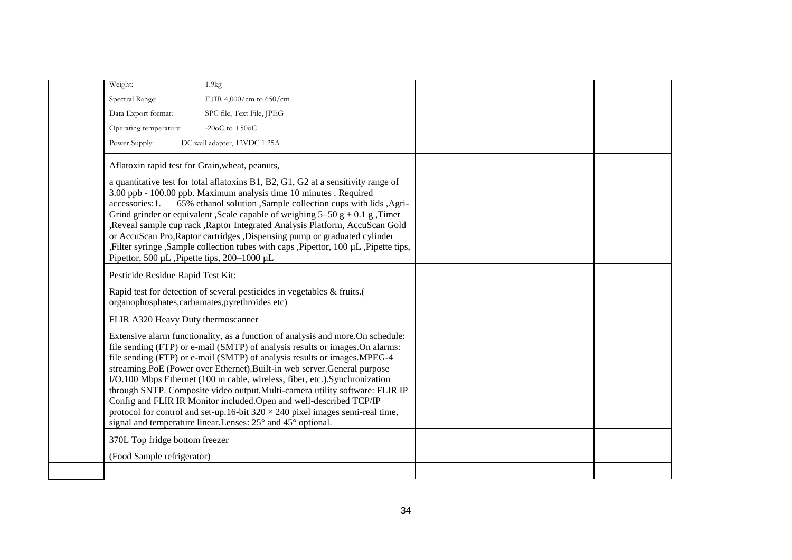| Weight:<br>1.9kg                                                                                                                                                                                                                                                                                                                                                                                                                                                                                                                                                                                                                                                                                                     |  |
|----------------------------------------------------------------------------------------------------------------------------------------------------------------------------------------------------------------------------------------------------------------------------------------------------------------------------------------------------------------------------------------------------------------------------------------------------------------------------------------------------------------------------------------------------------------------------------------------------------------------------------------------------------------------------------------------------------------------|--|
| Spectral Range:<br>FTIR 4,000/cm to $650$ /cm                                                                                                                                                                                                                                                                                                                                                                                                                                                                                                                                                                                                                                                                        |  |
| Data Export format:<br>SPC file, Text File, JPEG                                                                                                                                                                                                                                                                                                                                                                                                                                                                                                                                                                                                                                                                     |  |
| -20 $oC$ to $+50oC$<br>Operating temperature:                                                                                                                                                                                                                                                                                                                                                                                                                                                                                                                                                                                                                                                                        |  |
| Power Supply:<br>DC wall adapter, 12VDC 1.25A                                                                                                                                                                                                                                                                                                                                                                                                                                                                                                                                                                                                                                                                        |  |
| Aflatoxin rapid test for Grain, wheat, peanuts,<br>a quantitative test for total aflatoxins B1, B2, G1, G2 at a sensitivity range of<br>3.00 ppb - 100.00 ppb. Maximum analysis time 10 minutes . Required                                                                                                                                                                                                                                                                                                                                                                                                                                                                                                           |  |
| 65% ethanol solution , Sample collection cups with lids , Agri-<br>accessories:1.<br>Grind grinder or equivalent , Scale capable of weighing $5-50$ g $\pm$ 0.1 g , Timer<br>Reveal sample cup rack , Raptor Integrated Analysis Platform, AccuScan Gold<br>or AccuScan Pro, Raptor cartridges , Dispensing pump or graduated cylinder<br>,Filter syringe ,Sample collection tubes with caps ,Pipettor, 100 μL, Pipette tips,<br>Pipettor, 500 µL, Pipette tips, 200-1000 µL                                                                                                                                                                                                                                         |  |
| Pesticide Residue Rapid Test Kit:                                                                                                                                                                                                                                                                                                                                                                                                                                                                                                                                                                                                                                                                                    |  |
| Rapid test for detection of several pesticides in vegetables $&$ fruits.(<br>organophosphates, carbamates, pyrethroides etc)                                                                                                                                                                                                                                                                                                                                                                                                                                                                                                                                                                                         |  |
| FLIR A320 Heavy Duty thermoscanner                                                                                                                                                                                                                                                                                                                                                                                                                                                                                                                                                                                                                                                                                   |  |
| Extensive alarm functionality, as a function of analysis and more. On schedule:<br>file sending (FTP) or e-mail (SMTP) of analysis results or images. On alarms:<br>file sending (FTP) or e-mail (SMTP) of analysis results or images.MPEG-4<br>streaming.PoE (Power over Ethernet).Built-in web server.General purpose<br>I/O.100 Mbps Ethernet (100 m cable, wireless, fiber, etc.).Synchronization<br>through SNTP. Composite video output. Multi-camera utility software: FLIR IP<br>Config and FLIR IR Monitor included. Open and well-described TCP/IP<br>protocol for control and set-up.16-bit $320 \times 240$ pixel images semi-real time,<br>signal and temperature linear. Lenses: 25° and 45° optional. |  |
| 370L Top fridge bottom freezer                                                                                                                                                                                                                                                                                                                                                                                                                                                                                                                                                                                                                                                                                       |  |
| (Food Sample refrigerator)                                                                                                                                                                                                                                                                                                                                                                                                                                                                                                                                                                                                                                                                                           |  |
|                                                                                                                                                                                                                                                                                                                                                                                                                                                                                                                                                                                                                                                                                                                      |  |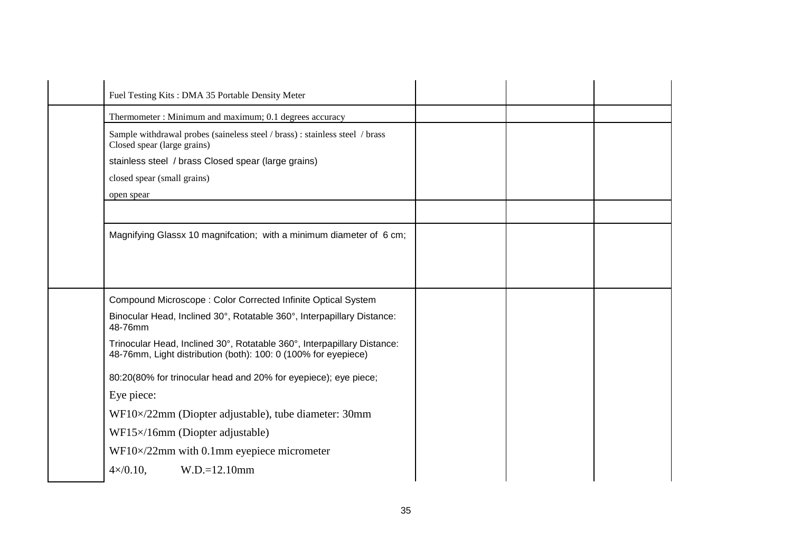| Fuel Testing Kits: DMA 35 Portable Density Meter                                                                                          |  |  |
|-------------------------------------------------------------------------------------------------------------------------------------------|--|--|
| Thermometer: Minimum and maximum; 0.1 degrees accuracy                                                                                    |  |  |
| Sample withdrawal probes (saineless steel / brass) : stainless steel / brass<br>Closed spear (large grains)                               |  |  |
| stainless steel / brass Closed spear (large grains)                                                                                       |  |  |
| closed spear (small grains)                                                                                                               |  |  |
| open spear                                                                                                                                |  |  |
|                                                                                                                                           |  |  |
| Magnifying Glassx 10 magnifcation; with a minimum diameter of 6 cm;                                                                       |  |  |
|                                                                                                                                           |  |  |
| Compound Microscope: Color Corrected Infinite Optical System                                                                              |  |  |
| Binocular Head, Inclined 30°, Rotatable 360°, Interpapillary Distance:<br>48-76mm                                                         |  |  |
| Trinocular Head, Inclined 30°, Rotatable 360°, Interpapillary Distance:<br>48-76mm, Light distribution (both): 100: 0 (100% for eyepiece) |  |  |
| 80:20(80% for trinocular head and 20% for eyepiece); eye piece;                                                                           |  |  |
| Eye piece:                                                                                                                                |  |  |
| WF10×/22mm (Diopter adjustable), tube diameter: 30mm                                                                                      |  |  |
| WF15×/16mm (Diopter adjustable)                                                                                                           |  |  |
| $WF10 \times 22$ mm with 0.1mm eyepiece micrometer                                                                                        |  |  |
| $W.D.=12.10mm$<br>$4 \times 0.10$ ,                                                                                                       |  |  |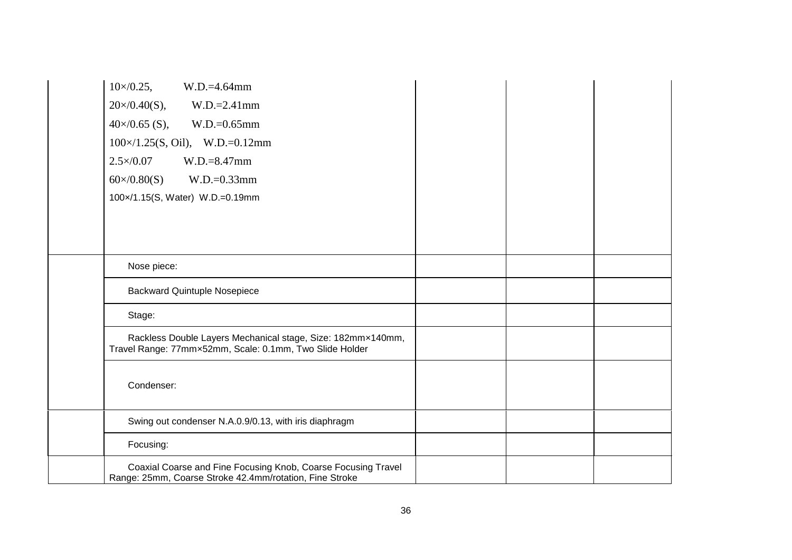| $10 \times 0.25$ ,<br>$W.D.=4.64mm$                                                                                      |  |  |
|--------------------------------------------------------------------------------------------------------------------------|--|--|
| $20 \times 0.40(S)$ ,<br>$W.D.=2.41mm$                                                                                   |  |  |
| $40\times/0.65$ (S),<br>$W.D.=0.65mm$                                                                                    |  |  |
| $100 \times / 1.25$ (S, Oil), W.D.=0.12mm                                                                                |  |  |
| $2.5 \times 0.07$<br>$W.D.=8.47mm$                                                                                       |  |  |
| $W.D.=0.33mm$<br>$60 \times 0.80(S)$                                                                                     |  |  |
| 100x/1.15(S, Water) W.D.=0.19mm                                                                                          |  |  |
|                                                                                                                          |  |  |
|                                                                                                                          |  |  |
|                                                                                                                          |  |  |
| Nose piece:                                                                                                              |  |  |
| <b>Backward Quintuple Nosepiece</b>                                                                                      |  |  |
| Stage:                                                                                                                   |  |  |
| Rackless Double Layers Mechanical stage, Size: 182mmx140mm,<br>Travel Range: 77mmx52mm, Scale: 0.1mm, Two Slide Holder   |  |  |
| Condenser:                                                                                                               |  |  |
| Swing out condenser N.A.0.9/0.13, with iris diaphragm                                                                    |  |  |
| Focusing:                                                                                                                |  |  |
| Coaxial Coarse and Fine Focusing Knob, Coarse Focusing Travel<br>Range: 25mm, Coarse Stroke 42.4mm/rotation, Fine Stroke |  |  |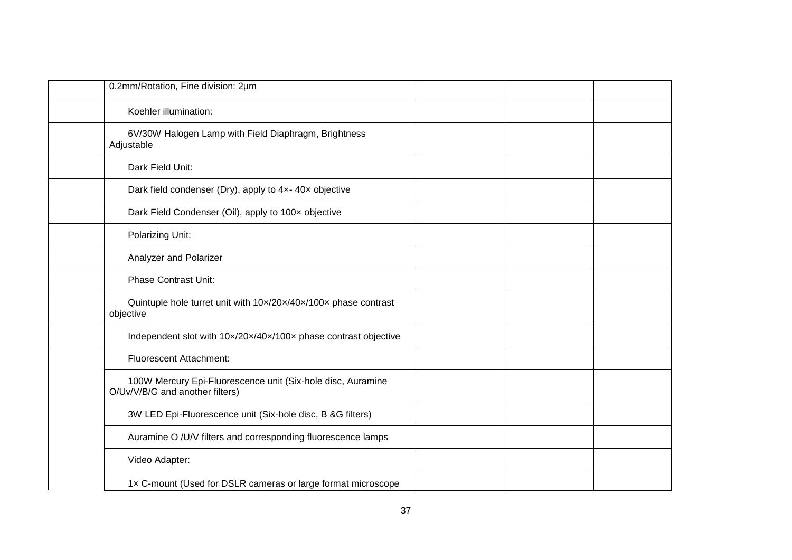| 0.2mm/Rotation, Fine division: 2µm                                                             |  |  |
|------------------------------------------------------------------------------------------------|--|--|
| Koehler illumination:                                                                          |  |  |
| 6V/30W Halogen Lamp with Field Diaphragm, Brightness<br>Adjustable                             |  |  |
| Dark Field Unit:                                                                               |  |  |
| Dark field condenser (Dry), apply to 4x-40x objective                                          |  |  |
| Dark Field Condenser (Oil), apply to 100x objective                                            |  |  |
| Polarizing Unit:                                                                               |  |  |
| Analyzer and Polarizer                                                                         |  |  |
| <b>Phase Contrast Unit:</b>                                                                    |  |  |
| Quintuple hole turret unit with 10x/20x/40x/100x phase contrast<br>objective                   |  |  |
| Independent slot with 10x/20x/40x/100x phase contrast objective                                |  |  |
| <b>Fluorescent Attachment:</b>                                                                 |  |  |
| 100W Mercury Epi-Fluorescence unit (Six-hole disc, Auramine<br>O/Uv/V/B/G and another filters) |  |  |
| 3W LED Epi-Fluorescence unit (Six-hole disc, B &G filters)                                     |  |  |
| Auramine O /U/V filters and corresponding fluorescence lamps                                   |  |  |
| Video Adapter:                                                                                 |  |  |
| 1x C-mount (Used for DSLR cameras or large format microscope                                   |  |  |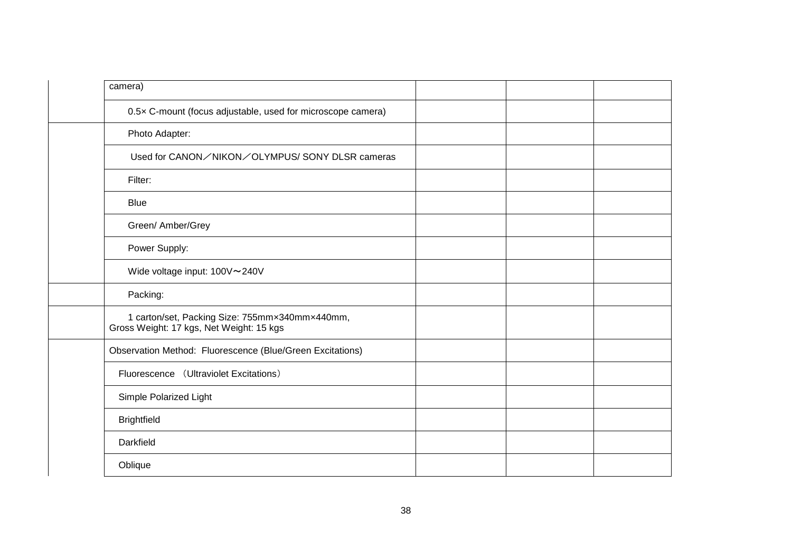| camera)                                                                                    |  |  |
|--------------------------------------------------------------------------------------------|--|--|
| 0.5x C-mount (focus adjustable, used for microscope camera)                                |  |  |
| Photo Adapter:                                                                             |  |  |
| Used for CANON/NIKON/OLYMPUS/SONY DLSR cameras                                             |  |  |
| Filter:                                                                                    |  |  |
| <b>Blue</b>                                                                                |  |  |
| Green/ Amber/Grey                                                                          |  |  |
| Power Supply:                                                                              |  |  |
| Wide voltage input: 100V~240V                                                              |  |  |
| Packing:                                                                                   |  |  |
| 1 carton/set, Packing Size: 755mmx340mmx440mm,<br>Gross Weight: 17 kgs, Net Weight: 15 kgs |  |  |
| Observation Method: Fluorescence (Blue/Green Excitations)                                  |  |  |
| Fluorescence (Ultraviolet Excitations)                                                     |  |  |
| Simple Polarized Light                                                                     |  |  |
| <b>Brightfield</b>                                                                         |  |  |
| Darkfield                                                                                  |  |  |
| Oblique                                                                                    |  |  |
|                                                                                            |  |  |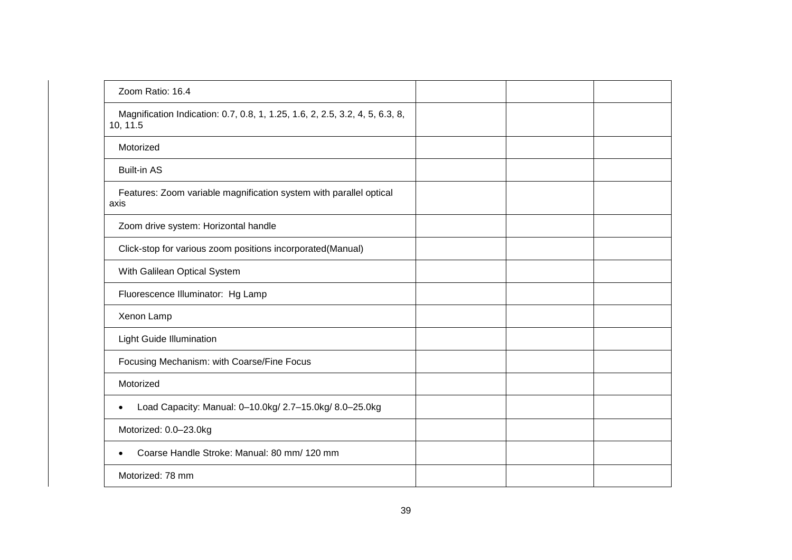| Zoom Ratio: 16.4                                                                         |  |  |
|------------------------------------------------------------------------------------------|--|--|
| Magnification Indication: 0.7, 0.8, 1, 1.25, 1.6, 2, 2.5, 3.2, 4, 5, 6.3, 8,<br>10, 11.5 |  |  |
| Motorized                                                                                |  |  |
| <b>Built-in AS</b>                                                                       |  |  |
| Features: Zoom variable magnification system with parallel optical<br>axis               |  |  |
| Zoom drive system: Horizontal handle                                                     |  |  |
| Click-stop for various zoom positions incorporated(Manual)                               |  |  |
| With Galilean Optical System                                                             |  |  |
| Fluorescence Illuminator: Hg Lamp                                                        |  |  |
| Xenon Lamp                                                                               |  |  |
| Light Guide Illumination                                                                 |  |  |
| Focusing Mechanism: with Coarse/Fine Focus                                               |  |  |
| Motorized                                                                                |  |  |
| Load Capacity: Manual: 0-10.0kg/ 2.7-15.0kg/ 8.0-25.0kg                                  |  |  |
| Motorized: 0.0-23.0kg                                                                    |  |  |
| Coarse Handle Stroke: Manual: 80 mm/ 120 mm                                              |  |  |
| Motorized: 78 mm                                                                         |  |  |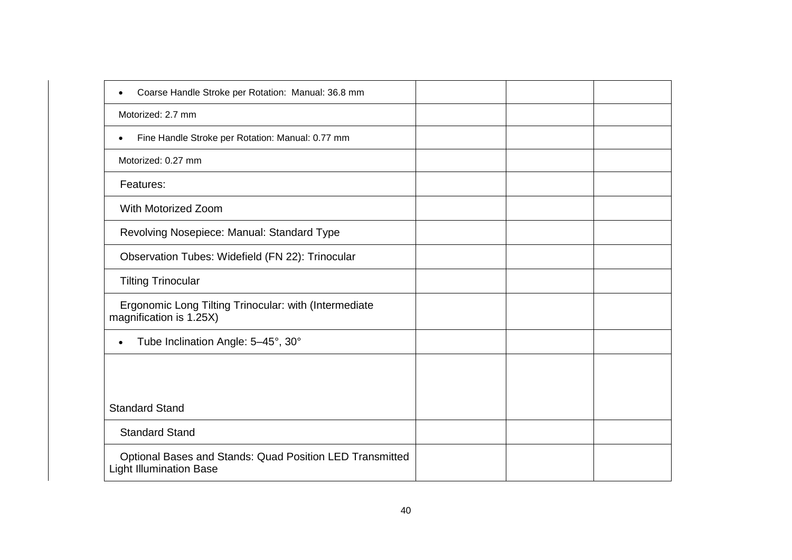| Coarse Handle Stroke per Rotation: Manual: 36.8 mm<br>$\bullet$                            |  |  |
|--------------------------------------------------------------------------------------------|--|--|
| Motorized: 2.7 mm                                                                          |  |  |
| Fine Handle Stroke per Rotation: Manual: 0.77 mm<br>$\bullet$                              |  |  |
| Motorized: 0.27 mm                                                                         |  |  |
| Features:                                                                                  |  |  |
| <b>With Motorized Zoom</b>                                                                 |  |  |
| Revolving Nosepiece: Manual: Standard Type                                                 |  |  |
| Observation Tubes: Widefield (FN 22): Trinocular                                           |  |  |
| <b>Tilting Trinocular</b>                                                                  |  |  |
| Ergonomic Long Tilting Trinocular: with (Intermediate<br>magnification is 1.25X)           |  |  |
| Tube Inclination Angle: 5-45°, 30°<br>$\bullet$                                            |  |  |
|                                                                                            |  |  |
|                                                                                            |  |  |
| <b>Standard Stand</b>                                                                      |  |  |
| <b>Standard Stand</b>                                                                      |  |  |
| Optional Bases and Stands: Quad Position LED Transmitted<br><b>Light Illumination Base</b> |  |  |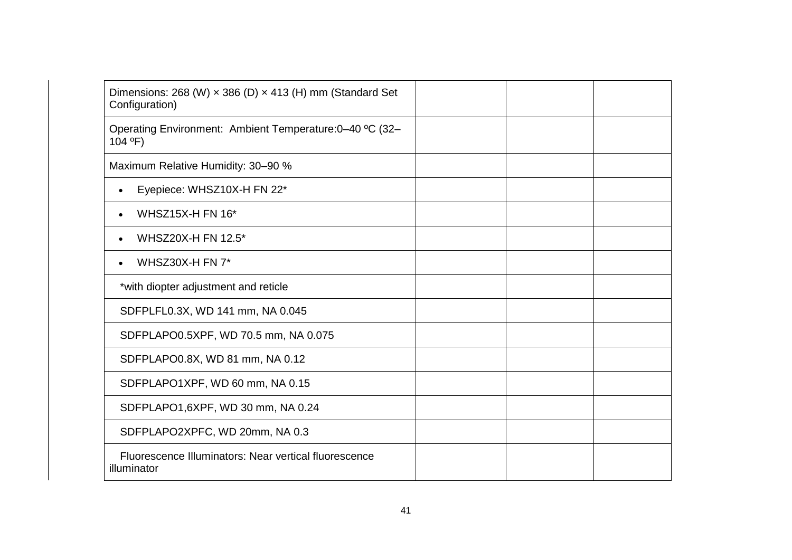| Dimensions: 268 (W) $\times$ 386 (D) $\times$ 413 (H) mm (Standard Set<br>Configuration) |  |  |
|------------------------------------------------------------------------------------------|--|--|
| Operating Environment: Ambient Temperature: 0-40 °C (32-<br>104 °F)                      |  |  |
| Maximum Relative Humidity: 30-90 %                                                       |  |  |
| Eyepiece: WHSZ10X-H FN 22*<br>$\bullet$                                                  |  |  |
| <b>WHSZ15X-H FN 16*</b><br>$\bullet$                                                     |  |  |
| WHSZ20X-H FN 12.5*<br>$\bullet$                                                          |  |  |
| WHSZ30X-H FN 7*<br>$\bullet$                                                             |  |  |
| *with diopter adjustment and reticle                                                     |  |  |
| SDFPLFL0.3X, WD 141 mm, NA 0.045                                                         |  |  |
| SDFPLAPO0.5XPF, WD 70.5 mm, NA 0.075                                                     |  |  |
| SDFPLAPO0.8X, WD 81 mm, NA 0.12                                                          |  |  |
| SDFPLAPO1XPF, WD 60 mm, NA 0.15                                                          |  |  |
| SDFPLAPO1,6XPF, WD 30 mm, NA 0.24                                                        |  |  |
| SDFPLAPO2XPFC, WD 20mm, NA 0.3                                                           |  |  |
| Fluorescence Illuminators: Near vertical fluorescence<br>illuminator                     |  |  |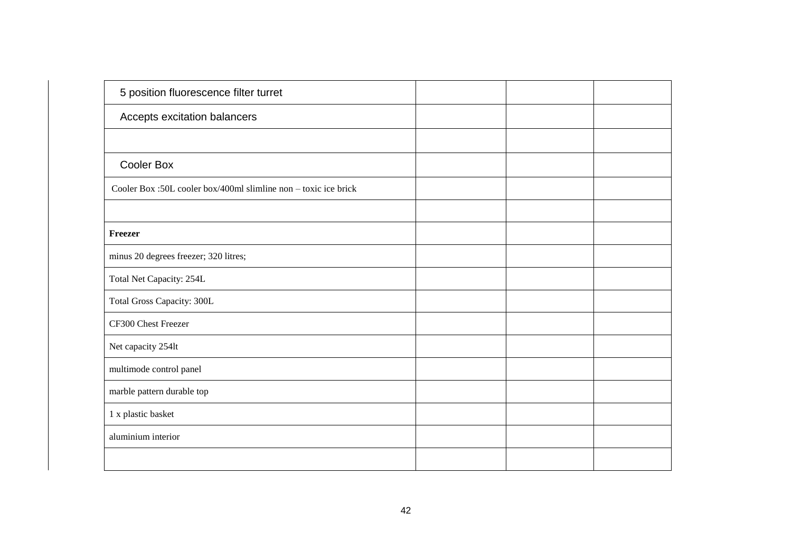| 5 position fluorescence filter turret                           |  |  |
|-----------------------------------------------------------------|--|--|
| Accepts excitation balancers                                    |  |  |
|                                                                 |  |  |
| <b>Cooler Box</b>                                               |  |  |
| Cooler Box :50L cooler box/400ml slimline non – toxic ice brick |  |  |
|                                                                 |  |  |
| Freezer                                                         |  |  |
| minus 20 degrees freezer; 320 litres;                           |  |  |
| Total Net Capacity: 254L                                        |  |  |
| Total Gross Capacity: 300L                                      |  |  |
| CF300 Chest Freezer                                             |  |  |
| Net capacity 254lt                                              |  |  |
| multimode control panel                                         |  |  |
| marble pattern durable top                                      |  |  |
| 1 x plastic basket                                              |  |  |
| aluminium interior                                              |  |  |
|                                                                 |  |  |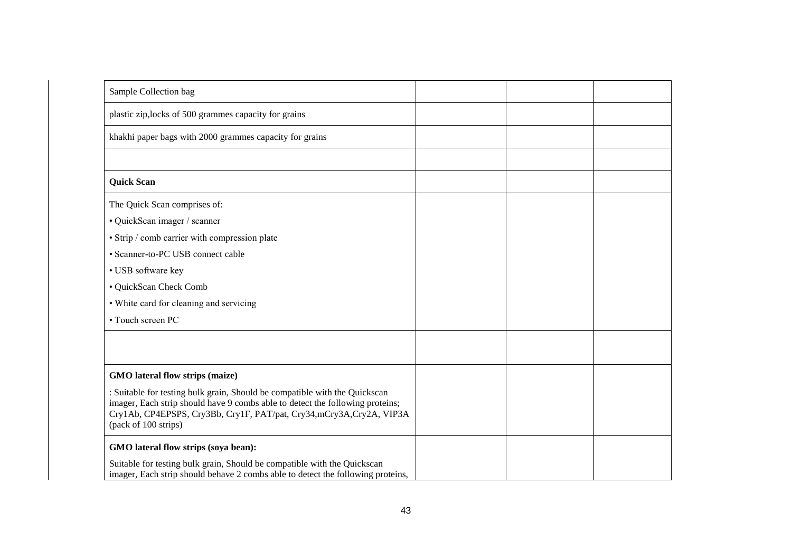| Sample Collection bag                                                                                                                                                                                                                                      |  |  |
|------------------------------------------------------------------------------------------------------------------------------------------------------------------------------------------------------------------------------------------------------------|--|--|
| plastic zip, locks of 500 grammes capacity for grains                                                                                                                                                                                                      |  |  |
| khakhi paper bags with 2000 grammes capacity for grains                                                                                                                                                                                                    |  |  |
|                                                                                                                                                                                                                                                            |  |  |
| <b>Quick Scan</b>                                                                                                                                                                                                                                          |  |  |
| The Quick Scan comprises of:                                                                                                                                                                                                                               |  |  |
| · QuickScan imager / scanner                                                                                                                                                                                                                               |  |  |
| • Strip / comb carrier with compression plate                                                                                                                                                                                                              |  |  |
| • Scanner-to-PC USB connect cable                                                                                                                                                                                                                          |  |  |
| • USB software key                                                                                                                                                                                                                                         |  |  |
| · QuickScan Check Comb                                                                                                                                                                                                                                     |  |  |
| • White card for cleaning and servicing                                                                                                                                                                                                                    |  |  |
| • Touch screen PC                                                                                                                                                                                                                                          |  |  |
|                                                                                                                                                                                                                                                            |  |  |
|                                                                                                                                                                                                                                                            |  |  |
| GMO lateral flow strips (maize)                                                                                                                                                                                                                            |  |  |
| : Suitable for testing bulk grain, Should be compatible with the Quickscan<br>imager, Each strip should have 9 combs able to detect the following proteins;<br>Cry1Ab, CP4EPSPS, Cry3Bb, Cry1F, PAT/pat, Cry34,mCry3A,Cry2A, VIP3A<br>(pack of 100 strips) |  |  |
| GMO lateral flow strips (soya bean):                                                                                                                                                                                                                       |  |  |
| Suitable for testing bulk grain, Should be compatible with the Quickscan<br>imager, Each strip should behave 2 combs able to detect the following proteins,                                                                                                |  |  |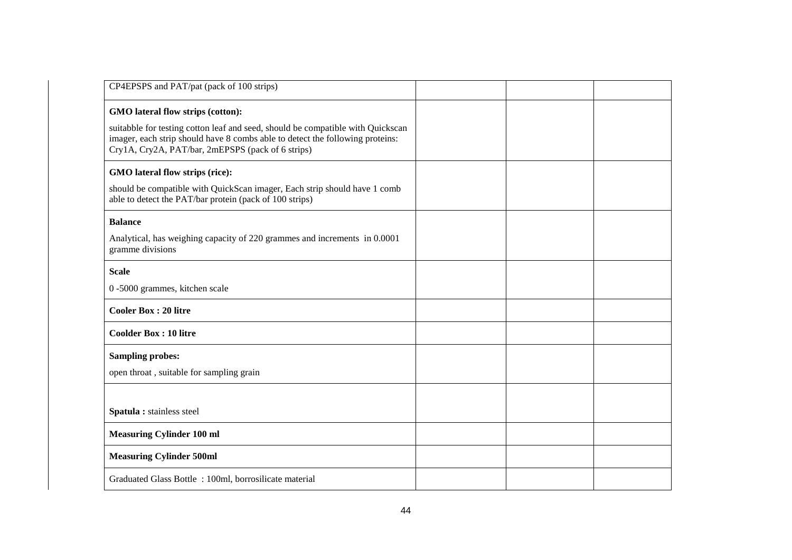| CP4EPSPS and PAT/pat (pack of 100 strips)                                                                                                                                                                                                                  |  |  |
|------------------------------------------------------------------------------------------------------------------------------------------------------------------------------------------------------------------------------------------------------------|--|--|
| GMO lateral flow strips (cotton):<br>suitabble for testing cotton leaf and seed, should be compatible with Quickscan<br>imager, each strip should have 8 combs able to detect the following proteins:<br>Cry1A, Cry2A, PAT/bar, 2mEPSPS (pack of 6 strips) |  |  |
| GMO lateral flow strips (rice):<br>should be compatible with QuickScan imager, Each strip should have 1 comb<br>able to detect the PAT/bar protein (pack of 100 strips)                                                                                    |  |  |
| <b>Balance</b><br>Analytical, has weighing capacity of 220 grammes and increments in 0.0001<br>gramme divisions                                                                                                                                            |  |  |
| <b>Scale</b><br>0 -5000 grammes, kitchen scale                                                                                                                                                                                                             |  |  |
| <b>Cooler Box: 20 litre</b>                                                                                                                                                                                                                                |  |  |
| <b>Coolder Box: 10 litre</b>                                                                                                                                                                                                                               |  |  |
| <b>Sampling probes:</b><br>open throat, suitable for sampling grain                                                                                                                                                                                        |  |  |
| Spatula : stainless steel                                                                                                                                                                                                                                  |  |  |
| <b>Measuring Cylinder 100 ml</b>                                                                                                                                                                                                                           |  |  |
| <b>Measuring Cylinder 500ml</b>                                                                                                                                                                                                                            |  |  |
| Graduated Glass Bottle: 100ml, borrosilicate material                                                                                                                                                                                                      |  |  |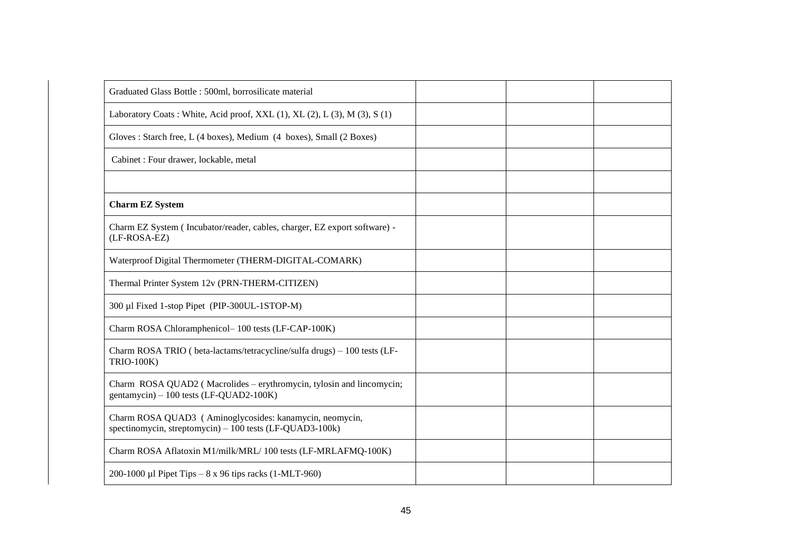| Graduated Glass Bottle: 500ml, borrosilicate material                                                               |  |  |
|---------------------------------------------------------------------------------------------------------------------|--|--|
| Laboratory Coats: White, Acid proof, XXL (1), XL (2), L (3), M (3), S (1)                                           |  |  |
| Gloves: Starch free, L (4 boxes), Medium (4 boxes), Small (2 Boxes)                                                 |  |  |
| Cabinet : Four drawer, lockable, metal                                                                              |  |  |
|                                                                                                                     |  |  |
| <b>Charm EZ System</b>                                                                                              |  |  |
| Charm EZ System (Incubator/reader, cables, charger, EZ export software) -<br>(LF-ROSA-EZ)                           |  |  |
| Waterproof Digital Thermometer (THERM-DIGITAL-COMARK)                                                               |  |  |
| Thermal Printer System 12v (PRN-THERM-CITIZEN)                                                                      |  |  |
| 300 µl Fixed 1-stop Pipet (PIP-300UL-1STOP-M)                                                                       |  |  |
| Charm ROSA Chloramphenicol-100 tests (LF-CAP-100K)                                                                  |  |  |
| Charm ROSA TRIO ( beta-lactams/tetracycline/sulfa drugs) - 100 tests (LF-<br><b>TRIO-100K)</b>                      |  |  |
| Charm ROSA QUAD2 (Macrolides – erythromycin, tylosin and lincomycin;<br>gentamycin) - 100 tests (LF-QUAD2-100K)     |  |  |
| Charm ROSA QUAD3 (Aminoglycosides: kanamycin, neomycin,<br>spectinomycin, streptomycin) - 100 tests (LF-QUAD3-100k) |  |  |
| Charm ROSA Aflatoxin M1/milk/MRL/100 tests (LF-MRLAFMQ-100K)                                                        |  |  |
| 200-1000 µl Pipet Tips $-8 \times 96$ tips racks (1-MLT-960)                                                        |  |  |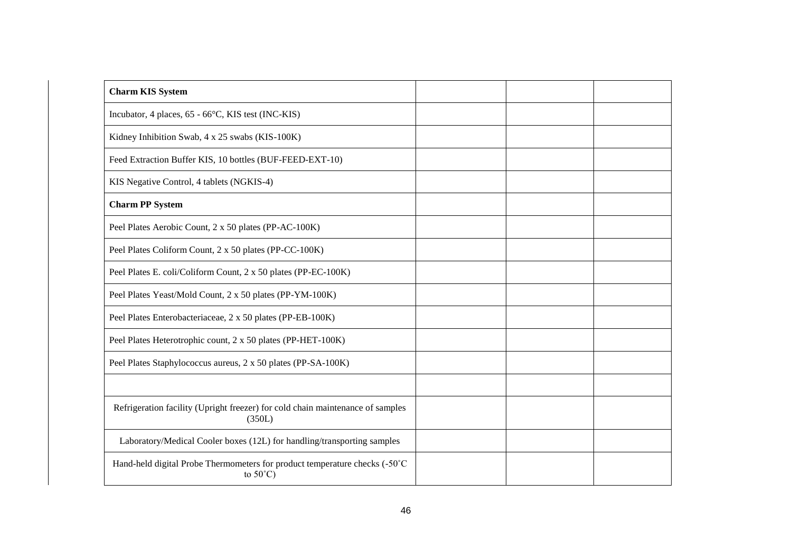| <b>Charm KIS System</b>                                                                          |  |  |
|--------------------------------------------------------------------------------------------------|--|--|
| Incubator, 4 places, 65 - 66°C, KIS test (INC-KIS)                                               |  |  |
| Kidney Inhibition Swab, 4 x 25 swabs (KIS-100K)                                                  |  |  |
| Feed Extraction Buffer KIS, 10 bottles (BUF-FEED-EXT-10)                                         |  |  |
| KIS Negative Control, 4 tablets (NGKIS-4)                                                        |  |  |
| <b>Charm PP System</b>                                                                           |  |  |
| Peel Plates Aerobic Count, 2 x 50 plates (PP-AC-100K)                                            |  |  |
| Peel Plates Coliform Count, 2 x 50 plates (PP-CC-100K)                                           |  |  |
| Peel Plates E. coli/Coliform Count, 2 x 50 plates (PP-EC-100K)                                   |  |  |
| Peel Plates Yeast/Mold Count, 2 x 50 plates (PP-YM-100K)                                         |  |  |
| Peel Plates Enterobacteriaceae, 2 x 50 plates (PP-EB-100K)                                       |  |  |
| Peel Plates Heterotrophic count, 2 x 50 plates (PP-HET-100K)                                     |  |  |
| Peel Plates Staphylococcus aureus, 2 x 50 plates (PP-SA-100K)                                    |  |  |
|                                                                                                  |  |  |
| Refrigeration facility (Upright freezer) for cold chain maintenance of samples<br>(350L)         |  |  |
| Laboratory/Medical Cooler boxes (12L) for handling/transporting samples                          |  |  |
| Hand-held digital Probe Thermometers for product temperature checks (-50°C<br>to $50^{\circ}$ C) |  |  |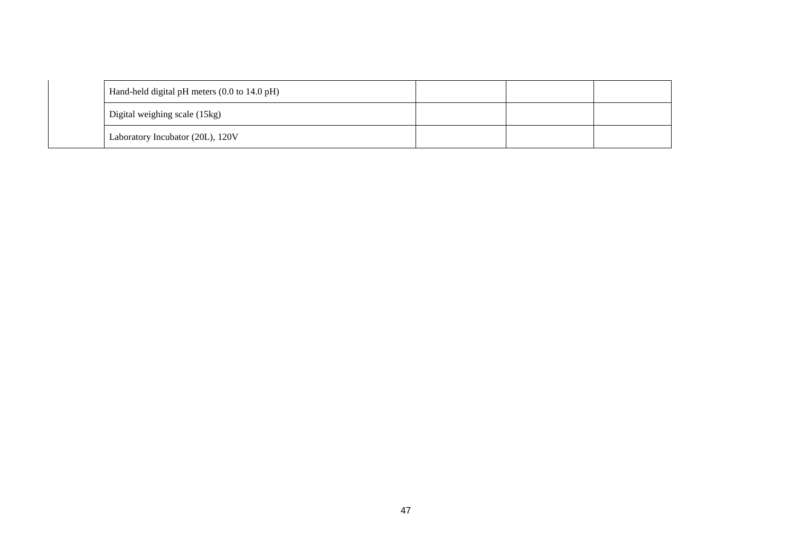| Hand-held digital pH meters (0.0 to 14.0 pH) |  |  |
|----------------------------------------------|--|--|
| Digital weighing scale (15kg)                |  |  |
| Laboratory Incubator (20L), 120V             |  |  |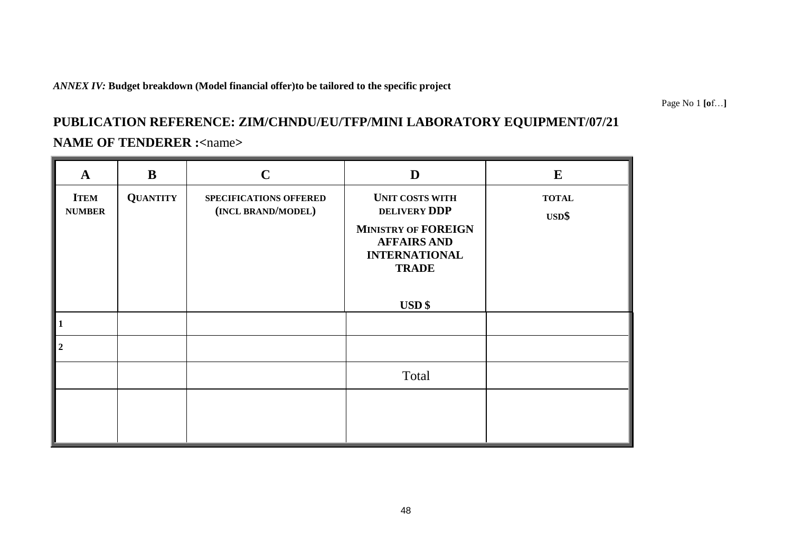#### *ANNEX IV:* **Budget breakdown (Model financial offer)to be tailored to the specific project**

Page No 1 **[o**f…**]**

# **PUBLICATION REFERENCE: ZIM/CHNDU/EU/TFP/MINI LABORATORY EQUIPMENT/07/21 NAME OF TENDERER :<**name**>**

# **A B C D E ITEM NUMBER QUANTITY SPECIFICATIONS OFFERED (INCL BRAND/MODEL) UNIT COSTS WITH DELIVERY DDP MINISTRY OF FOREIGN AFFAIRS AND INTERNATIONAL TRADE USD \$ TOTAL USD\$ 1 2** Total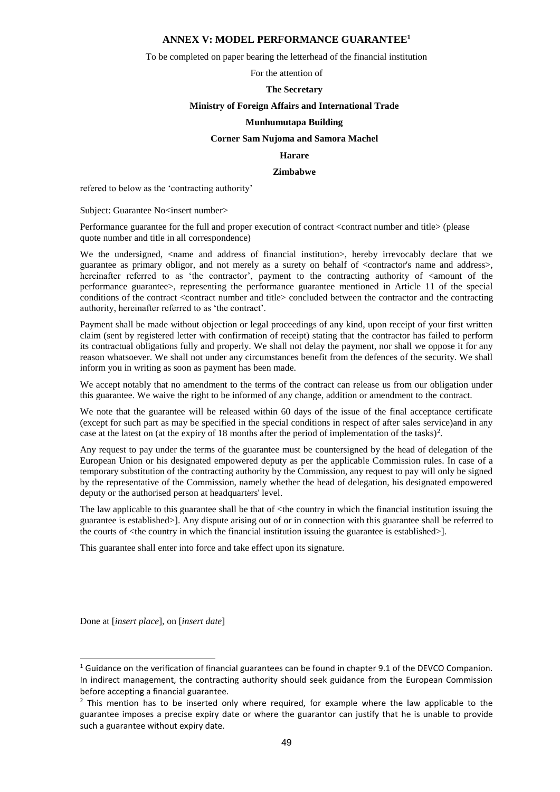#### **ANNEX V: MODEL PERFORMANCE GUARANTEE<sup>1</sup>**

To be completed on paper bearing the letterhead of the financial institution

For the attention of

#### **The Secretary**

#### **Ministry of Foreign Affairs and International Trade**

#### **Munhumutapa Building**

#### **Corner Sam Nujoma and Samora Machel**

#### **Harare**

#### **Zimbabwe**

refered to below as the 'contracting authority'

Subject: Guarantee No<insert number>

Performance guarantee for the full and proper execution of contract <contract number and title> (please quote number and title in all correspondence)

We the undersigned, <name and address of financial institution>, hereby irrevocably declare that we guarantee as primary obligor, and not merely as a surety on behalf of <contractor's name and address>, hereinafter referred to as 'the contractor', payment to the contracting authority of  $\leq$  amount of the performance guarantee>, representing the performance guarantee mentioned in Article 11 of the special conditions of the contract <contract number and title> concluded between the contractor and the contracting authority, hereinafter referred to as 'the contract'.

Payment shall be made without objection or legal proceedings of any kind, upon receipt of your first written claim (sent by registered letter with confirmation of receipt) stating that the contractor has failed to perform its contractual obligations fully and properly. We shall not delay the payment, nor shall we oppose it for any reason whatsoever. We shall not under any circumstances benefit from the defences of the security. We shall inform you in writing as soon as payment has been made.

We accept notably that no amendment to the terms of the contract can release us from our obligation under this guarantee. We waive the right to be informed of any change, addition or amendment to the contract.

We note that the guarantee will be released within 60 days of the issue of the final acceptance certificate (except for such part as may be specified in the special conditions in respect of after sales service)and in any case at the latest on (at the expiry of 18 months after the period of implementation of the tasks)<sup>2</sup>.

Any request to pay under the terms of the guarantee must be countersigned by the head of delegation of the European Union or his designated empowered deputy as per the applicable Commission rules. In case of a temporary substitution of the contracting authority by the Commission, any request to pay will only be signed by the representative of the Commission, namely whether the head of delegation, his designated empowered deputy or the authorised person at headquarters' level.

The law applicable to this guarantee shall be that of  $\lt$ the country in which the financial institution issuing the guarantee is established>]. Any dispute arising out of or in connection with this guarantee shall be referred to the courts of  $\langle$ the country in which the financial institution issuing the guarantee is established $>$ ].

This guarantee shall enter into force and take effect upon its signature.

Done at [*insert place*], on [*insert date*]

1

 $1$  Guidance on the verification of financial guarantees can be found in chapter 9.1 of the DEVCO Companion. In indirect management, the contracting authority should seek guidance from the European Commission before accepting a financial guarantee.

 $2$  This mention has to be inserted only where required, for example where the law applicable to the guarantee imposes a precise expiry date or where the guarantor can justify that he is unable to provide such a guarantee without expiry date.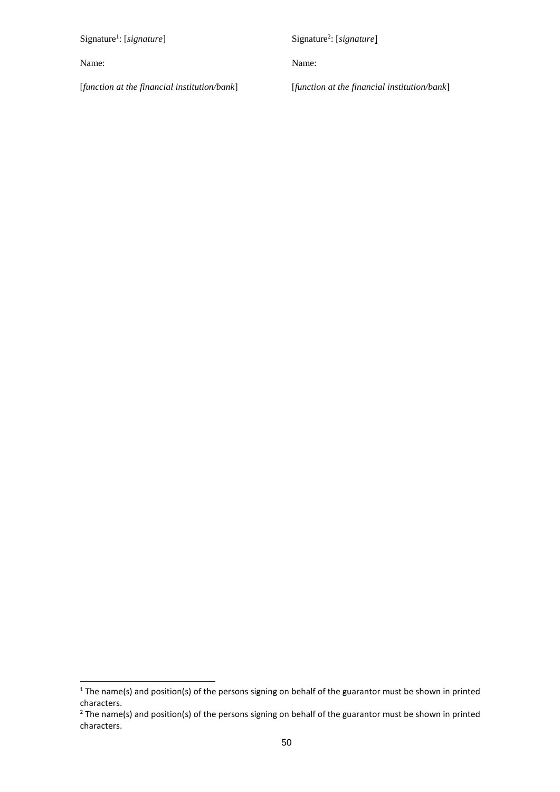Signature<sup>1</sup>: [signature]

Name:

1

Signature<sup>2</sup>: [signature]

Name:

[*function at the financial institution/bank*]

[*function at the financial institution/bank*]

 $1$  The name(s) and position(s) of the persons signing on behalf of the guarantor must be shown in printed characters.

 $2$  The name(s) and position(s) of the persons signing on behalf of the guarantor must be shown in printed characters.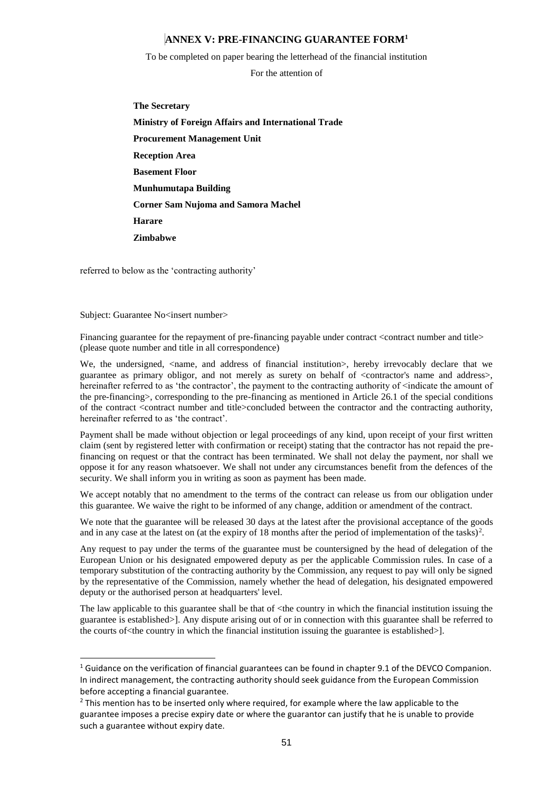#### **ANNEX V: PRE-FINANCING GUARANTEE FORM<sup>1</sup>**

To be completed on paper bearing the letterhead of the financial institution

For the attention of

**The Secretary Ministry of Foreign Affairs and International Trade Procurement Management Unit Reception Area Basement Floor Munhumutapa Building Corner Sam Nujoma and Samora Machel Harare Zimbabwe**

referred to below as the 'contracting authority'

Subject: Guarantee No<insert number>

1

Financing guarantee for the repayment of pre-financing payable under contract <contract number and title> (please quote number and title in all correspondence)

We, the undersigned,  $\langle$ name, and address of financial institution>, hereby irrevocably declare that we guarantee as primary obligor, and not merely as surety on behalf of <contractor's name and address>, hereinafter referred to as 'the contractor', the payment to the contracting authority of <indicate the amount of the pre-financing>, corresponding to the pre-financing as mentioned in Article 26.1 of the special conditions of the contract <contract number and title>concluded between the contractor and the contracting authority, hereinafter referred to as 'the contract'.

Payment shall be made without objection or legal proceedings of any kind, upon receipt of your first written claim (sent by registered letter with confirmation or receipt) stating that the contractor has not repaid the prefinancing on request or that the contract has been terminated. We shall not delay the payment, nor shall we oppose it for any reason whatsoever. We shall not under any circumstances benefit from the defences of the security. We shall inform you in writing as soon as payment has been made.

We accept notably that no amendment to the terms of the contract can release us from our obligation under this guarantee. We waive the right to be informed of any change, addition or amendment of the contract.

We note that the guarantee will be released 30 days at the latest after the provisional acceptance of the goods and in any case at the latest on (at the expiry of 18 months after the period of implementation of the tasks)<sup>2</sup>.

Any request to pay under the terms of the guarantee must be countersigned by the head of delegation of the European Union or his designated empowered deputy as per the applicable Commission rules. In case of a temporary substitution of the contracting authority by the Commission, any request to pay will only be signed by the representative of the Commission, namely whether the head of delegation, his designated empowered deputy or the authorised person at headquarters' level.

The law applicable to this guarantee shall be that of <the country in which the financial institution issuing the guarantee is established>]. Any dispute arising out of or in connection with this guarantee shall be referred to the courts of  $\leq$  the country in which the financial institution issuing the guarantee is established  $>$ ].

<sup>&</sup>lt;sup>1</sup> Guidance on the verification of financial guarantees can be found in chapter 9.1 of the DEVCO Companion. In indirect management, the contracting authority should seek guidance from the European Commission before accepting a financial guarantee.

 $<sup>2</sup>$  This mention has to be inserted only where required, for example where the law applicable to the</sup> guarantee imposes a precise expiry date or where the guarantor can justify that he is unable to provide such a guarantee without expiry date.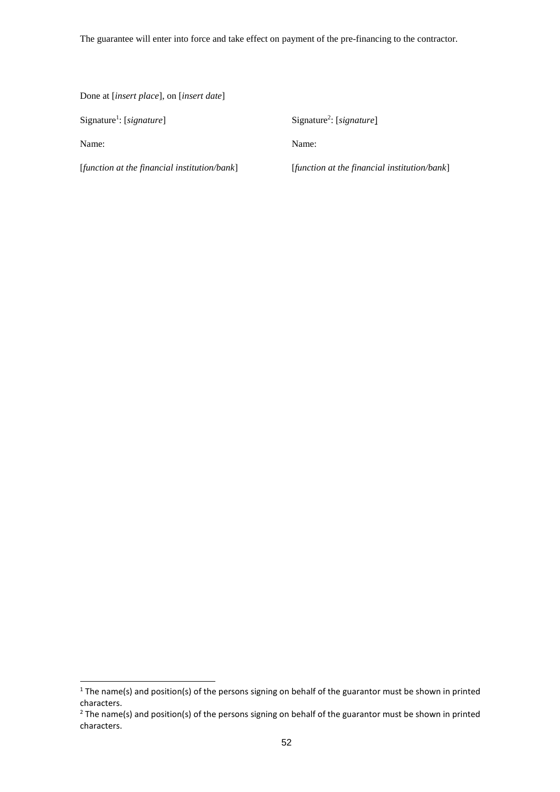The guarantee will enter into force and take effect on payment of the pre-financing to the contractor.

Done at [*insert place*], on [*insert date*]

Signature<sup>1</sup>: [signature]

Name:

1

Signature<sup>2</sup>: [signature]

Name:

[*function at the financial institution/bank*]

[*function at the financial institution/bank*]

 $1$  The name(s) and position(s) of the persons signing on behalf of the guarantor must be shown in printed characters.

 $2$  The name(s) and position(s) of the persons signing on behalf of the guarantor must be shown in printed characters.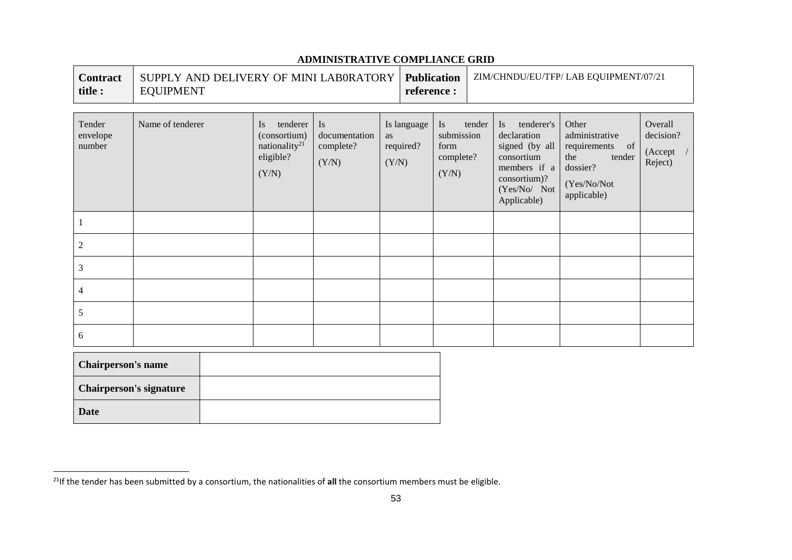| <b>Contract</b><br>title :   | <b>Publication</b><br>SUPPLY AND DELIVERY OF MINI LABORATORY<br><b>EQUIPMENT</b><br>reference : |                                                                                               |                                                  |             |                          |                                                       | ZIM/CHNDU/EU/TFP/ LAB EQUIPMENT/07/21 |                                                                                                                                 |                                                                                                       |                                                            |
|------------------------------|-------------------------------------------------------------------------------------------------|-----------------------------------------------------------------------------------------------|--------------------------------------------------|-------------|--------------------------|-------------------------------------------------------|---------------------------------------|---------------------------------------------------------------------------------------------------------------------------------|-------------------------------------------------------------------------------------------------------|------------------------------------------------------------|
| Tender<br>envelope<br>number | Name of tenderer                                                                                | tenderer<br>$\overline{1}$<br>(consortium)<br>nationality <sup>21</sup><br>eligible?<br>(Y/N) | <b>Is</b><br>documentation<br>complete?<br>(Y/N) | as<br>(Y/N) | Is language<br>required? | <b>Is</b><br>submission<br>form<br>complete?<br>(Y/N) | tender                                | tenderer's<br>Is.<br>declaration<br>signed (by all<br>consortium<br>members if a<br>consortium)?<br>(Yes/No/ Not<br>Applicable) | Other<br>administrative<br>requirements of<br>tender<br>the<br>dossier?<br>(Yes/No/Not<br>applicable) | Overall<br>decision?<br>$(A \n\mathrm{ccept}$ /<br>Reject) |
|                              |                                                                                                 |                                                                                               |                                                  |             |                          |                                                       |                                       |                                                                                                                                 |                                                                                                       |                                                            |
| 2                            |                                                                                                 |                                                                                               |                                                  |             |                          |                                                       |                                       |                                                                                                                                 |                                                                                                       |                                                            |
| 3                            |                                                                                                 |                                                                                               |                                                  |             |                          |                                                       |                                       |                                                                                                                                 |                                                                                                       |                                                            |
| 4                            |                                                                                                 |                                                                                               |                                                  |             |                          |                                                       |                                       |                                                                                                                                 |                                                                                                       |                                                            |
| 5                            |                                                                                                 |                                                                                               |                                                  |             |                          |                                                       |                                       |                                                                                                                                 |                                                                                                       |                                                            |
| 6                            |                                                                                                 |                                                                                               |                                                  |             |                          |                                                       |                                       |                                                                                                                                 |                                                                                                       |                                                            |
| <b>Chairperson's name</b>    |                                                                                                 |                                                                                               |                                                  |             |                          |                                                       |                                       |                                                                                                                                 |                                                                                                       |                                                            |

## **ADMINISTRATIVE COMPLIANCE GRID**

 $\overline{\phantom{0}}$ 

**Chairperson's signature**

**Date**

l

<sup>21</sup>If the tender has been submitted by a consortium, the nationalities of **all** the consortium members must be eligible.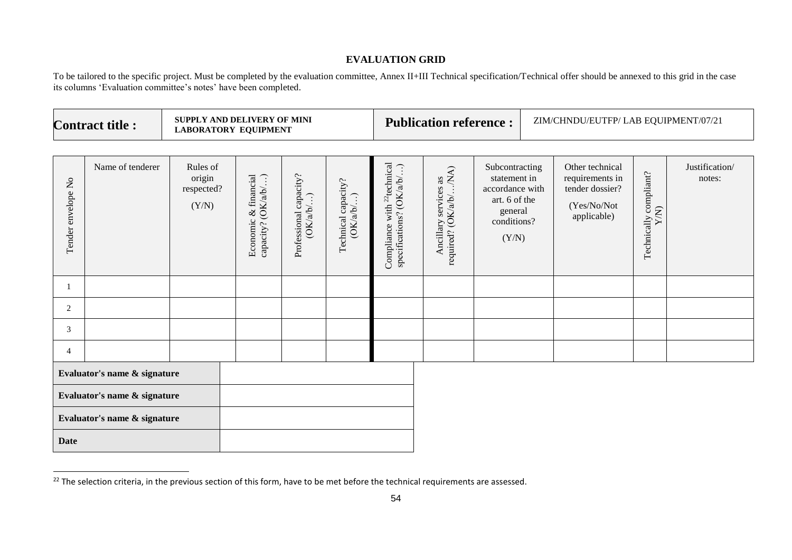#### **EVALUATION GRID**

To be tailored to the specific project. Must be completed by the evaluation committee, Annex II+III Technical specification/Technical offer should be annexed to this grid in the case its columns 'Evaluation committee's notes' have been completed.

| <b>Contract title:</b>       |                              |                                           | SUPPLY AND DELIVERY OF MINI<br><b>LABORATORY EQUIPMENT</b> |                                     |                                           | <b>Publication reference:</b>                                        |                                                              |                                                                                                       | ZIM/CHNDU/EUTFP/ LAB EQUIPMENT/07/21 |                                                                                     |                                   |                          |
|------------------------------|------------------------------|-------------------------------------------|------------------------------------------------------------|-------------------------------------|-------------------------------------------|----------------------------------------------------------------------|--------------------------------------------------------------|-------------------------------------------------------------------------------------------------------|--------------------------------------|-------------------------------------------------------------------------------------|-----------------------------------|--------------------------|
| Tender envelope No           | Name of tenderer             | Rules of<br>origin<br>respected?<br>(Y/N) | (OKab)<br>& financial<br>Economic<br>capacity?             | Professional capacity?<br>(OK/a/b/) | Technical capacity?<br>$\bigodot$<br>OKab | Compliance with <sup>22</sup> technical<br>specifications? (OK/a/b/) | Ancillary services as<br>required? (OK/a/b//NA)<br>Ancillary | Subcontracting<br>statement in<br>accordance with<br>art. 6 of the<br>general<br>conditions?<br>(Y/N) |                                      | Other technical<br>requirements in<br>tender dossier?<br>(Yes/No/Not<br>applicable) | compliant?<br>Y/N)<br>Technically | Justification/<br>notes: |
|                              |                              |                                           |                                                            |                                     |                                           |                                                                      |                                                              |                                                                                                       |                                      |                                                                                     |                                   |                          |
| 2                            |                              |                                           |                                                            |                                     |                                           |                                                                      |                                                              |                                                                                                       |                                      |                                                                                     |                                   |                          |
| $\mathbf{3}$                 |                              |                                           |                                                            |                                     |                                           |                                                                      |                                                              |                                                                                                       |                                      |                                                                                     |                                   |                          |
| $\overline{4}$               |                              |                                           |                                                            |                                     |                                           |                                                                      |                                                              |                                                                                                       |                                      |                                                                                     |                                   |                          |
|                              | Evaluator's name & signature |                                           |                                                            |                                     |                                           |                                                                      |                                                              |                                                                                                       |                                      |                                                                                     |                                   |                          |
| Evaluator's name & signature |                              |                                           |                                                            |                                     |                                           |                                                                      |                                                              |                                                                                                       |                                      |                                                                                     |                                   |                          |
| Evaluator's name & signature |                              |                                           |                                                            |                                     |                                           |                                                                      |                                                              |                                                                                                       |                                      |                                                                                     |                                   |                          |
| <b>Date</b>                  |                              |                                           |                                                            |                                     |                                           |                                                                      |                                                              |                                                                                                       |                                      |                                                                                     |                                   |                          |

l

 $^{22}$  The selection criteria, in the previous section of this form, have to be met before the technical requirements are assessed.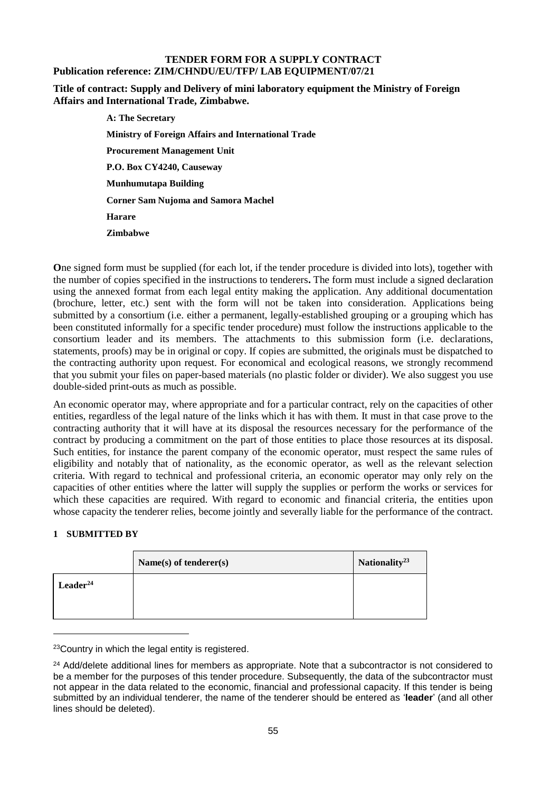#### **TENDER FORM FOR A SUPPLY CONTRACT Publication reference: ZIM/CHNDU/EU/TFP/ LAB EQUIPMENT/07/21**

#### **Title of contract: Supply and Delivery of mini laboratory equipment the Ministry of Foreign Affairs and International Trade, Zimbabwe.**

**A: The Secretary Ministry of Foreign Affairs and International Trade Procurement Management Unit P.O. Box CY4240, Causeway Munhumutapa Building Corner Sam Nujoma and Samora Machel Harare Zimbabwe**

**O**ne signed form must be supplied (for each lot, if the tender procedure is divided into lots), together with the number of copies specified in the instructions to tenderers**.** The form must include a signed declaration using the annexed format from each legal entity making the application. Any additional documentation (brochure, letter, etc.) sent with the form will not be taken into consideration. Applications being submitted by a consortium (i.e. either a permanent, legally-established grouping or a grouping which has been constituted informally for a specific tender procedure) must follow the instructions applicable to the consortium leader and its members. The attachments to this submission form (i.e. declarations, statements, proofs) may be in original or copy. If copies are submitted, the originals must be dispatched to the contracting authority upon request. For economical and ecological reasons, we strongly recommend that you submit your files on paper-based materials (no plastic folder or divider). We also suggest you use double-sided print-outs as much as possible.

An economic operator may, where appropriate and for a particular contract, rely on the capacities of other entities, regardless of the legal nature of the links which it has with them. It must in that case prove to the contracting authority that it will have at its disposal the resources necessary for the performance of the contract by producing a commitment on the part of those entities to place those resources at its disposal. Such entities, for instance the parent company of the economic operator, must respect the same rules of eligibility and notably that of nationality, as the economic operator, as well as the relevant selection criteria. With regard to technical and professional criteria, an economic operator may only rely on the capacities of other entities where the latter will supply the supplies or perform the works or services for which these capacities are required. With regard to economic and financial criteria, the entities upon whose capacity the tenderer relies, become jointly and severally liable for the performance of the contract.

#### **1 SUBMITTED BY**

-

|               | Name $(s)$ of tenderer $(s)$ | Nationality <sup>23</sup> |
|---------------|------------------------------|---------------------------|
| $Leader^{24}$ |                              |                           |
|               |                              |                           |

<sup>23</sup>Country in which the legal entity is registered.

<sup>&</sup>lt;sup>24</sup> Add/delete additional lines for members as appropriate. Note that a subcontractor is not considered to be a member for the purposes of this tender procedure. Subsequently, the data of the subcontractor must not appear in the data related to the economic, financial and professional capacity. If this tender is being submitted by an individual tenderer, the name of the tenderer should be entered as '**leader**' (and all other lines should be deleted).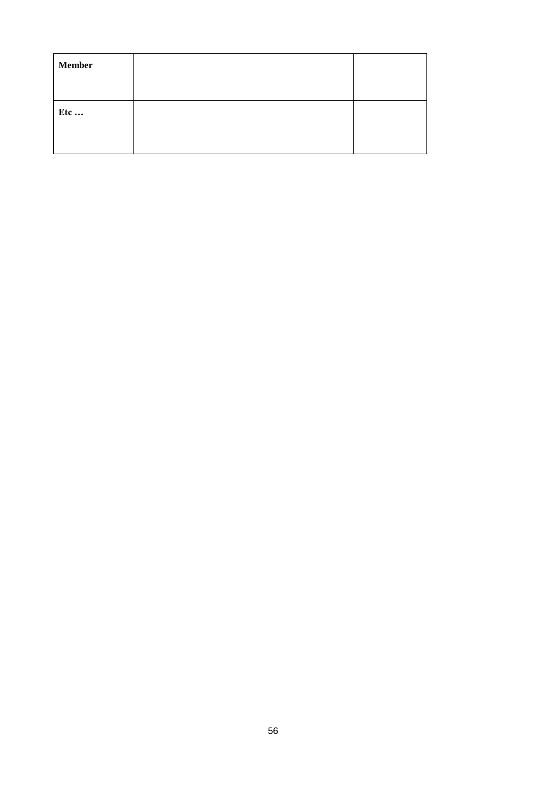| <b>Member</b> |  |
|---------------|--|
| Etc           |  |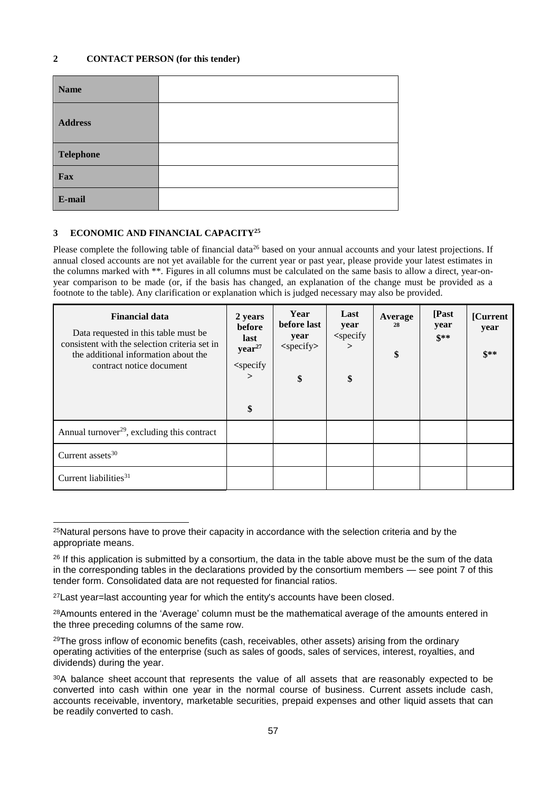| <b>Name</b>      |  |
|------------------|--|
| <b>Address</b>   |  |
| <b>Telephone</b> |  |
| Fax              |  |
| E-mail           |  |

#### **3 ECONOMIC AND FINANCIAL CAPACITY<sup>25</sup>**

Please complete the following table of financial data<sup>26</sup> based on your annual accounts and your latest projections. If annual closed accounts are not yet available for the current year or past year, please provide your latest estimates in the columns marked with \*\*. Figures in all columns must be calculated on the same basis to allow a direct, year-onyear comparison to be made (or, if the basis has changed, an explanation of the change must be provided as a footnote to the table). Any clarification or explanation which is judged necessary may also be provided.

| <b>Financial data</b><br>Data requested in this table must be<br>consistent with the selection criteria set in<br>the additional information about the<br>contract notice document | 2 years<br>before<br>last<br>year <sup>27</sup><br><specify<br><math>\geq</math><br/>\$</specify<br> | Year<br>before last<br>year<br>$<$ specify $>$<br>\$ | Last<br>year<br>$<$ specify<br>$\geq$<br>\$ | Average<br>28<br>\$ | [Past<br>year<br>$$**$$ | [Current]<br>year<br>$S^{**}$ |
|------------------------------------------------------------------------------------------------------------------------------------------------------------------------------------|------------------------------------------------------------------------------------------------------|------------------------------------------------------|---------------------------------------------|---------------------|-------------------------|-------------------------------|
| Annual turnover <sup>29</sup> , excluding this contract                                                                                                                            |                                                                                                      |                                                      |                                             |                     |                         |                               |
| Current assets <sup>30</sup>                                                                                                                                                       |                                                                                                      |                                                      |                                             |                     |                         |                               |
| Current liabilities <sup>31</sup>                                                                                                                                                  |                                                                                                      |                                                      |                                             |                     |                         |                               |

<sup>-</sup><sup>25</sup>Natural persons have to prove their capacity in accordance with the selection criteria and by the appropriate means.

<sup>&</sup>lt;sup>26</sup> If this application is submitted by a consortium, the data in the table above must be the sum of the data in the corresponding tables in the declarations provided by the consortium members — see point 7 of this tender form. Consolidated data are not requested for financial ratios.

<sup>27</sup>Last year=last accounting year for which the entity's accounts have been closed.

<sup>&</sup>lt;sup>28</sup>Amounts entered in the 'Average' column must be the mathematical average of the amounts entered in the three preceding columns of the same row.

<sup>&</sup>lt;sup>29</sup>The gross inflow of economic benefits (cash, receivables, other assets) arising from the ordinary operating activities of the enterprise (such as sales of goods, sales of services, interest, royalties, and dividends) during the year.

<sup>30</sup>A balance sheet account that represents the value of all assets that are reasonably expected to be converted into cash within one year in the normal course of business. Current assets include cash, accounts receivable, inventory, marketable securities, prepaid expenses and other liquid assets that can be readily converted to cash.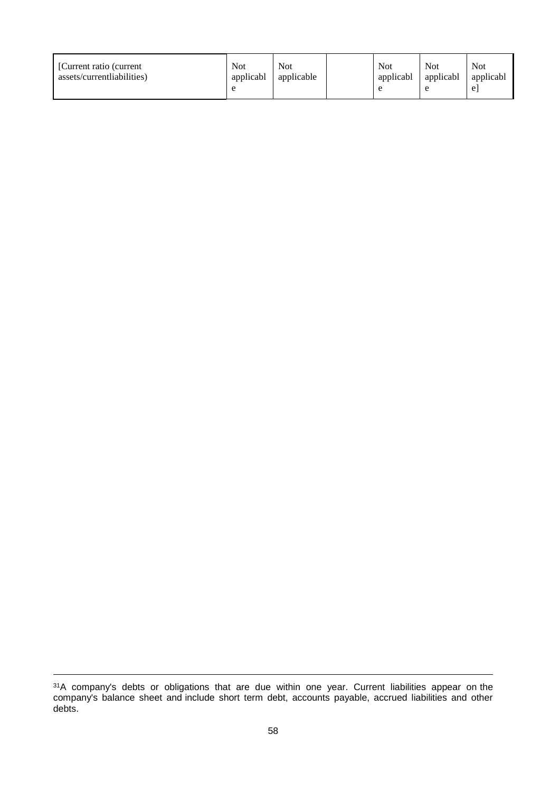| [Current ratio (current<br>assets/currentliabilities) | Not<br>applicabl | <b>Not</b><br>applicable |  | Not<br>applicabl | Not<br>applicabl | <b>Not</b><br>applicabl<br>e |
|-------------------------------------------------------|------------------|--------------------------|--|------------------|------------------|------------------------------|
|-------------------------------------------------------|------------------|--------------------------|--|------------------|------------------|------------------------------|

1

 $31A$  company's debts or obligations that are due within one year. Current liabilities appear on the company's balance sheet and include short term debt, accounts payable, accrued liabilities and other debts.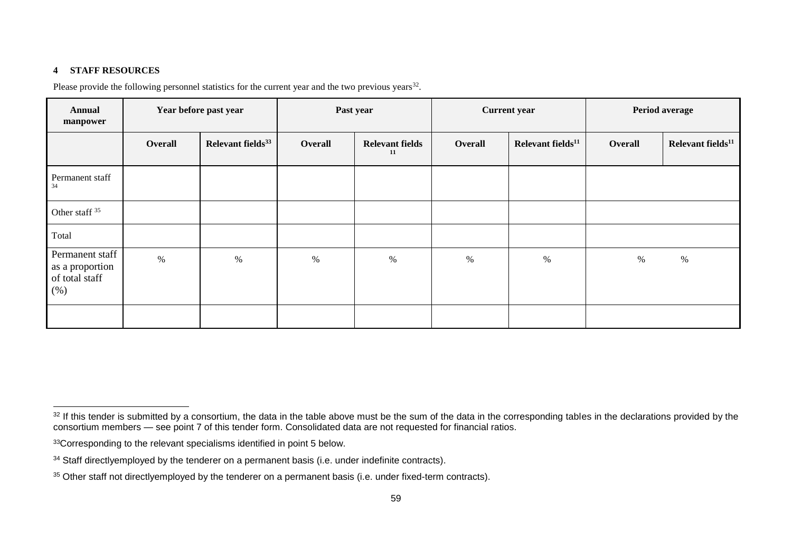#### **4 STAFF RESOURCES**

-

Please provide the following personnel statistics for the current year and the two previous years $32$ .

| <b>Annual</b><br>manpower                                   | Year before past year |                               |         | Past year                    |         | <b>Current</b> year           | Period average |                               |  |
|-------------------------------------------------------------|-----------------------|-------------------------------|---------|------------------------------|---------|-------------------------------|----------------|-------------------------------|--|
|                                                             | Overall               | Relevant fields <sup>33</sup> | Overall | <b>Relevant fields</b><br>11 | Overall | Relevant fields <sup>11</sup> | Overall        | Relevant fields <sup>11</sup> |  |
| Permanent staff<br>34                                       |                       |                               |         |                              |         |                               |                |                               |  |
| Other staff <sup>35</sup>                                   |                       |                               |         |                              |         |                               |                |                               |  |
| Total                                                       |                       |                               |         |                              |         |                               |                |                               |  |
| Permanent staff<br>as a proportion<br>of total staff<br>(%) | $\%$                  | $\%$                          | $\%$    | $\%$                         | $\%$    | $\%$                          | $\%$           | %                             |  |
|                                                             |                       |                               |         |                              |         |                               |                |                               |  |

 $32$  If this tender is submitted by a consortium, the data in the table above must be the sum of the data in the corresponding tables in the declarations provided by the consortium members — see point 7 of this tender form. Consolidated data are not requested for financial ratios.

<sup>33</sup>Corresponding to the relevant specialisms identified in point 5 below.

<sup>&</sup>lt;sup>34</sup> Staff directlyemployed by the tenderer on a permanent basis (i.e. under indefinite contracts).

<sup>&</sup>lt;sup>35</sup> Other staff not directlyemployed by the tenderer on a permanent basis (i.e. under fixed-term contracts).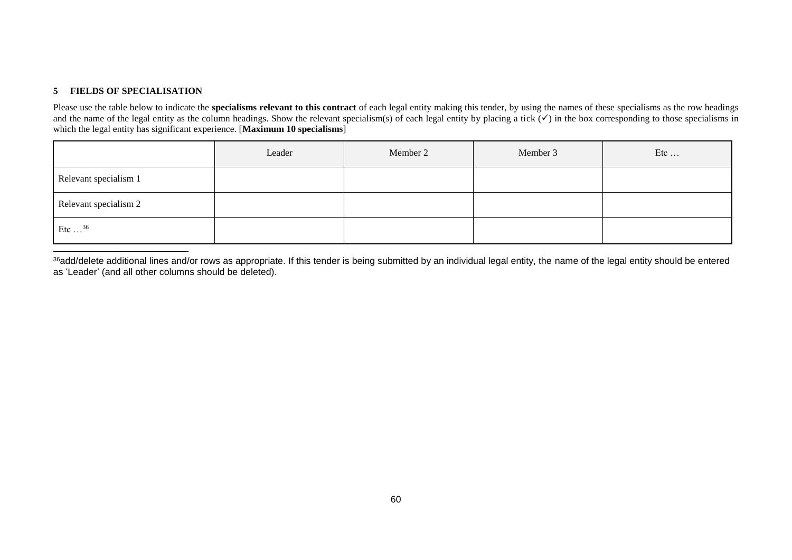#### **5 FIELDS OF SPECIALISATION**

-

Please use the table below to indicate the **specialisms relevant to this contract** of each legal entity making this tender, by using the names of these specialisms as the row headings and the name of the legal entity as the column headings. Show the relevant specialism(s) of each legal entity by placing a tick  $(\checkmark)$  in the box corresponding to those specialisms in which the legal entity has significant experience. [Maximum 10 specialisms]

|                       | Leader | Member 2 | Member 3 | Etc |
|-----------------------|--------|----------|----------|-----|
| Relevant specialism 1 |        |          |          |     |
| Relevant specialism 2 |        |          |          |     |
| Etc $\ldots^{36}$     |        |          |          |     |

<sup>36</sup>add/delete additional lines and/or rows as appropriate. If this tender is being submitted by an individual legal entity, the name of the legal entity should be entered as 'Leader' (and all other columns should be deleted).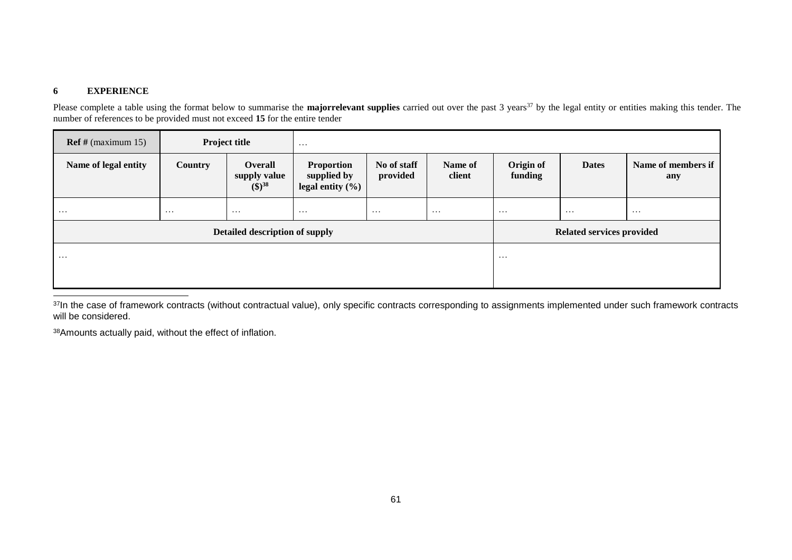#### **6 EXPERIENCE**

Please complete a table using the format below to summarise the **majorrelevant supplies** carried out over the past 3 years<sup>37</sup> by the legal entity or entities making this tender. The number of references to be provided must not exceed **15** for the entire tender

| $\text{Ref } \# \text{ (maximum 15)}$ |                | <b>Project title</b>                             | $\cdots$                                                 |                         |                      |                           |              |                           |  |
|---------------------------------------|----------------|--------------------------------------------------|----------------------------------------------------------|-------------------------|----------------------|---------------------------|--------------|---------------------------|--|
| Name of legal entity                  | <b>Country</b> | <b>Overall</b><br>supply value<br>$({\$\})^{38}$ | <b>Proportion</b><br>supplied by<br>legal entity $(\% )$ | No of staff<br>provided | Name of<br>client    | Origin of<br>funding      | <b>Dates</b> | Name of members if<br>any |  |
| $\cdots$                              | $\cdots$       | $\cdots$                                         | $\cdots$                                                 | $\cdots$                | $\cdots$<br>$\cdots$ |                           | $\cdots$     | $\cdots$                  |  |
|                                       |                | Detailed description of supply                   |                                                          |                         |                      | Related services provided |              |                           |  |
| $\cdots$                              |                | $\cdots$                                         |                                                          |                         |                      |                           |              |                           |  |
|                                       |                |                                                  |                                                          |                         |                      |                           |              |                           |  |
|                                       |                |                                                  |                                                          |                         |                      |                           |              |                           |  |

<sup>37</sup>In the case of framework contracts (without contractual value), only specific contracts corresponding to assignments implemented under such framework contracts will be considered.

38Amounts actually paid, without the effect of inflation.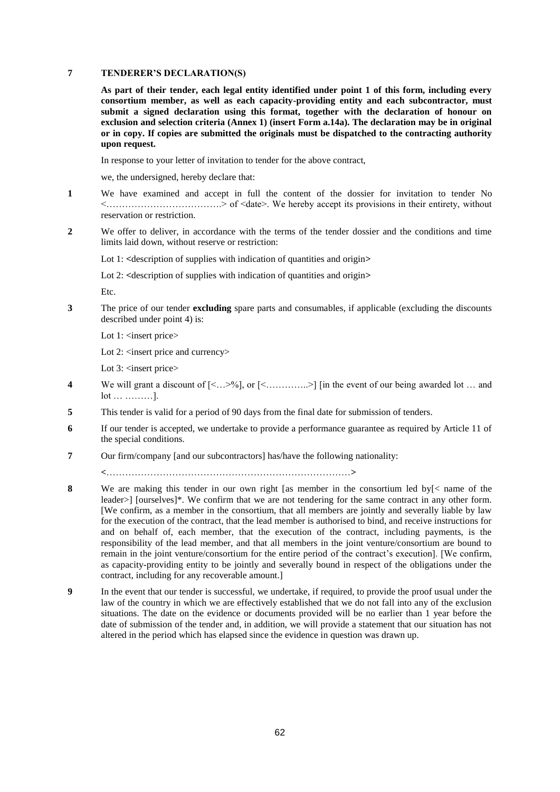#### **7 TENDERER'S DECLARATION(S)**

**As part of their tender, each legal entity identified under point 1 of this form, including every consortium member, as well as each capacity-providing entity and each subcontractor, must submit a signed declaration using this format, together with the declaration of honour on exclusion and selection criteria (Annex 1) (insert Form a.14a). The declaration may be in original or in copy. If copies are submitted the originals must be dispatched to the contracting authority upon request.**

In response to your letter of invitation to tender for the above contract,

we, the undersigned, hereby declare that:

- **1** We have examined and accept in full the content of the dossier for invitation to tender No <……………………………….> of <date>. We hereby accept its provisions in their entirety, without reservation or restriction.
- **2** We offer to deliver, in accordance with the terms of the tender dossier and the conditions and time limits laid down, without reserve or restriction:

Lot 1: <description of supplies with indication of quantities and origin>

Lot 2: **<**description of supplies with indication of quantities and origin**>**

Etc.

**3** The price of our tender **excluding** spare parts and consumables, if applicable (excluding the discounts described under point 4) is:

Lot 1: <insert price>

Lot 2: <insert price and currency>

Lot 3: <insert price>

- **4** We will grant a discount of [<…>%], or [<…………..>] [in the event of our being awarded lot … and lot … ………].
- **5** This tender is valid for a period of 90 days from the final date for submission of tenders.
- **6** If our tender is accepted, we undertake to provide a performance guarantee as required by Article 11 of the special conditions.
- **7** Our firm/company [and our subcontractors] has/have the following nationality:

**<**……………………………………………………………………**>**

- **8** We are making this tender in our own right [as member in the consortium led by[< name of the leader>] [ourselves]\*. We confirm that we are not tendering for the same contract in any other form. [We confirm, as a member in the consortium, that all members are jointly and severally liable by law for the execution of the contract, that the lead member is authorised to bind, and receive instructions for and on behalf of, each member, that the execution of the contract, including payments, is the responsibility of the lead member, and that all members in the joint venture/consortium are bound to remain in the joint venture/consortium for the entire period of the contract's execution]. [We confirm, as capacity-providing entity to be jointly and severally bound in respect of the obligations under the contract, including for any recoverable amount.]
- **9** In the event that our tender is successful, we undertake, if required, to provide the proof usual under the law of the country in which we are effectively established that we do not fall into any of the exclusion situations. The date on the evidence or documents provided will be no earlier than 1 year before the date of submission of the tender and, in addition, we will provide a statement that our situation has not altered in the period which has elapsed since the evidence in question was drawn up.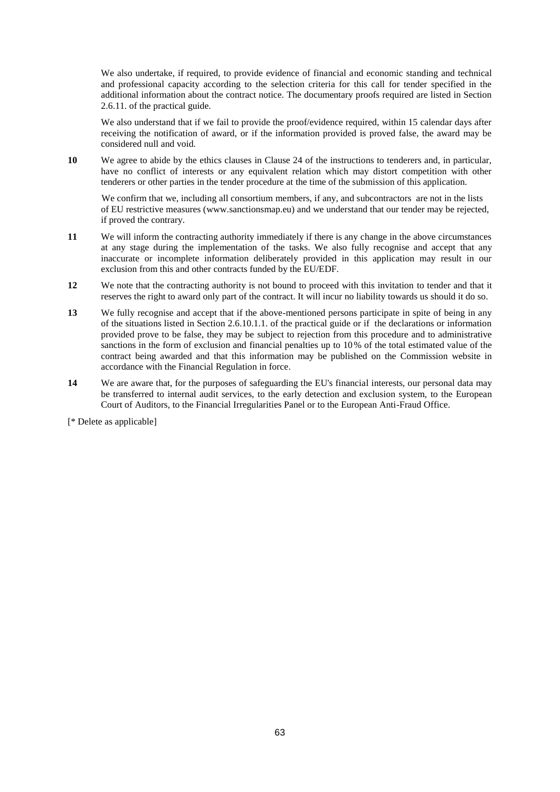We also undertake, if required, to provide evidence of financial and economic standing and technical and professional capacity according to the selection criteria for this call for tender specified in the additional information about the contract notice. The documentary proofs required are listed in Section 2.6.11. of the practical guide.

We also understand that if we fail to provide the proof/evidence required, within 15 calendar days after receiving the notification of award, or if the information provided is proved false, the award may be considered null and void.

**10** We agree to abide by the ethics clauses in Clause 24 of the instructions to tenderers and, in particular, have no conflict of interests or any equivalent relation which may distort competition with other tenderers or other parties in the tender procedure at the time of the submission of this application.

We confirm that we, including all consortium members, if any, and subcontractors are not in the lists of EU restrictive measures [\(www.sanctionsmap.eu\)](http://www.sanctionsmap.eu/) and we understand that our tender may be rejected, if proved the contrary.

- **11** We will inform the contracting authority immediately if there is any change in the above circumstances at any stage during the implementation of the tasks. We also fully recognise and accept that any inaccurate or incomplete information deliberately provided in this application may result in our exclusion from this and other contracts funded by the EU/EDF.
- **12** We note that the contracting authority is not bound to proceed with this invitation to tender and that it reserves the right to award only part of the contract. It will incur no liability towards us should it do so.
- **13** We fully recognise and accept that if the above-mentioned persons participate in spite of being in any of the situations listed in Section 2.6.10.1.1. of the practical guide or if the declarations or information provided prove to be false, they may be subject to rejection from this procedure and to administrative sanctions in the form of exclusion and financial penalties up to 10% of the total estimated value of the contract being awarded and that this information may be published on the Commission website in accordance with the Financial Regulation in force.
- **14** We are aware that, for the purposes of safeguarding the EU's financial interests, our personal data may be transferred to internal audit services, to the early detection and exclusion system, to the European Court of Auditors, to the Financial Irregularities Panel or to the European Anti-Fraud Office.

[\* Delete as applicable]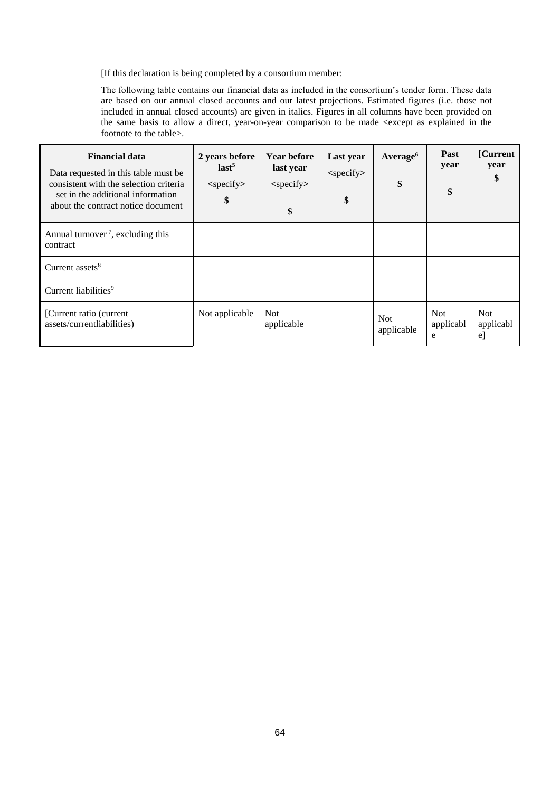[If this declaration is being completed by a consortium member:

The following table contains our financial data as included in the consortium's tender form. These data are based on our annual closed accounts and our latest projections. Estimated figures (i.e. those not included in annual closed accounts) are given in italics. Figures in all columns have been provided on the same basis to allow a direct, year-on-year comparison to be made <except as explained in the footnote to the table>.

| <b>Financial data</b><br>Data requested in this table must be<br>consistent with the selection criteria<br>set in the additional information<br>about the contract notice document | 2 years before<br>last <sup>5</sup><br>$<$ specify $>$<br>\$ | <b>Year before</b><br>last year<br>$<$ specify $>$<br>\$ | Last year<br>$<$ specify $>$<br>\$ | Average <sup>6</sup><br>\$ | Past<br>year<br>\$           | [Current]<br>year<br>\$       |
|------------------------------------------------------------------------------------------------------------------------------------------------------------------------------------|--------------------------------------------------------------|----------------------------------------------------------|------------------------------------|----------------------------|------------------------------|-------------------------------|
| Annual turnover <sup>7</sup> , excluding this<br>contract                                                                                                                          |                                                              |                                                          |                                    |                            |                              |                               |
| Current assets $8$                                                                                                                                                                 |                                                              |                                                          |                                    |                            |                              |                               |
| Current liabilities <sup>9</sup>                                                                                                                                                   |                                                              |                                                          |                                    |                            |                              |                               |
| [Current ratio (current<br>assets/currentliabilities)                                                                                                                              | Not applicable                                               | <b>Not</b><br>applicable                                 |                                    | <b>Not</b><br>applicable   | <b>Not</b><br>applicabl<br>e | <b>Not</b><br>applicabl<br>e] |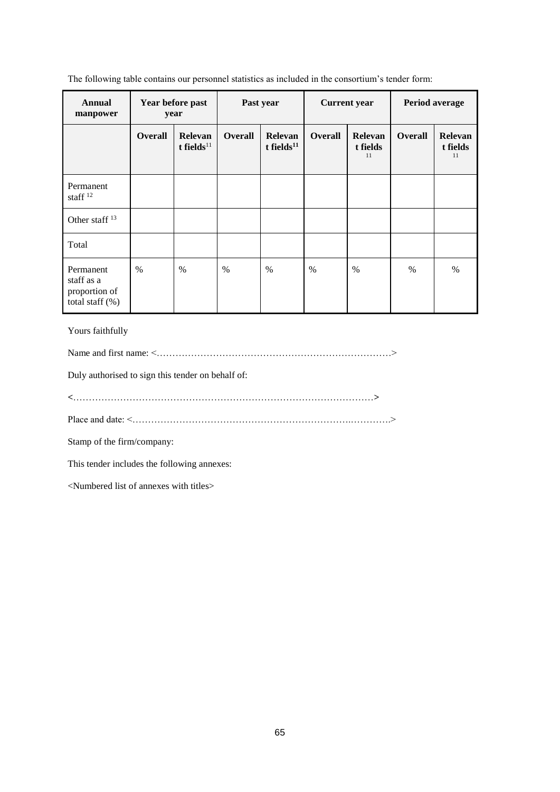The following table contains our personnel statistics as included in the consortium's tender form:

| Annual<br>manpower                                             | Year before past<br>year |                             | Past year      |                             |                | <b>Current</b> year              | Period average |                           |
|----------------------------------------------------------------|--------------------------|-----------------------------|----------------|-----------------------------|----------------|----------------------------------|----------------|---------------------------|
|                                                                | Overall                  | Relevan<br>t fields $^{11}$ | <b>Overall</b> | Relevan<br>t fields $^{11}$ | <b>Overall</b> | <b>Relevan</b><br>t fields<br>11 | <b>Overall</b> | Relevan<br>t fields<br>11 |
| Permanent<br>staff $12$                                        |                          |                             |                |                             |                |                                  |                |                           |
| Other staff <sup>13</sup>                                      |                          |                             |                |                             |                |                                  |                |                           |
| Total                                                          |                          |                             |                |                             |                |                                  |                |                           |
| Permanent<br>staff as a<br>proportion of<br>total staff $(\%)$ | $\frac{0}{0}$            | $\%$                        | $\%$           | $\%$                        | $\frac{0}{0}$  | $\%$                             | $\%$           | $\frac{0}{0}$             |

Yours faithfully

Name and first name: <…………………………………………………………………>

Duly authorised to sign this tender on behalf of:

**<**……………………………………………………………………………………**>**

Place and date: <…………………………………………………………….………….>

Stamp of the firm/company:

This tender includes the following annexes:

<Numbered list of annexes with titles>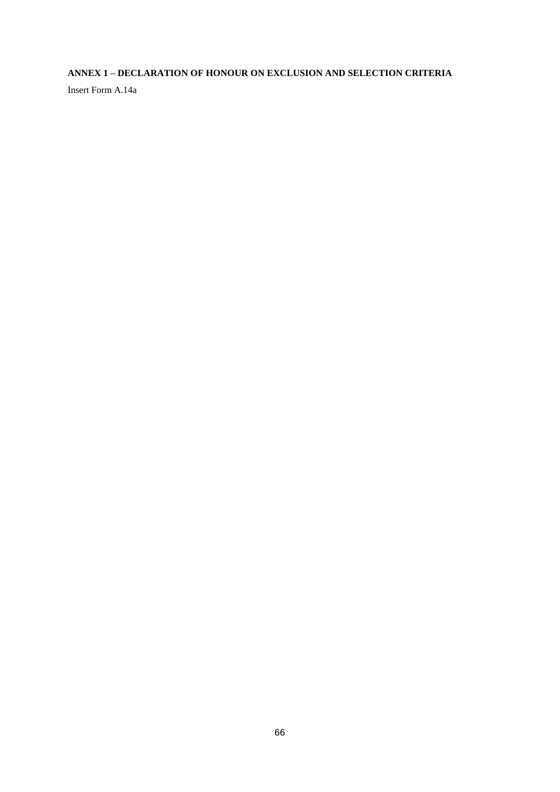### **ANNEX 1 – DECLARATION OF HONOUR ON EXCLUSION AND SELECTION CRITERIA**

Insert Form A.14a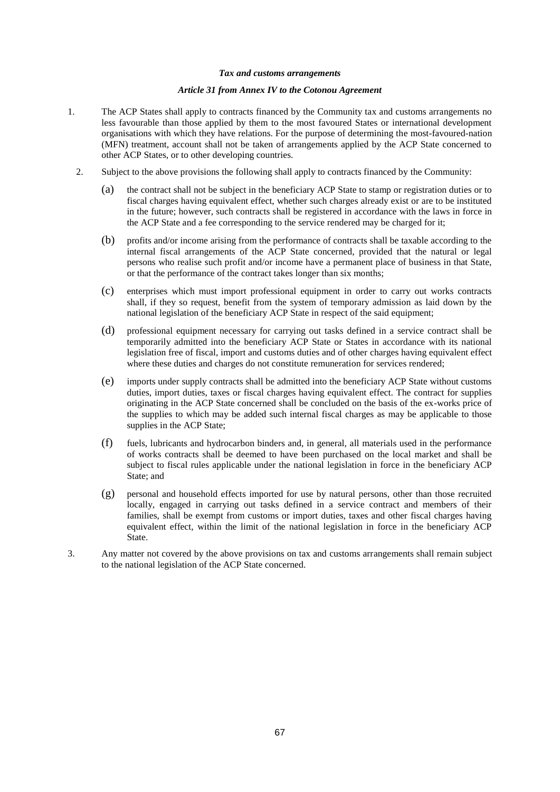#### *Tax and customs arrangements*

#### *Article 31 from Annex IV to the Cotonou Agreement*

- 1. The ACP States shall apply to contracts financed by the Community tax and customs arrangements no less favourable than those applied by them to the most favoured States or international development organisations with which they have relations. For the purpose of determining the most-favoured-nation (MFN) treatment, account shall not be taken of arrangements applied by the ACP State concerned to other ACP States, or to other developing countries.
	- 2. Subject to the above provisions the following shall apply to contracts financed by the Community:
		- (a) the contract shall not be subject in the beneficiary ACP State to stamp or registration duties or to fiscal charges having equivalent effect, whether such charges already exist or are to be instituted in the future; however, such contracts shall be registered in accordance with the laws in force in the ACP State and a fee corresponding to the service rendered may be charged for it;
		- (b) profits and/or income arising from the performance of contracts shall be taxable according to the internal fiscal arrangements of the ACP State concerned, provided that the natural or legal persons who realise such profit and/or income have a permanent place of business in that State, or that the performance of the contract takes longer than six months;
		- (c) enterprises which must import professional equipment in order to carry out works contracts shall, if they so request, benefit from the system of temporary admission as laid down by the national legislation of the beneficiary ACP State in respect of the said equipment;
		- (d) professional equipment necessary for carrying out tasks defined in a service contract shall be temporarily admitted into the beneficiary ACP State or States in accordance with its national legislation free of fiscal, import and customs duties and of other charges having equivalent effect where these duties and charges do not constitute remuneration for services rendered;
		- (e) imports under supply contracts shall be admitted into the beneficiary ACP State without customs duties, import duties, taxes or fiscal charges having equivalent effect. The contract for supplies originating in the ACP State concerned shall be concluded on the basis of the ex-works price of the supplies to which may be added such internal fiscal charges as may be applicable to those supplies in the ACP State;
		- (f) fuels, lubricants and hydrocarbon binders and, in general, all materials used in the performance of works contracts shall be deemed to have been purchased on the local market and shall be subject to fiscal rules applicable under the national legislation in force in the beneficiary ACP State; and
		- (g) personal and household effects imported for use by natural persons, other than those recruited locally, engaged in carrying out tasks defined in a service contract and members of their families, shall be exempt from customs or import duties, taxes and other fiscal charges having equivalent effect, within the limit of the national legislation in force in the beneficiary ACP State.
- 3. Any matter not covered by the above provisions on tax and customs arrangements shall remain subject to the national legislation of the ACP State concerned.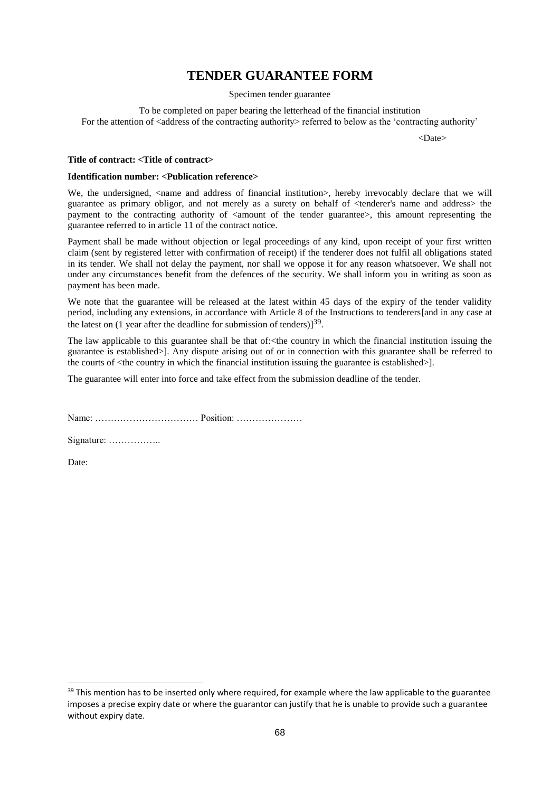## **TENDER GUARANTEE FORM**

Specimen tender guarantee

To be completed on paper bearing the letterhead of the financial institution For the attention of <address of the contracting authority> referred to below as the 'contracting authority'

<Date>

#### **Title of contract: <Title of contract>**

#### **Identification number: <Publication reference>**

We, the undersigned, <name and address of financial institution>, hereby irrevocably declare that we will guarantee as primary obligor, and not merely as a surety on behalf of <tenderer's name and address> the payment to the contracting authority of  $\leq$  amount of the tender guarantee>, this amount representing the guarantee referred to in article 11 of the contract notice.

Payment shall be made without objection or legal proceedings of any kind, upon receipt of your first written claim (sent by registered letter with confirmation of receipt) if the tenderer does not fulfil all obligations stated in its tender. We shall not delay the payment, nor shall we oppose it for any reason whatsoever. We shall not under any circumstances benefit from the defences of the security. We shall inform you in writing as soon as payment has been made.

We note that the guarantee will be released at the latest within 45 days of the expiry of the tender validity period, including any extensions, in accordance with Article 8 of the Instructions to tenderers[and in any case at the latest on  $(1 \text{ year after the deadline for submission of tendency})$ <sup>39</sup>.

The law applicable to this guarantee shall be that of:<the country in which the financial institution issuing the guarantee is established>]. Any dispute arising out of or in connection with this guarantee shall be referred to the courts of <the country in which the financial institution issuing the guarantee is established>].

The guarantee will enter into force and take effect from the submission deadline of the tender.

Name: …………………………… Position: …………………

Signature: ……………..

Date:

1

<sup>&</sup>lt;sup>39</sup> This mention has to be inserted only where required, for example where the law applicable to the guarantee imposes a precise expiry date or where the guarantor can justify that he is unable to provide such a guarantee without expiry date.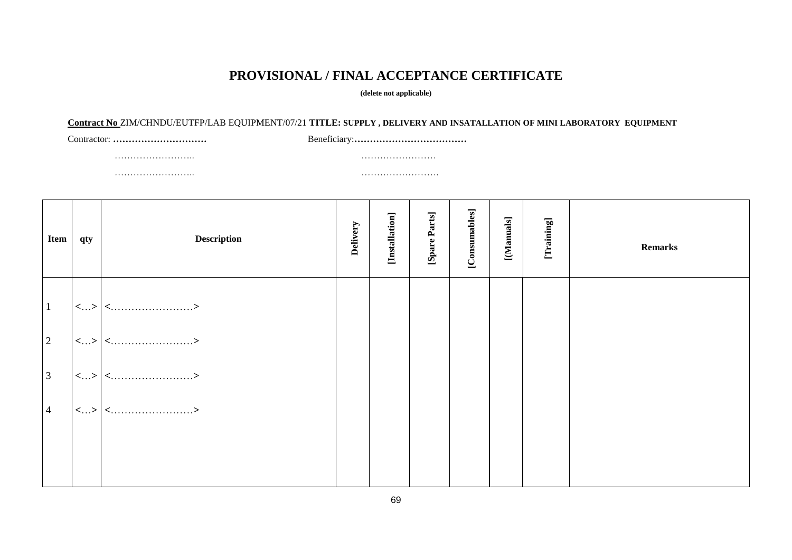# **PROVISIONAL / FINAL ACCEPTANCE CERTIFICATE**

**(delete not applicable)**

#### **Contract No** ZIM/CHNDU/EUTFP/LAB EQUIPMENT/07/21 **TITLE: SUPPLY , DELIVERY AND INSATALLATION OF MINI LABORATORY EQUIPMENT**

…………………….. ……………………

Contractor: **…………………………** Beneficiary:**………………………………**

…………………….. …………………….

| Item           | qty | <b>Description</b>      | Delivery | [Installation] | [Spare Parts] | [Consumables] | [Manuals] | [Training] | <b>Remarks</b> |
|----------------|-----|-------------------------|----------|----------------|---------------|---------------|-----------|------------|----------------|
| $\vert$ 1      |     | $ \langle  \rangle $ <> |          |                |               |               |           |            |                |
| 2              |     | $\vert$ <> $\vert$ <>   |          |                |               |               |           |            |                |
| $\overline{3}$ |     | $\vert$ <> $\vert$ <>   |          |                |               |               |           |            |                |
| $\overline{4}$ |     | $\vert$ <> $\vert$ <>   |          |                |               |               |           |            |                |
|                |     |                         |          |                |               |               |           |            |                |
|                |     |                         |          |                |               |               |           |            |                |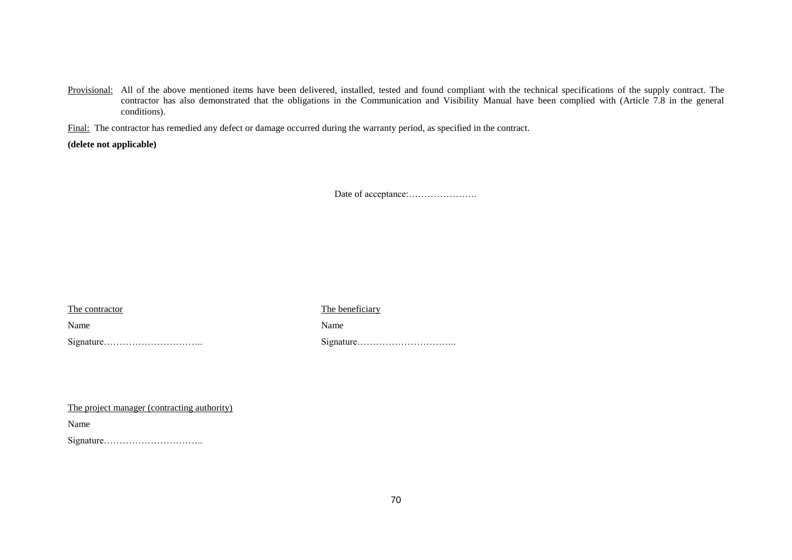Provisional: All of the above mentioned items have been delivered, installed, tested and found compliant with the technical specifications of the supply contract. The contractor has also demonstrated that the obligations in the Communication and Visibility Manual have been complied with (Article 7.8 in the general conditions).

Final: The contractor has remedied any defect or damage occurred during the warranty period, as specified in the contract.

**(delete not applicable)**

Date of acceptance:………………….

The contractor The beneficiary

Name Name Name Name

Signature………………………….. Signature…………………………..

The project manager (contracting authority)

Name

Signature…………………………..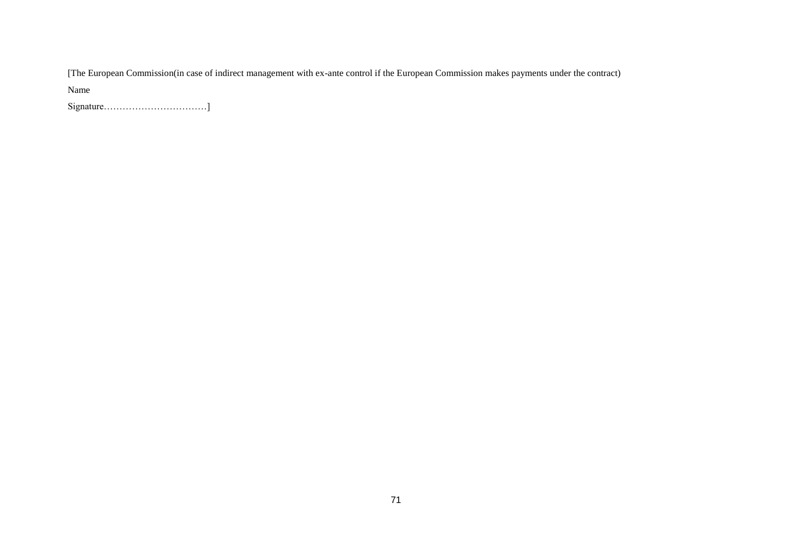[The European Commission(in case of indirect management with ex-ante control if the European Commission makes payments under the contract)

Name

Signature……………………………]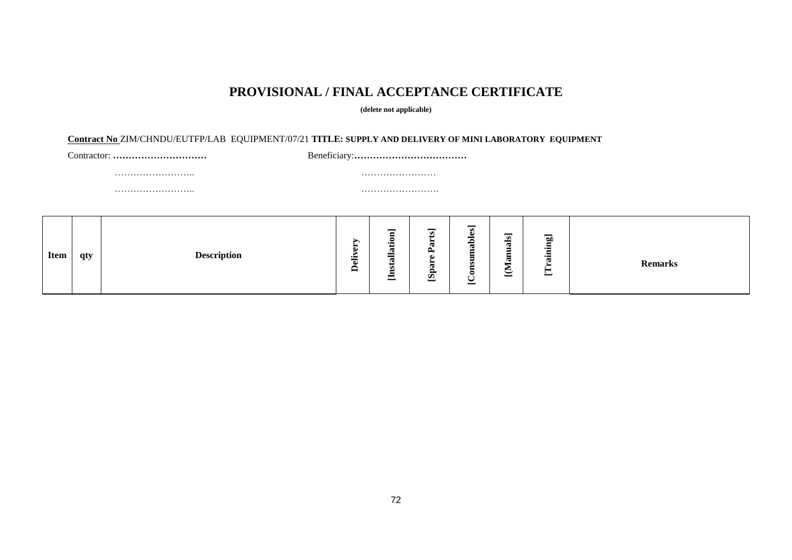# **PROVISIONAL / FINAL ACCEPTANCE CERTIFICATE**

#### **(delete not applicable)**

#### **Contract No** ZIM/CHNDU/EUTFP/LAB EQUIPMENT/07/21 **TITLE: SUPPLY AND DELIVERY OF MINI LABORATORY EQUIPMENT**

Contractor: **…………………………** Beneficiary:**………………………………**

…………………….. ……………………

…………………….. …………………….

| <b>Item</b><br><b>Description</b><br>qty | —<br>⊏<br>∽<br>$\overline{\phantom{a}}$<br>ь<br>نب<br>W<br>$\blacksquare$<br>寝<br>-<br>$\overline{r}$<br>▬<br>−<br>ىسا | $\overline{\mathbf{s}}$<br>$\overline{a}$<br>ω<br>ځ<br>-<br>▬<br>$\triangle$<br>=<br>-<br>że.<br>w<br>я<br>2<br>◓<br>Ó<br>_<br><u>_</u> | $\overline{\bullet}$<br>g<br>-<br>⊷∺<br>⊶<br>œ<br>╺<br>►<br>_<br>$\check{ }$<br>ىت<br>ىسا | <b>Remarks</b> |
|------------------------------------------|------------------------------------------------------------------------------------------------------------------------|-----------------------------------------------------------------------------------------------------------------------------------------|-------------------------------------------------------------------------------------------|----------------|
|------------------------------------------|------------------------------------------------------------------------------------------------------------------------|-----------------------------------------------------------------------------------------------------------------------------------------|-------------------------------------------------------------------------------------------|----------------|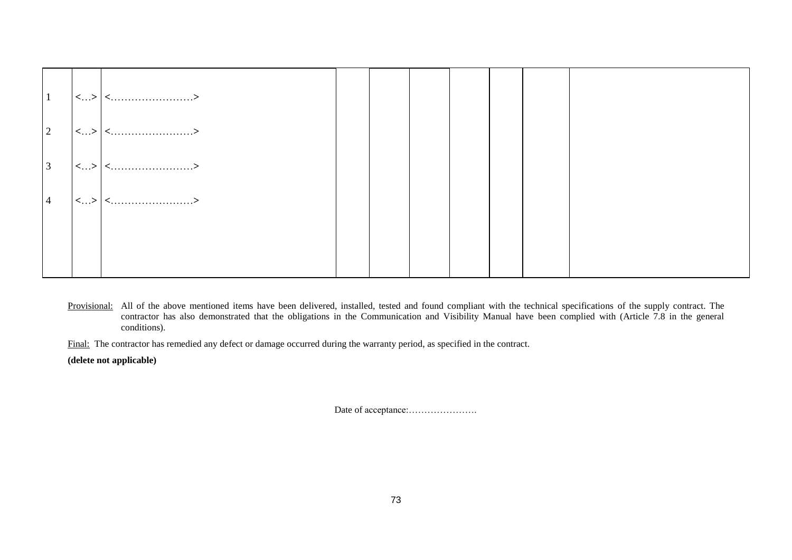| $\vert$ 1       |                      |  |  |  |  |
|-----------------|----------------------|--|--|--|--|
| $\vert 2 \vert$ |                      |  |  |  |  |
| $\vert 3 \vert$ |                      |  |  |  |  |
| $\overline{4}$  | $ <\ldots> <\ldots $ |  |  |  |  |
|                 |                      |  |  |  |  |
|                 |                      |  |  |  |  |

Provisional: All of the above mentioned items have been delivered, installed, tested and found compliant with the technical specifications of the supply contract. The contractor has also demonstrated that the obligations in the Communication and Visibility Manual have been complied with (Article 7.8 in the general conditions).

Final: The contractor has remedied any defect or damage occurred during the warranty period, as specified in the contract.

**(delete not applicable)**

Date of acceptance:………………….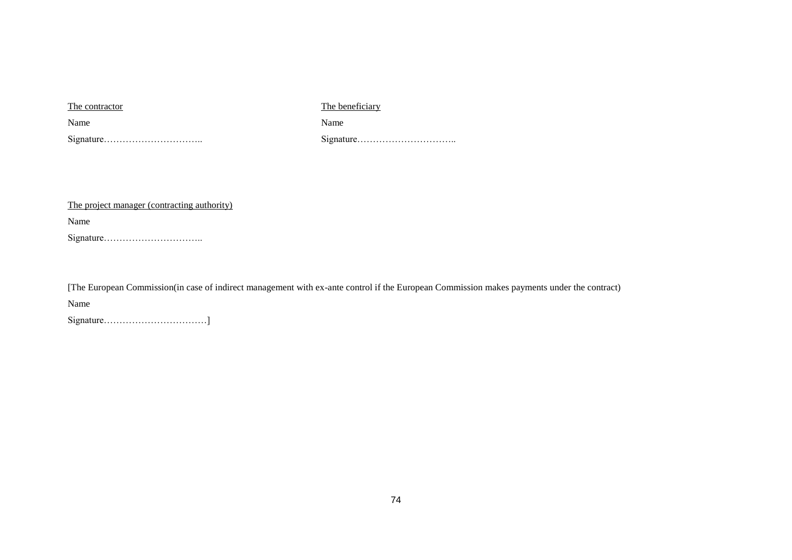The contractor The beneficiary

Name Name Name

Signature………………………….. Signature…………………………..

The project manager (contracting authority)

Name

Signature…………………………..

[The European Commission(in case of indirect management with ex-ante control if the European Commission makes payments under the contract)

Name

Signature……………………………]